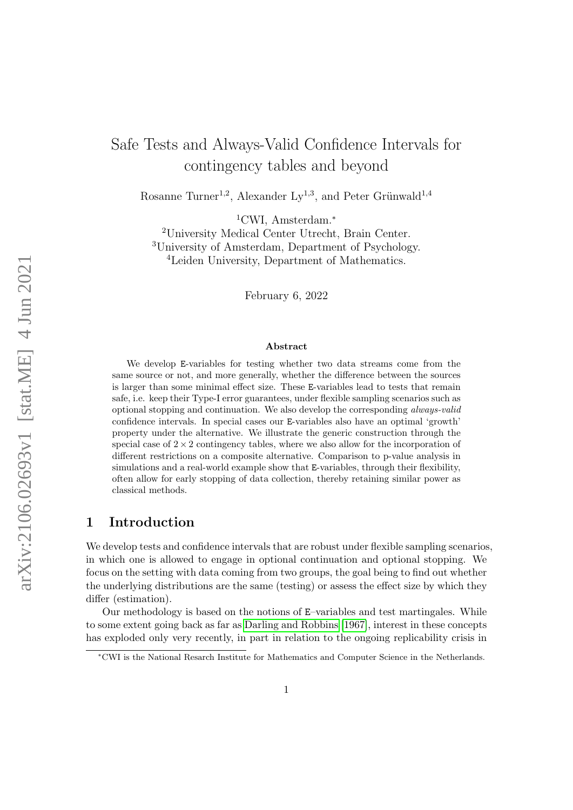# Safe Tests and Always-Valid Confidence Intervals for contingency tables and beyond

Rosanne Turner<sup>1,2</sup>, Alexander Ly<sup>1,3</sup>, and Peter Grünwald<sup>1,4</sup>

<sup>1</sup>CWI, Amsterdam.<sup>∗</sup>

<sup>2</sup>University Medical Center Utrecht, Brain Center. <sup>3</sup>University of Amsterdam, Department of Psychology. <sup>4</sup>Leiden University, Department of Mathematics.

February 6, 2022

#### Abstract

We develop E-variables for testing whether two data streams come from the same source or not, and more generally, whether the difference between the sources is larger than some minimal effect size. These E-variables lead to tests that remain safe, i.e. keep their Type-I error guarantees, under flexible sampling scenarios such as optional stopping and continuation. We also develop the corresponding always-valid confidence intervals. In special cases our E-variables also have an optimal 'growth' property under the alternative. We illustrate the generic construction through the special case of  $2 \times 2$  contingency tables, where we also allow for the incorporation of different restrictions on a composite alternative. Comparison to p-value analysis in simulations and a real-world example show that E-variables, through their flexibility, often allow for early stopping of data collection, thereby retaining similar power as classical methods.

### 1 Introduction

We develop tests and confidence intervals that are robust under flexible sampling scenarios. in which one is allowed to engage in optional continuation and optional stopping. We focus on the setting with data coming from two groups, the goal being to find out whether the underlying distributions are the same (testing) or assess the effect size by which they differ (estimation).

Our methodology is based on the notions of E–variables and test martingales. While to some extent going back as far as [Darling and Robbins \[1967\]](#page-32-0), interest in these concepts has exploded only very recently, in part in relation to the ongoing replicability crisis in

<sup>∗</sup>CWI is the National Resarch Institute for Mathematics and Computer Science in the Netherlands.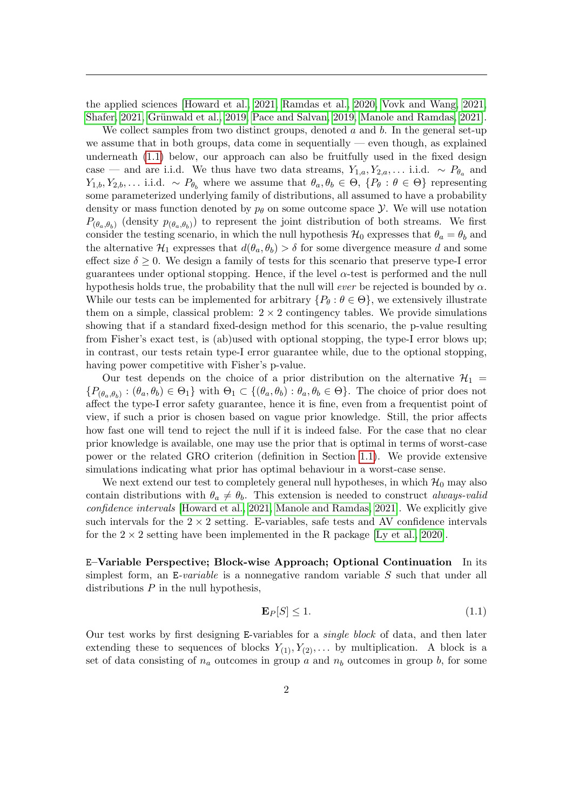the applied sciences [\[Howard et al., 2021,](#page-32-1) [Ramdas et al., 2020,](#page-33-0) [Vovk and Wang, 2021,](#page-34-0) [Shafer, 2021,](#page-33-1) Grünwald et al., 2019, [Pace and Salvan, 2019,](#page-33-2) Manole and Ramdas, 2021.

We collect samples from two distinct groups, denoted  $a$  and  $b$ . In the general set-up we assume that in both groups, data come in sequentially — even though, as explained underneath [\(1.1\)](#page-1-0) below, our approach can also be fruitfully used in the fixed design case — and are i.i.d. We thus have two data streams,  $Y_{1,a}, Y_{2,a}, \ldots$  i.i.d.  $\sim P_{\theta_a}$  and  $Y_{1,b}, Y_{2,b}, \ldots$  i.i.d.  $\sim P_{\theta_b}$  where we assume that  $\theta_a, \theta_b \in \Theta$ ,  $\{P_{\theta}: \theta \in \Theta\}$  representing some parameterized underlying family of distributions, all assumed to have a probability density or mass function denoted by  $p_{\theta}$  on some outcome space  $\mathcal{Y}$ . We will use notation  $P_{(\theta_a,\theta_b)}$  (density  $p_{(\theta_a,\theta_b)}$ ) to represent the joint distribution of both streams. We first consider the testing scenario, in which the null hypothesis  $\mathcal{H}_0$  expresses that  $\theta_a = \theta_b$  and the alternative  $\mathcal{H}_1$  expresses that  $d(\theta_a, \theta_b) > \delta$  for some divergence measure d and some effect size  $\delta > 0$ . We design a family of tests for this scenario that preserve type-I error guarantees under optional stopping. Hence, if the level  $\alpha$ -test is performed and the null hypothesis holds true, the probability that the null will *ever* be rejected is bounded by  $\alpha$ . While our tests can be implemented for arbitrary  $\{P_\theta : \theta \in \Theta\}$ , we extensively illustrate them on a simple, classical problem:  $2 \times 2$  contingency tables. We provide simulations showing that if a standard fixed-design method for this scenario, the p-value resulting from Fisher's exact test, is (ab)used with optional stopping, the type-I error blows up; in contrast, our tests retain type-I error guarantee while, due to the optional stopping, having power competitive with Fisher's p-value.

Our test depends on the choice of a prior distribution on the alternative  $\mathcal{H}_1$  =  $\{P_{(\theta_a,\theta_b)} : (\theta_a,\theta_b) \in \Theta_1\}$  with  $\Theta_1 \subset \{(\theta_a,\theta_b) : \theta_a,\theta_b \in \Theta\}$ . The choice of prior does not affect the type-I error safety guarantee, hence it is fine, even from a frequentist point of view, if such a prior is chosen based on vague prior knowledge. Still, the prior affects how fast one will tend to reject the null if it is indeed false. For the case that no clear prior knowledge is available, one may use the prior that is optimal in terms of worst-case power or the related GRO criterion (definition in Section [1.1\)](#page-4-0). We provide extensive simulations indicating what prior has optimal behaviour in a worst-case sense.

We next extend our test to completely general null hypotheses, in which  $\mathcal{H}_0$  may also contain distributions with  $\theta_a \neq \theta_b$ . This extension is needed to construct always-valid confidence intervals [\[Howard et al., 2021,](#page-32-1) [Manole and Ramdas, 2021\]](#page-33-3). We explicitly give such intervals for the  $2 \times 2$  setting. E-variables, safe tests and AV confidence intervals for the  $2 \times 2$  setting have been implemented in the R package [\[Ly et al., 2020\]](#page-33-4).

E–Variable Perspective; Block-wise Approach; Optional Continuation In its simplest form, an E-variable is a nonnegative random variable  $S$  such that under all distributions  $P$  in the null hypothesis,

<span id="page-1-0"></span>
$$
\mathbf{E}_P[S] \le 1. \tag{1.1}
$$

Our test works by first designing E-variables for a single block of data, and then later extending these to sequences of blocks  $Y_{(1)}, Y_{(2)}, \ldots$  by multiplication. A block is a set of data consisting of  $n_a$  outcomes in group a and  $n_b$  outcomes in group b, for some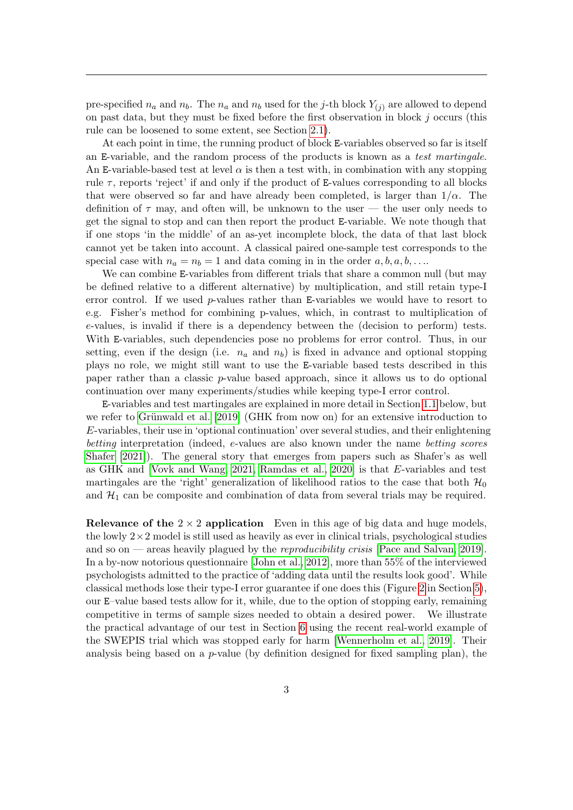pre-specified  $n_a$  and  $n_b$ . The  $n_a$  and  $n_b$  used for the j-th block  $Y_{(i)}$  are allowed to depend on past data, but they must be fixed before the first observation in block  $j$  occurs (this rule can be loosened to some extent, see Section [2.1\)](#page-10-0).

At each point in time, the running product of block E-variables observed so far is itself an E-variable, and the random process of the products is known as a test martingale. An E-variable-based test at level  $\alpha$  is then a test with, in combination with any stopping rule  $\tau$ , reports 'reject' if and only if the product of E-values corresponding to all blocks that were observed so far and have already been completed, is larger than  $1/\alpha$ . The definition of  $\tau$  may, and often will, be unknown to the user — the user only needs to get the signal to stop and can then report the product E-variable. We note though that if one stops 'in the middle' of an as-yet incomplete block, the data of that last block cannot yet be taken into account. A classical paired one-sample test corresponds to the special case with  $n_a = n_b = 1$  and data coming in in the order  $a, b, a, b, \ldots$ .

We can combine E-variables from different trials that share a common null (but may be defined relative to a different alternative) by multiplication, and still retain type-I error control. If we used  $p$ -values rather than E-variables we would have to resort to e.g. Fisher's method for combining p-values, which, in contrast to multiplication of e-values, is invalid if there is a dependency between the (decision to perform) tests. With E-variables, such dependencies pose no problems for error control. Thus, in our setting, even if the design (i.e.  $n_a$  and  $n_b$ ) is fixed in advance and optional stopping plays no role, we might still want to use the E-variable based tests described in this paper rather than a classic p-value based approach, since it allows us to do optional continuation over many experiments/studies while keeping type-I error control.

E-variables and test martingales are explained in more detail in Section [1.1](#page-4-0) below, but we refer to Grünwald et al.  $[2019]$  (GHK from now on) for an extensive introduction to  $E$ -variables, their use in 'optional continuation' over several studies, and their enlightening betting interpretation (indeed, e-values are also known under the name betting scores [Shafer \[2021\]](#page-33-1)). The general story that emerges from papers such as Shafer's as well as GHK and [\[Vovk and Wang, 2021,](#page-34-0) [Ramdas et al., 2020\]](#page-33-0) is that E-variables and test martingales are the 'right' generalization of likelihood ratios to the case that both  $\mathcal{H}_0$ and  $\mathcal{H}_1$  can be composite and combination of data from several trials may be required.

**Relevance of the**  $2 \times 2$  application Even in this age of big data and huge models, the lowly  $2\times 2$  model is still used as heavily as ever in clinical trials, psychological studies and so on — areas heavily plagued by the *reproducibility crisis* [\[Pace and Salvan, 2019\]](#page-33-2). In a by-now notorious questionnaire [\[John et al., 2012\]](#page-32-3), more than 55% of the interviewed psychologists admitted to the practice of 'adding data until the results look good'. While classical methods lose their type-I error guarantee if one does this (Figure [2](#page-19-0) in Section [5\)](#page-18-0), our E–value based tests allow for it, while, due to the option of stopping early, remaining competitive in terms of sample sizes needed to obtain a desired power. We illustrate the practical advantage of our test in Section [6](#page-23-0) using the recent real-world example of the SWEPIS trial which was stopped early for harm [\[Wennerholm et al., 2019\]](#page-34-1). Their analysis being based on a  $p$ -value (by definition designed for fixed sampling plan), the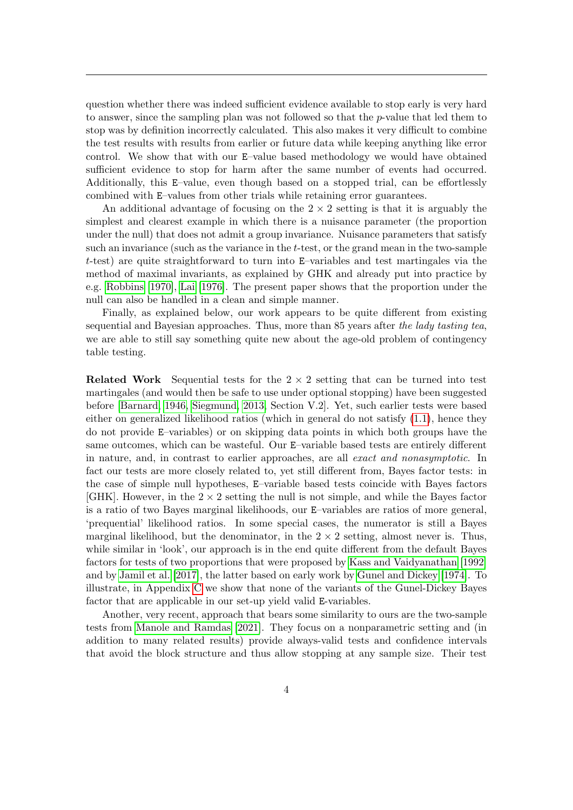question whether there was indeed sufficient evidence available to stop early is very hard to answer, since the sampling plan was not followed so that the p-value that led them to stop was by definition incorrectly calculated. This also makes it very difficult to combine the test results with results from earlier or future data while keeping anything like error control. We show that with our E–value based methodology we would have obtained sufficient evidence to stop for harm after the same number of events had occurred. Additionally, this E–value, even though based on a stopped trial, can be effortlessly combined with E–values from other trials while retaining error guarantees.

An additional advantage of focusing on the  $2 \times 2$  setting is that it is arguably the simplest and clearest example in which there is a nuisance parameter (the proportion under the null) that does not admit a group invariance. Nuisance parameters that satisfy such an invariance (such as the variance in the  $t$ -test, or the grand mean in the two-sample t-test) are quite straightforward to turn into E–variables and test martingales via the method of maximal invariants, as explained by GHK and already put into practice by e.g. [Robbins \[1970\]](#page-33-5), [Lai \[1976\]](#page-32-4). The present paper shows that the proportion under the null can also be handled in a clean and simple manner.

Finally, as explained below, our work appears to be quite different from existing sequential and Bayesian approaches. Thus, more than 85 years after the lady tasting tea, we are able to still say something quite new about the age-old problem of contingency table testing.

**Related Work** Sequential tests for the  $2 \times 2$  setting that can be turned into test martingales (and would then be safe to use under optional stopping) have been suggested before [\[Barnard, 1946,](#page-31-0) [Siegmund, 2013,](#page-33-6) Section V.2]. Yet, such earlier tests were based either on generalized likelihood ratios (which in general do not satisfy [\(1.1\)](#page-1-0), hence they do not provide E–variables) or on skipping data points in which both groups have the same outcomes, which can be wasteful. Our E–variable based tests are entirely different in nature, and, in contrast to earlier approaches, are all exact and nonasymptotic. In fact our tests are more closely related to, yet still different from, Bayes factor tests: in the case of simple null hypotheses, E–variable based tests coincide with Bayes factors [GHK]. However, in the  $2 \times 2$  setting the null is not simple, and while the Bayes factor is a ratio of two Bayes marginal likelihoods, our E–variables are ratios of more general, 'prequential' likelihood ratios. In some special cases, the numerator is still a Bayes marginal likelihood, but the denominator, in the  $2 \times 2$  setting, almost never is. Thus, while similar in 'look', our approach is in the end quite different from the default Bayes factors for tests of two proportions that were proposed by [Kass and Vaidyanathan \[1992\]](#page-32-5) and by [Jamil et al. \[2017\]](#page-32-6), the latter based on early work by [Gunel and Dickey \[1974\]](#page-32-7). To illustrate, in Appendix [C](#page-38-0) we show that none of the variants of the Gunel-Dickey Bayes factor that are applicable in our set-up yield valid E-variables.

Another, very recent, approach that bears some similarity to ours are the two-sample tests from [Manole and Ramdas \[2021\]](#page-33-3). They focus on a nonparametric setting and (in addition to many related results) provide always-valid tests and confidence intervals that avoid the block structure and thus allow stopping at any sample size. Their test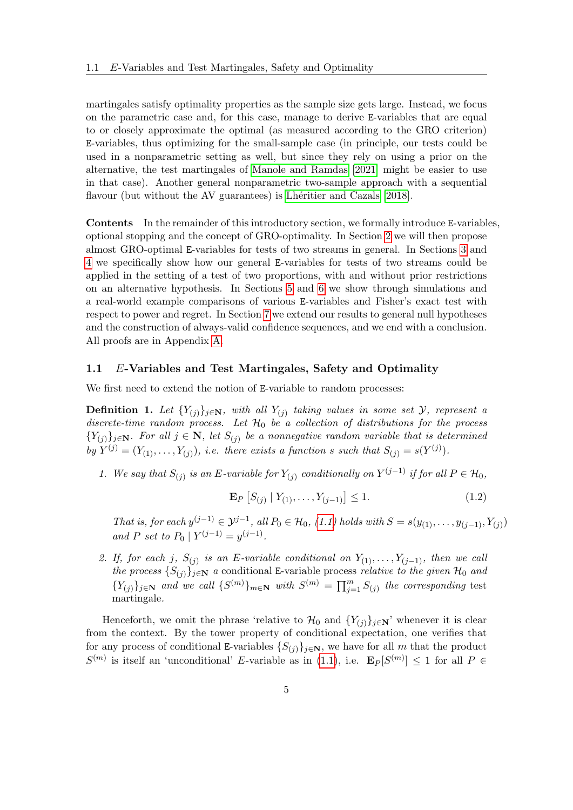martingales satisfy optimality properties as the sample size gets large. Instead, we focus on the parametric case and, for this case, manage to derive E-variables that are equal to or closely approximate the optimal (as measured according to the GRO criterion) E-variables, thus optimizing for the small-sample case (in principle, our tests could be used in a nonparametric setting as well, but since they rely on using a prior on the alternative, the test martingales of [Manole and Ramdas \[2021\]](#page-33-3) might be easier to use in that case). Another general nonparametric two-sample approach with a sequential flavour (but without the AV guarantees) is Lhéritier and Cazals [2018].

Contents In the remainder of this introductory section, we formally introduce E-variables, optional stopping and the concept of GRO-optimality. In Section [2](#page-9-0) we will then propose almost GRO-optimal E-variables for tests of two streams in general. In Sections [3](#page-14-0) and [4](#page-15-0) we specifically show how our general E-variables for tests of two streams could be applied in the setting of a test of two proportions, with and without prior restrictions on an alternative hypothesis. In Sections [5](#page-18-0) and [6](#page-23-0) we show through simulations and a real-world example comparisons of various E-variables and Fisher's exact test with respect to power and regret. In Section [7](#page-25-0) we extend our results to general null hypotheses and the construction of always-valid confidence sequences, and we end with a conclusion. All proofs are in Appendix [A.](#page-34-2)

#### <span id="page-4-0"></span>1.1 E-Variables and Test Martingales, Safety and Optimality

We first need to extend the notion of E-variable to random processes:

<span id="page-4-1"></span>**Definition 1.** Let  ${Y_{(j)}}_{j\in\mathbb{N}}$ , with all  $Y_{(j)}$  taking values in some set  $\mathcal{Y}$ , represent a discrete-time random process. Let  $\mathcal{H}_0$  be a collection of distributions for the process  ${Y_{(j)}}_{j\in\mathbb{N}}$ . For all  $j \in \mathbb{N}$ , let  $S_{(j)}$  be a nonnegative random variable that is determined by  $Y^{(j)} = (Y_{(1)}, \ldots, Y_{(j)}),$  i.e. there exists a function s such that  $S_{(j)} = s(Y^{(j)}).$ 

1. We say that  $S_{(j)}$  is an E-variable for  $Y_{(j)}$  conditionally on  $Y^{(j-1)}$  if for all  $P \in \mathcal{H}_0$ ,

$$
\mathbf{E}_P \left[ S_{(j)} \mid Y_{(1)}, \dots, Y_{(j-1)} \right] \le 1. \tag{1.2}
$$

That is, for each  $y^{(j-1)} \in \mathcal{Y}^{j-1}$ , all  $P_0 \in \mathcal{H}_0$ , [\(1.1\)](#page-1-0) holds with  $S = s(y_{(1)}, \ldots, y_{(j-1)}, Y_{(j)})$ and P set to  $P_0 | Y^{(j-1)} = y^{(j-1)}$ .

2. If, for each j,  $S_{(j)}$  is an E-variable conditional on  $Y_{(1)}, \ldots, Y_{(j-1)}$ , then we call the process  $\{S_{(j)}\}_{j\in\mathbb{N}}$  a conditional E-variable process relative to the given  $\mathcal{H}_0$  and  ${Y_{(j)}}_{j\in\mathbb{N}}$  and we call  ${S^{(m)}}_{m\in\mathbb{N}}$  with  $S^{(m)} = \prod_{j=1}^{m} S_{(j)}$  the corresponding test martingale.

Henceforth, we omit the phrase 'relative to  $\mathcal{H}_0$  and  $\{Y_{(j)}\}_{j\in\mathbb{N}}$ ' whenever it is clear from the context. By the tower property of conditional expectation, one verifies that for any process of conditional E-variables  $\{S_{(j)}\}_{j\in\mathbb{N}}$ , we have for all m that the product  $S^{(m)}$  is itself an 'unconditional' E-variable as in [\(1.1\)](#page-1-0), i.e.  $\mathbf{E}_P[S^{(m)}] \leq 1$  for all  $P \in$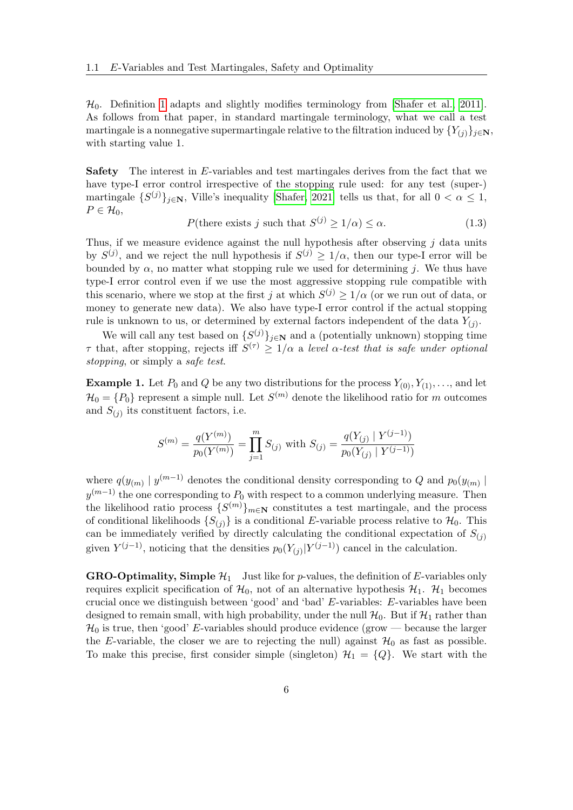$\mathcal{H}_0$ . Definition [1](#page-4-1) adapts and slightly modifies terminology from [\[Shafer et al., 2011\]](#page-33-7). As follows from that paper, in standard martingale terminology, what we call a test martingale is a nonnegative supermartingale relative to the filtration induced by  $\{Y_{(i)}\}_{i\in\mathbb{N}}$ , with starting value 1.

Safety The interest in E-variables and test martingales derives from the fact that we have type-I error control irrespective of the stopping rule used: for any test (super-) martingale  $\{S^{(j)}\}_{j\in\mathbb{N}}$ , Ville's inequality [\[Shafer, 2021\]](#page-33-1) tells us that, for all  $0 < \alpha \leq 1$ ,  $P \in \mathcal{H}_0$ ,

<span id="page-5-1"></span>
$$
P(\text{there exists } j \text{ such that } S^{(j)} \ge 1/\alpha) \le \alpha. \tag{1.3}
$$

Thus, if we measure evidence against the null hypothesis after observing  $j$  data units by  $S^{(j)}$ , and we reject the null hypothesis if  $S^{(j)} \geq 1/\alpha$ , then our type-I error will be bounded by  $\alpha$ , no matter what stopping rule we used for determining j. We thus have type-I error control even if we use the most aggressive stopping rule compatible with this scenario, where we stop at the first j at which  $S^{(j)} \geq 1/\alpha$  (or we run out of data, or money to generate new data). We also have type-I error control if the actual stopping rule is unknown to us, or determined by external factors independent of the data  $Y_{(j)}$ .

We will call any test based on  $\{S^{(j)}\}_{j\in\mathbb{N}}$  and a (potentially unknown) stopping time  $\tau$  that, after stopping, rejects iff  $S^{(\tau)} \geq 1/\alpha$  a level  $\alpha$ -test that is safe under optional stopping, or simply a safe test.

<span id="page-5-0"></span>**Example 1.** Let  $P_0$  and  $Q$  be any two distributions for the process  $Y_{(0)}, Y_{(1)}, \ldots$ , and let  $\mathcal{H}_0 = \{P_0\}$  represent a simple null. Let  $S^{(m)}$  denote the likelihood ratio for m outcomes and  $S_{(j)}$  its constituent factors, i.e.

$$
S^{(m)} = \frac{q(Y^{(m)})}{p_0(Y^{(m)})} = \prod_{j=1}^{m} S_{(j)}
$$
 with  $S_{(j)} = \frac{q(Y_{(j)} | Y^{(j-1)})}{p_0(Y_{(j)} | Y^{(j-1)})}$ 

where  $q(y_{(m)} | y^{(m-1)})$  denotes the conditional density corresponding to Q and  $p_0(y_{(m)} |$  $y^{(m-1)}$  the one corresponding to  $P_0$  with respect to a common underlying measure. Then the likelihood ratio process  ${S^{(m)}}_{m\in\mathbb{N}}$  constitutes a test martingale, and the process of conditional likelihoods  $\{S_{(i)}\}$  is a conditional E-variable process relative to  $\mathcal{H}_0$ . This can be immediately verified by directly calculating the conditional expectation of  $S_{(j)}$ given  $Y^{(j-1)}$ , noticing that the densities  $p_0(Y_{(j)}|Y^{(j-1)})$  cancel in the calculation.

**GRO-Optimality, Simple**  $\mathcal{H}_1$  Just like for p-values, the definition of E-variables only requires explicit specification of  $\mathcal{H}_0$ , not of an alternative hypothesis  $\mathcal{H}_1$ .  $\mathcal{H}_1$  becomes crucial once we distinguish between 'good' and 'bad' E-variables: E-variables have been designed to remain small, with high probability, under the null  $\mathcal{H}_0$ . But if  $\mathcal{H}_1$  rather than  $\mathcal{H}_0$  is true, then 'good' E-variables should produce evidence (grow — because the larger the E-variable, the closer we are to rejecting the null) against  $\mathcal{H}_0$  as fast as possible. To make this precise, first consider simple (singleton)  $\mathcal{H}_1 = \{Q\}$ . We start with the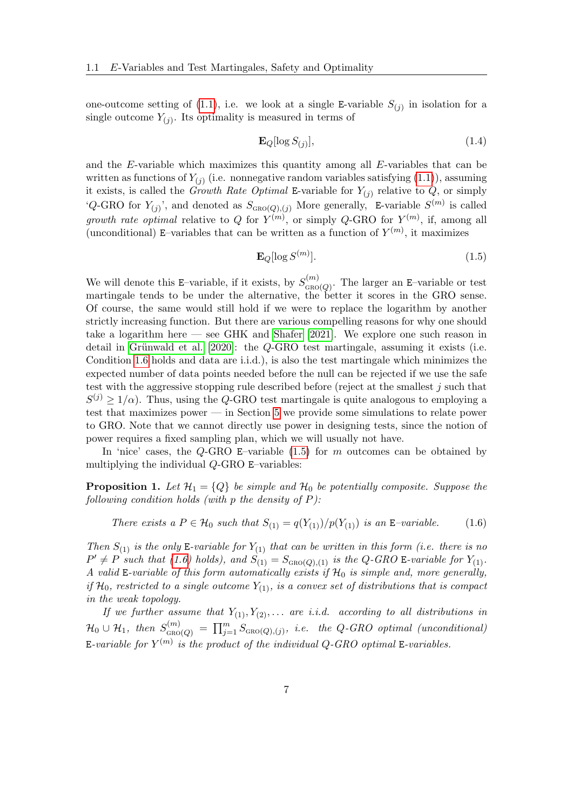one-outcome setting of [\(1.1\)](#page-1-0), i.e. we look at a single E-variable  $S_{(j)}$  in isolation for a single outcome  $Y_{(j)}$ . Its optimality is measured in terms of

$$
\mathbf{E}_Q[\log S_{(j)}],\tag{1.4}
$$

and the  $E$ -variable which maximizes this quantity among all  $E$ -variables that can be written as functions of  $Y_{(j)}$  (i.e. nonnegative random variables satisfying  $(1.1)$ ), assuming it exists, is called the *Growth Rate Optimal* E-variable for  $Y_{(j)}$  relative to Q, or simply 'Q-GRO for  $Y_{(j)}$ ', and denoted as  $S_{\text{GRO}(Q),(j)}$  More generally, E-variable  $S^{(m)}$  is called *growth rate optimal* relative to Q for  $Y^{(m)}$ , or simply Q-GRO for  $Y^{(m)}$ , if, among all (unconditional) E-variables that can be written as a function of  $Y^{(m)}$ , it maximizes

<span id="page-6-1"></span>
$$
\mathbf{E}_Q[\log S^{(m)}].\tag{1.5}
$$

We will denote this E-variable, if it exists, by  $S_{\text{GRO}(Q)}^{(m)}$ . The larger an E-variable or test martingale tends to be under the alternative, the better it scores in the GRO sense. Of course, the same would still hold if we were to replace the logarithm by another strictly increasing function. But there are various compelling reasons for why one should take a logarithm here — see GHK and [Shafer \[2021\]](#page-33-1). We explore one such reason in detail in Grünwald et al.  $[2020]$ : the Q-GRO test martingale, assuming it exists (i.e. Condition [1.6](#page-6-0) holds and data are i.i.d.), is also the test martingale which minimizes the expected number of data points needed before the null can be rejected if we use the safe test with the aggressive stopping rule described before (reject at the smallest j such that  $S^{(j)} \geq 1/\alpha$ ). Thus, using the Q-GRO test martingale is quite analogous to employing a test that maximizes power — in Section [5](#page-18-0) we provide some simulations to relate power to GRO. Note that we cannot directly use power in designing tests, since the notion of power requires a fixed sampling plan, which we will usually not have.

In 'nice' cases, the  $Q$ -GRO E–variable  $(1.5)$  for m outcomes can be obtained by multiplying the individual  $Q$ -GRO E–variables:

<span id="page-6-2"></span>**Proposition 1.** Let  $\mathcal{H}_1 = \{Q\}$  be simple and  $\mathcal{H}_0$  be potentially composite. Suppose the following condition holds (with  $p$  the density of  $P$ ):

<span id="page-6-0"></span>There exists a 
$$
P \in \mathcal{H}_0
$$
 such that  $S_{(1)} = q(Y_{(1)})/p(Y_{(1)})$  is an E-variable. (1.6)

Then  $S_{(1)}$  is the only E-variable for  $Y_{(1)}$  that can be written in this form (i.e. there is no  $P' \neq P$  such that [\(1.6\)](#page-6-0) holds), and  $S_{(1)} = S_{\text{GRO}(Q),(1)}$  is the Q-GRO E-variable for  $Y_{(1)}$ . A valid E-variable of this form automatically exists if  $\mathcal{H}_0$  is simple and, more generally, if  $H_0$ , restricted to a single outcome  $Y_{(1)}$ , is a convex set of distributions that is compact in the weak topology.

If we further assume that  $Y_{(1)}, Y_{(2)}, \ldots$  are i.i.d. according to all distributions in  $\mathcal{H}_0\cup\mathcal{H}_1$ , then  $S^{(m)}_{\text{GRO}(Q)}=\prod_{j=1}^mS_{\text{GRO}(Q),(j)},$  i.e. the Q-GRO optimal (unconditional) E-variable for  $Y^{(m)}$  is the product of the individual Q-GRO optimal E-variables.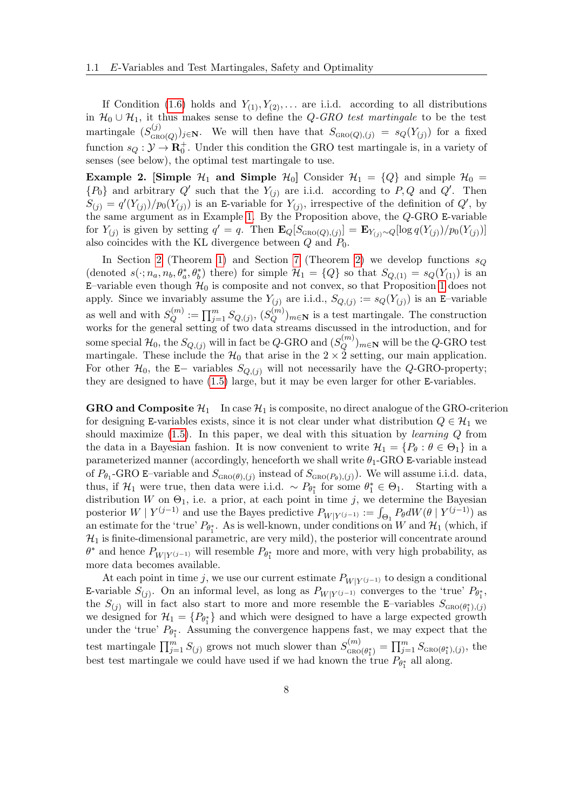If Condition [\(1.6\)](#page-6-0) holds and  $Y_{(1)}, Y_{(2)}, \ldots$  are i.i.d. according to all distributions in  $\mathcal{H}_0 \cup \mathcal{H}_1$ , it thus makes sense to define the Q-GRO test martingale to be the test martingale  $(S_{\text{GRO}(Q)}^{(j)})_{j\in\mathbb{N}}$ . We will then have that  $S_{\text{GRO}(Q),(j)} = s_Q(Y_{(j)})$  for a fixed function  $s_Q : \mathcal{Y} \to \mathbf{R}_0^+$ . Under this condition the GRO test martingale is, in a variety of senses (see below), the optimal test martingale to use.

<span id="page-7-0"></span>**Example 2.** [Simple  $\mathcal{H}_1$  and Simple  $\mathcal{H}_0$ ] Consider  $\mathcal{H}_1 = \{Q\}$  and simple  $\mathcal{H}_0 =$  $\{P_0\}$  and arbitrary  $Q'$  such that the  $Y_{(j)}$  are i.i.d. according to P, Q and Q'. Then  $S_{(j)} = q'(Y_{(j)})/p_0(Y_{(j)})$  is an E-variable for  $Y_{(j)}$ , irrespective of the definition of  $Q'$ , by the same argument as in Example [1.](#page-5-0) By the Proposition above, the Q-GRO E-variable for  $Y_{(j)}$  is given by setting  $q' = q$ . Then  $\mathbf{E}_{Q}[S_{\text{GRO}(Q),(j)}] = \mathbf{E}_{Y_{(j)}\sim Q}[\log q(Y_{(j)})/p_0(Y_{(j)})]$ also coincides with the KL divergence between  $Q$  and  $P_0$ .

In Section [2](#page-9-0) (Theorem [1\)](#page-10-1) and Section [7](#page-25-0) (Theorem [2\)](#page-27-0) we develop functions  $s_Q$ (denoted  $s(\cdot; n_a, n_b, \theta_a^*, \theta_b^*)$  there) for simple  $\mathcal{H}_1 = \{Q\}$  so that  $S_{Q,(1)} = s_Q(Y_{(1)})$  is an E-variable even though  $\mathcal{H}_0$  is composite and not convex, so that Proposition [1](#page-6-2) does not apply. Since we invariably assume the  $Y_{(j)}$  are i.i.d.,  $S_{Q,(j)} := s_Q(Y_{(j)})$  is an E-variable as well and with  $S_Q^{(m)}$  $Q^{(m)}_Q:=\prod_{j=1}^m S_{Q,(j)},\,(S^{(m)}_Q)$  $(Q^{(m)})_{m\in\mathbf{N}}$  is a test martingale. The construction works for the general setting of two data streams discussed in the introduction, and for some special  $\mathcal{H}_0$ , the  $S_{Q,(j)}$  will in fact be Q-GRO and  $(S_Q^{(m)})$  $(Q^{(m)})_{m\in\mathbf{N}}$  will be the Q-GRO test martingale. These include the  $\mathcal{H}_0$  that arise in the  $2 \times 2$  setting, our main application. For other  $\mathcal{H}_0$ , the E− variables  $S_{Q,(i)}$  will not necessarily have the Q-GRO-property; they are designed to have [\(1.5\)](#page-6-1) large, but it may be even larger for other E-variables.

**GRO and Composite**  $\mathcal{H}_1$  In case  $\mathcal{H}_1$  is composite, no direct analogue of the GRO-criterion for designing E-variables exists, since it is not clear under what distribution  $Q \in \mathcal{H}_1$  we should maximize  $(1.5)$ . In this paper, we deal with this situation by *learning*  $Q$  from the data in a Bayesian fashion. It is now convenient to write  $\mathcal{H}_1 = \{P_\theta : \theta \in \Theta_1\}$  in a parameterized manner (accordingly, henceforth we shall write  $\theta_1$ -GRO E-variable instead of  $P_{\theta_1}$ -GRO E-variable and  $S_{\text{GRO}(\theta),(j)}$  instead of  $S_{\text{GRO}(P_{\theta}),(j)}$ . We will assume i.i.d. data, thus, if  $\mathcal{H}_1$  were true, then data were i.i.d. ~  $P_{\theta_1^*}$  for some  $\theta_1^* \in \Theta_1$ . Starting with a distribution W on  $\Theta_1$ , i.e. a prior, at each point in time j, we determine the Bayesian posterior  $W \mid Y^{(j-1)}$  and use the Bayes predictive  $P_{W|Y^{(j-1)}} := \int_{\Theta_1} P_{\theta} dW(\theta \mid Y^{(j-1)})$  as an estimate for the 'true'  $P_{\theta_1^*}$ . As is well-known, under conditions on W and  $\mathcal{H}_1$  (which, if  $\mathcal{H}_1$  is finite-dimensional parametric, are very mild), the posterior will concentrate around  $\theta^*$  and hence  $P_{W|Y^{(j-1)}}$  will resemble  $P_{\theta_1^*}$  more and more, with very high probability, as more data becomes available.

At each point in time j, we use our current estimate  $P_{W|Y^{(j-1)}}$  to design a conditional E-variable  $S_{(j)}$ . On an informal level, as long as  $P_{W|Y^{(j-1)}}$  converges to the 'true'  $P_{\theta_1^*}$ , the  $S_{(j)}$  will in fact also start to more and more resemble the E–variables  $S_{\text{GRO}(\theta_1^*), (j)}$ we designed for  $\mathcal{H}_1 = \{P_{\theta_1^*}\}\$  and which were designed to have a large expected growth under the 'true'  $P_{\theta_1^*}$ . Assuming the convergence happens fast, we may expect that the test martingale  $\prod_{j=1}^m S_{(j)}$  grows not much slower than  $S_{\text{GRO}(\theta_1^*)}^{(m)} = \prod_{j=1}^m S_{\text{GRO}(\theta_1^*), (j)}$ , the best test martingale we could have used if we had known the true  $P_{\theta_1^*}$  all along.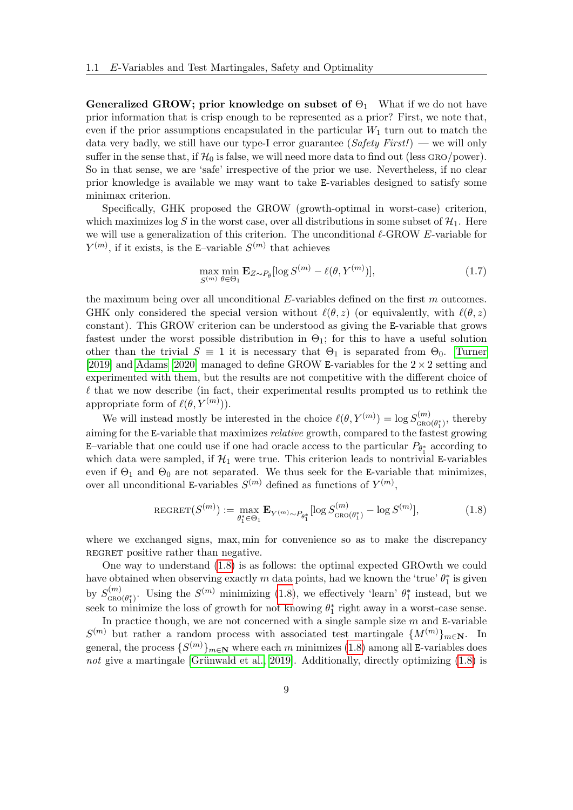Generalized GROW; prior knowledge on subset of  $\Theta_1$ . What if we do not have prior information that is crisp enough to be represented as a prior? First, we note that, even if the prior assumptions encapsulated in the particular  $W_1$  turn out to match the data very badly, we still have our type-I error guarantee  $(Safety First!)$  — we will only suffer in the sense that, if  $\mathcal{H}_0$  is false, we will need more data to find out (less GRO/power). So in that sense, we are 'safe' irrespective of the prior we use. Nevertheless, if no clear prior knowledge is available we may want to take E-variables designed to satisfy some minimax criterion.

Specifically, GHK proposed the GROW (growth-optimal in worst-case) criterion, which maximizes  $\log S$  in the worst case, over all distributions in some subset of  $\mathcal{H}_1$ . Here we will use a generalization of this criterion. The unconditional  $\ell$ -GROW E-variable for  $Y^{(m)}$ , if it exists, is the E-variable  $S^{(m)}$  that achieves

$$
\max_{S^{(m)}} \min_{\theta \in \Theta_1} \mathbf{E}_{Z \sim P_{\theta}}[\log S^{(m)} - \ell(\theta, Y^{(m)})],\tag{1.7}
$$

the maximum being over all unconditional  $E$ -variables defined on the first  $m$  outcomes. GHK only considered the special version without  $\ell(\theta, z)$  (or equivalently, with  $\ell(\theta, z)$ ) constant). This GROW criterion can be understood as giving the E-variable that grows fastest under the worst possible distribution in  $\Theta_1$ ; for this to have a useful solution other than the trivial  $S \equiv 1$  it is necessary that  $\Theta_1$  is separated from  $\Theta_0$ . [Turner](#page-33-8) [\[2019\]](#page-33-8) and [Adams \[2020\]](#page-31-1) managed to define GROW E-variables for the  $2 \times 2$  setting and experimented with them, but the results are not competitive with the different choice of  $\ell$  that we now describe (in fact, their experimental results prompted us to rethink the appropriate form of  $\ell(\theta, Y^{(m)}).$ 

We will instead mostly be interested in the choice  $\ell(\theta, Y^{(m)}) = \log S_{\text{GRO}(\theta_1^*)}^{(m)}$ , thereby aiming for the E-variable that maximizes relative growth, compared to the fastest growing E-variable that one could use if one had oracle access to the particular  $P_{\theta_1^*}$  according to which data were sampled, if  $\mathcal{H}_1$  were true. This criterion leads to nontrivial E-variables even if  $\Theta_1$  and  $\Theta_0$  are not separated. We thus seek for the E-variable that minimizes, over all unconditional E-variables  $S^{(m)}$  defined as functions of  $Y^{(m)}$ ,

<span id="page-8-0"></span>
$$
REGRET(S^{(m)}) := \max_{\theta_1^* \in \Theta_1} \mathbf{E}_{Y^{(m)} \sim P_{\theta_1^*}} [\log S^{(m)}_{GRO(\theta_1^*)} - \log S^{(m)}],
$$
(1.8)

where we exchanged signs, max, min for convenience so as to make the discrepancy REGRET positive rather than negative.

One way to understand [\(1.8\)](#page-8-0) is as follows: the optimal expected GROwth we could have obtained when observing exactly m data points, had we known the 'true'  $\theta_1^*$  is given by  $S_{\text{GRO}(\theta_1^*)}^{(m)}$ . Using the  $S^{(m)}$  minimizing [\(1.8\)](#page-8-0), we effectively 'learn'  $\theta_1^*$  instead, but we seek to minimize the loss of growth for not knowing  $\theta_1^*$  right away in a worst-case sense.

In practice though, we are not concerned with a single sample size  $m$  and E-variable  $S^{(m)}$  but rather a random process with associated test martingale  $\{M^{(m)}\}_{m\in\mathbb{N}}$ . In general, the process  $\{S^{(m)}\}_{m\in\mathbf{N}}$  where each m minimizes  $(1.8)$  among all E-variables does not give a martingale [Grünwald et al., 2019]. Additionally, directly optimizing  $(1.8)$  is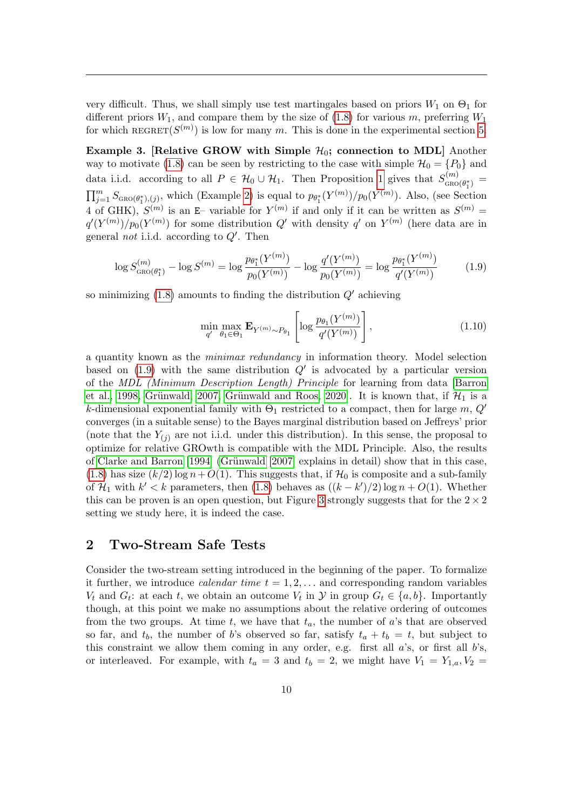very difficult. Thus, we shall simply use test martingales based on priors  $W_1$  on  $\Theta_1$  for different priors  $W_1$ , and compare them by the size of [\(1.8\)](#page-8-0) for various m, preferring  $W_1$ for which REGRET $(S^{(m)})$  is low for many m. This is done in the experimental section [5.](#page-18-0)

<span id="page-9-3"></span>Example 3. [Relative GROW with Simple  $H_0$ ; connection to MDL] Another way to motivate [\(1.8\)](#page-8-0) can be seen by restricting to the case with simple  $\mathcal{H}_0 = \{P_0\}$  and data i.i.d. according to all  $P \in \mathcal{H}_0 \cup \mathcal{H}_1$ . Then Proposition [1](#page-6-2) gives that  $S_{\text{GRO}(\theta_1^*)}^{(m)} =$  $\prod_{j=1}^m S_{\text{GRO}(\theta_1^*),(j)}$ , which (Example [2\)](#page-7-0) is equal to  $p_{\theta_1^*}(Y^{(m)})/p_0(Y^{(m)})$ . Also, (see Section 4 of GHK),  $S^{(m)}$  is an E– variable for  $Y^{(m)}$  if and only if it can be written as  $S^{(m)}$  =  $q'(Y^{(m)})/p_0(Y^{(m)})$  for some distribution  $Q'$  with density  $q'$  on  $Y^{(m)}$  (here data are in general *not* i.i.d. according to  $Q'$ . Then

<span id="page-9-1"></span>
$$
\log S_{\text{GRO}(\theta_1^*)}^{(m)} - \log S^{(m)} = \log \frac{p_{\theta_1^*}(Y^{(m)})}{p_0(Y^{(m)})} - \log \frac{q'(Y^{(m)})}{p_0(Y^{(m)})} = \log \frac{p_{\theta_1^*}(Y^{(m)})}{q'(Y^{(m)})}
$$
(1.9)

so minimizing  $(1.8)$  amounts to finding the distribution  $Q'$  achieving

<span id="page-9-2"></span>
$$
\min_{q'} \max_{\theta_1 \in \Theta_1} \mathbf{E}_{Y^{(m)} \sim P_{\theta_1}} \left[ \log \frac{p_{\theta_1}(Y^{(m)})}{q'(Y^{(m)})} \right],\tag{1.10}
$$

a quantity known as the minimax redundancy in information theory. Model selection based on  $(1.9)$  with the same distribution  $Q'$  is advocated by a particular version of the MDL (Minimum Description Length) Principle for learning from data [\[Barron](#page-31-2) [et al., 1998,](#page-31-2) Grünwald, 2007, Grünwald and Roos, 2020. It is known that, if  $\mathcal{H}_1$  is a k-dimensional exponential family with  $\Theta_1$  restricted to a compact, then for large m,  $Q'$ converges (in a suitable sense) to the Bayes marginal distribution based on Jeffreys' prior (note that the  $Y_{(i)}$  are not i.i.d. under this distribution). In this sense, the proposal to optimize for relative GROwth is compatible with the MDL Principle. Also, the results of Clarke and Barron  $[1994]$  (Grünwald  $[2007]$  explains in detail) show that in this case,  $(1.8)$  has size  $(k/2)$  log  $n+O(1)$ . This suggests that, if  $\mathcal{H}_0$  is composite and a sub-family of  $\mathcal{H}_1$  with  $k' < k$  parameters, then [\(1.8\)](#page-8-0) behaves as  $((k - k')/2) \log n + O(1)$ . Whether this can be proven is an open question, but Figure [3](#page-20-0) strongly suggests that for the  $2 \times 2$ setting we study here, it is indeed the case.

### <span id="page-9-0"></span>2 Two-Stream Safe Tests

Consider the two-stream setting introduced in the beginning of the paper. To formalize it further, we introduce *calendar time*  $t = 1, 2, \ldots$  and corresponding random variables  $V_t$  and  $G_t$ : at each t, we obtain an outcome  $V_t$  in  $\mathcal Y$  in group  $G_t \in \{a, b\}$ . Importantly though, at this point we make no assumptions about the relative ordering of outcomes from the two groups. At time t, we have that  $t_a$ , the number of a's that are observed so far, and  $t_b$ , the number of b's observed so far, satisfy  $t_a + t_b = t$ , but subject to this constraint we allow them coming in any order, e.g. first all  $a$ 's, or first all  $b$ 's, or interleaved. For example, with  $t_a = 3$  and  $t_b = 2$ , we might have  $V_1 = Y_{1,a}, V_2 =$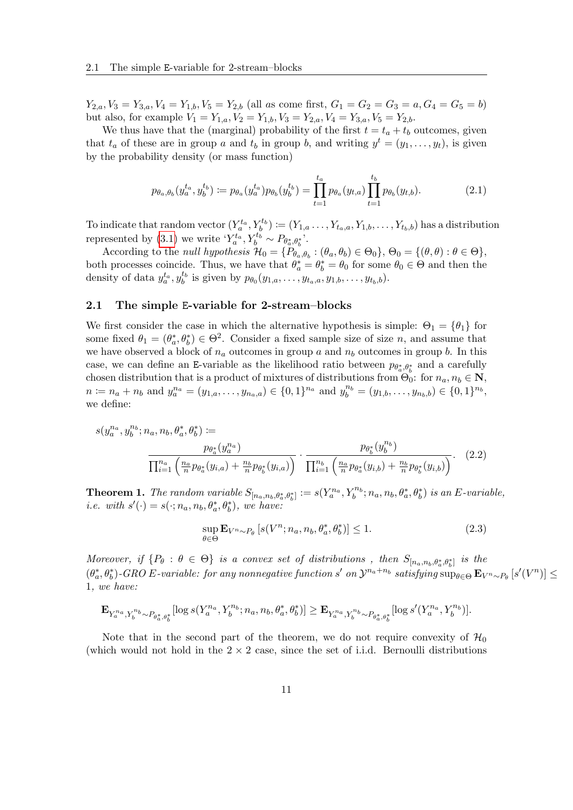$Y_{2,a}, V_3 = Y_{3,a}, V_4 = Y_{1,b}, V_5 = Y_{2,b}$  (all as come first,  $G_1 = G_2 = G_3 = a, G_4 = G_5 = b$ ) but also, for example  $V_1 = Y_{1,a}, V_2 = Y_{1,b}, V_3 = Y_{2,a}, V_4 = Y_{3,a}, V_5 = Y_{2,b}.$ 

We thus have that the (marginal) probability of the first  $t = t_a + t_b$  outcomes, given that  $t_a$  of these are in group a and  $t_b$  in group b, and writing  $y^t = (y_1, \ldots, y_t)$ , is given by the probability density (or mass function)

<span id="page-10-2"></span>
$$
p_{\theta_a, \theta_b}(y_a^{t_a}, y_b^{t_b}) := p_{\theta_a}(y_a^{t_a}) p_{\theta_b}(y_b^{t_b}) = \prod_{t=1}^{t_a} p_{\theta_a}(y_{t,a}) \prod_{t=1}^{t_b} p_{\theta_b}(y_{t,b}).
$$
\n(2.1)

To indicate that random vector  $(Y_a^{t_a}, Y_b^{t_b}) \coloneqq (Y_{1,a} \dots, Y_{t_a,a}, Y_{1,b}, \dots, Y_{t_b,b})$  has a distribution represented by [\(3.1\)](#page-14-1) we write  $Y_a^{t_a}, Y_b^{t_b} \sim P_{\theta_a^*, \theta_b^*}$ .

According to the *null hypothesis*  $\mathcal{H}_0 = \{P_{\theta_a,\theta_b} : (\theta_a, \theta_b) \in \Theta_0\}$ ,  $\Theta_0 = \{(\theta, \theta) : \theta \in \Theta\}$ , both processes coincide. Thus, we have that  $\theta_a^* = \theta_b^* = \theta_0$  for some  $\theta_0 \in \Theta$  and then the density of data  $y_a^{t_a}, y_b^{t_b}$  is given by  $p_{\theta_0}(y_{1,a}, \ldots, y_{t_a,a}, y_{1,b}, \ldots, y_{t_b,b}).$ 

#### <span id="page-10-0"></span>2.1 The simple E-variable for 2-stream–blocks

We first consider the case in which the alternative hypothesis is simple:  $\Theta_1 = {\theta_1}$  for some fixed  $\theta_1 = (\theta_a^*, \theta_b^*) \in \Theta^2$ . Consider a fixed sample size of size n, and assume that we have observed a block of  $n_a$  outcomes in group a and  $n_b$  outcomes in group b. In this case, we can define an E-variable as the likelihood ratio between  $p_{\theta_a^*, \theta_b^*}$  and a carefully chosen distribution that is a product of mixtures of distributions from  $\Theta_0$ : for  $n_a, n_b \in \mathbb{N}$ ,  $n \coloneqq n_a + n_b$  and  $y_a^{n_a} = (y_{1,a}, \ldots, y_{n_a,a}) \in \{0,1\}^{n_a}$  and  $y_b^{n_b} = (y_{1,b}, \ldots, y_{n_b,b}) \in \{0,1\}^{n_b}$ we define:

$$
s(y_a^{n_a}, y_b^{n_b}; n_a, n_b, \theta_a^*, \theta_b^*) :=
$$
  

$$
\frac{p_{\theta_a^*}(y_a^{n_a})}{\prod_{i=1}^{n_a} \left(\frac{n_a}{n} p_{\theta_a^*}(y_{i,a}) + \frac{n_b}{n} p_{\theta_b^*}(y_{i,a})\right)} \cdot \frac{p_{\theta_b^*}(y_b^{n_b})}{\prod_{i=1}^{n_b} \left(\frac{n_a}{n} p_{\theta_a^*}(y_{i,b}) + \frac{n_b}{n} p_{\theta_b^*}(y_{i,b})\right)}.
$$
 (2.2)

<span id="page-10-1"></span>**Theorem 1.** The random variable  $S_{[n_a,n_b,\theta_a^*,\theta_b^*]} := s(Y_a^{n_a}, Y_b^{n_b}; n_a, n_b, \theta_a^*, \theta_b^*)$  is an E-variable, *i.e.* with  $s'(\cdot) = s(\cdot; n_a, n_b, \theta_a^*, \theta_b^*)$ , we have:

<span id="page-10-3"></span>
$$
\sup_{\theta \in \Theta} \mathbf{E}_{V^n \sim P_\theta} \left[ s(V^n; n_a, n_b, \theta_a^*, \theta_b^*) \right] \le 1. \tag{2.3}
$$

Moreover, if  $\{P_\theta : \theta \in \Theta\}$  is a convex set of distributions, then  $S_{[n_a,n_b,\theta_a^*,\theta_b^*]}$  is the  $(\theta_a^*, \theta_b^*)$ -GRO E-variable: for any nonnegative function s' on  $\mathcal{Y}^{n_a+n_b}$  satisfying  $\sup_{\theta \in \Theta} \mathbf{E}_{V^{n} \sim P_{\theta}} \left[ s'(V^{n}) \right] \leq$ 1, we have:

$$
\mathbf{E}_{Y_a^{n_a}, Y_b^{n_b} \sim P_{\theta_a^*, \theta_b^*}} [\log s(Y_a^{n_a}, Y_b^{n_b}; n_a, n_b, \theta_a^*, \theta_b^*)] \geq \mathbf{E}_{Y_a^{n_a}, Y_b^{n_b} \sim P_{\theta_a^*, \theta_b^*}} [\log s'(Y_a^{n_a}, Y_b^{n_b})].
$$

Note that in the second part of the theorem, we do not require convexity of  $\mathcal{H}_0$ (which would not hold in the  $2 \times 2$  case, since the set of i.i.d. Bernoulli distributions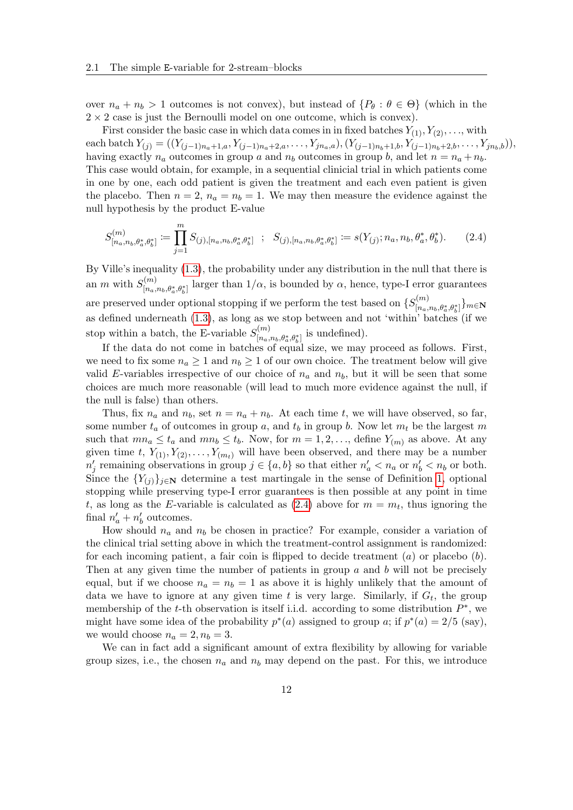over  $n_a + n_b > 1$  outcomes is not convex), but instead of  $\{P_\theta : \theta \in \Theta\}$  (which in the  $2 \times 2$  case is just the Bernoulli model on one outcome, which is convex).

First consider the basic case in which data comes in in fixed batches  $Y_{(1)}, Y_{(2)}, \ldots$ , with each batch  $Y_{(j)} = ((Y_{(j-1)n_a+1,a}, Y_{(j-1)n_a+2,a}, \ldots, Y_{jn_a,a}), (Y_{(j-1)n_b+1,b}, Y_{(j-1)n_b+2,b}, \ldots, Y_{jn_b,b})),$ having exactly  $n_a$  outcomes in group a and  $n_b$  outcomes in group b, and let  $n = n_a + n_b$ . This case would obtain, for example, in a sequential clinicial trial in which patients come in one by one, each odd patient is given the treatment and each even patient is given the placebo. Then  $n = 2$ ,  $n_a = n_b = 1$ . We may then measure the evidence against the null hypothesis by the product E-value

<span id="page-11-0"></span>
$$
S_{[n_a,n_b,\theta_a^*,\theta_b^*]}^{(m)} := \prod_{j=1}^m S_{(j),[n_a,n_b,\theta_a^*,\theta_b^*]} \; ; \; S_{(j),[n_a,n_b,\theta_a^*,\theta_b^*]} := s(Y_{(j)};n_a,n_b,\theta_a^*,\theta_b^*). \tag{2.4}
$$

By Ville's inequality [\(1.3\)](#page-5-1), the probability under any distribution in the null that there is an m with  $S_{\text{in}}^{(m)}$  $\lim_{[n_a,n_b,\theta^*_a,\theta^*_b]}$  larger than  $1/\alpha$ , is bounded by  $\alpha$ , hence, type-I error guarantees are preserved under optional stopping if we perform the test based on  $\{S_{\text{in}}^{(m)}\}$  $\{ \substack{m,n_{{b}},n_{b},\theta_{a}^{*},\theta_{b}^{*} \}}$ m $\in$ N as defined underneath [\(1.3\)](#page-5-1), as long as we stop between and not 'within' batches (if we stop within a batch, the E-variable  $S_{\text{m}}^{(m)}$  $\binom{m}{[n_a,n_b,\theta^*_a,\theta^*_b]}$  is undefined).

If the data do not come in batches of equal size, we may proceed as follows. First, we need to fix some  $n_a \geq 1$  and  $n_b \geq 1$  of our own choice. The treatment below will give valid E-variables irrespective of our choice of  $n_a$  and  $n_b$ , but it will be seen that some choices are much more reasonable (will lead to much more evidence against the null, if the null is false) than others.

Thus, fix  $n_a$  and  $n_b$ , set  $n = n_a + n_b$ . At each time t, we will have observed, so far, some number  $t_a$  of outcomes in group a, and  $t_b$  in group b. Now let  $m_t$  be the largest m such that  $mn_a \leq t_a$  and  $mn_b \leq t_b$ . Now, for  $m = 1, 2, \ldots$ , define  $Y_{(m)}$  as above. At any given time t,  $Y_{(1)}, Y_{(2)}, \ldots, Y_{(m_t)}$  will have been observed, and there may be a number  $n'_j$  remaining observations in group  $j \in \{a, b\}$  so that either  $n'_a < n_a$  or  $n'_b < n_b$  or both. Since the  ${Y_{(i)}}_{i\in\mathbb{N}}$  determine a test martingale in the sense of Definition [1,](#page-4-1) optional stopping while preserving type-I error guarantees is then possible at any point in time t, as long as the E-variable is calculated as  $(2.4)$  above for  $m = m_t$ , thus ignoring the final  $n'_a + n'_b$  outcomes.

How should  $n_a$  and  $n_b$  be chosen in practice? For example, consider a variation of the clinical trial setting above in which the treatment-control assignment is randomized: for each incoming patient, a fair coin is flipped to decide treatment  $(a)$  or placebo  $(b)$ . Then at any given time the number of patients in group  $a$  and  $b$  will not be precisely equal, but if we choose  $n_a = n_b = 1$  as above it is highly unlikely that the amount of data we have to ignore at any given time t is very large. Similarly, if  $G_t$ , the group membership of the t-th observation is itself i.i.d. according to some distribution  $P^*$ , we might have some idea of the probability  $p^*(a)$  assigned to group a; if  $p^*(a) = 2/5$  (say), we would choose  $n_a = 2, n_b = 3$ .

We can in fact add a significant amount of extra flexibility by allowing for variable group sizes, i.e., the chosen  $n_a$  and  $n_b$  may depend on the past. For this, we introduce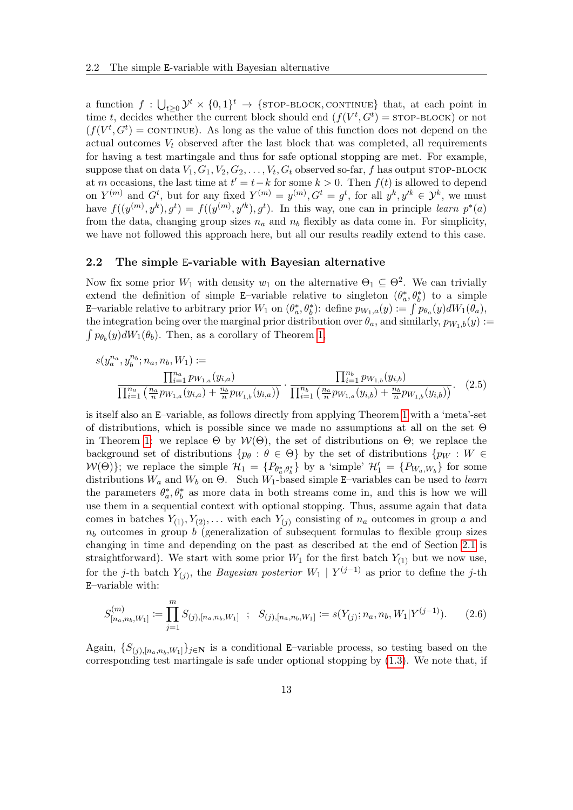a function  $f: \bigcup_{t\geq 0} \mathcal{Y}^t \times \{0,1\}^t \to \{\text{STOP-BLOCK}, \text{CONTINUE}\}\$  that, at each point in time t, decides whether the current block should end  $(f(V^t, G^t) =$  STOP-BLOCK) or not  $(f(V^t, G^t))$  = CONTINUE). As long as the value of this function does not depend on the actual outcomes  $V_t$  observed after the last block that was completed, all requirements for having a test martingale and thus for safe optional stopping are met. For example, suppose that on data  $V_1, G_1, V_2, G_2, \ldots, V_t, G_t$  observed so-far, f has output STOP-BLOCK at m occasions, the last time at  $t' = t - k$  for some  $k > 0$ . Then  $f(t)$  is allowed to depend on  $Y^{(m)}$  and  $G^t$ , but for any fixed  $Y^{(m)} = y^{(m)}$ ,  $G^t = g^t$ , for all  $y^k, y'^k \in \mathcal{Y}^k$ , we must have  $f((y^{(m)}, y^k), g^t) = f((y^{(m)}, y'^k), g^t)$ . In this way, one can in principle learn  $p^*(a)$ from the data, changing group sizes  $n_a$  and  $n_b$  flexibly as data come in. For simplicity, we have not followed this approach here, but all our results readily extend to this case.

#### <span id="page-12-2"></span>2.2 The simple E-variable with Bayesian alternative

Now fix some prior  $W_1$  with density  $w_1$  on the alternative  $\Theta_1 \subseteq \Theta^2$ . We can trivially extend the definition of simple E–variable relative to singleton  $(\theta_a^*, \theta_b^*)$  to a simple E-variable relative to arbitrary prior  $W_1$  on  $(\theta_a^*, \theta_b^*)$ : define  $p_{W_1,a}(y) := \int p_{\theta_a}(y) dW_1(\theta_a)$ , the integration being over the marginal prior distribution over  $\theta_a$ , and similarly,  $p_{W_1,b}(y) :=$  $\int p_{\theta_b}(y)dW_1(\theta_b)$ . Then, as a corollary of Theorem [1,](#page-10-1)

<span id="page-12-1"></span>
$$
s(y_a^{n_a}, y_b^{n_b}; n_a, n_b, W_1) := \frac{\prod_{i=1}^{n_a} p_{W_{1,a}}(y_{i,a})}{\prod_{i=1}^{n_a} \left(\frac{n_a}{n} p_{W_{1,a}}(y_{i,a}) + \frac{n_b}{n} p_{W_{1,b}}(y_{i,a})\right)} \cdot \frac{\prod_{i=1}^{n_b} p_{W_{1,b}}(y_{i,b})}{\prod_{i=1}^{n_b} \left(\frac{n_a}{n} p_{W_{1,a}}(y_{i,b}) + \frac{n_b}{n} p_{W_{1,b}}(y_{i,b})\right)}.
$$
(2.5)

is itself also an E–variable, as follows directly from applying Theorem [1](#page-10-1) with a 'meta'-set of distributions, which is possible since we made no assumptions at all on the set Θ in Theorem [1:](#page-10-1) we replace  $\Theta$  by  $W(\Theta)$ , the set of distributions on  $\Theta$ ; we replace the background set of distributions  $\{p_\theta : \theta \in \Theta\}$  by the set of distributions  $\{p_W : W \in$  $W(\Theta)$ ; we replace the simple  $\mathcal{H}_1 = \{P_{\theta_a^*, \theta_b^*}\}\$  by a 'simple'  $\mathcal{H}_1' = \{P_{W_a, W_b}\}\$  for some distributions  $W_a$  and  $W_b$  on  $\Theta$ . Such  $W_1$ -based simple E–variables can be used to learn the parameters  $\theta_a^*, \theta_b^*$  as more data in both streams come in, and this is how we will use them in a sequential context with optional stopping. Thus, assume again that data comes in batches  $Y_{(1)}, Y_{(2)}, \ldots$  with each  $Y_{(i)}$  consisting of  $n_a$  outcomes in group a and  $n_b$  outcomes in group b (generalization of subsequent formulas to flexible group sizes changing in time and depending on the past as described at the end of Section [2.1](#page-10-0) is straightforward). We start with some prior  $W_1$  for the first batch  $Y_{(1)}$  but we now use, for the j-th batch  $Y_{(j)}$ , the *Bayesian posterior*  $W_1 | Y^{(j-1)}$  as prior to define the j-th E–variable with:

<span id="page-12-0"></span>
$$
S_{[n_a,n_b,W_1]}^{(m)} := \prod_{j=1}^m S_{(j),[n_a,n_b,W_1]} \; ; \; S_{(j),[n_a,n_b,W_1]} := s(Y_{(j)};n_a,n_b,W_1|Y^{(j-1)}). \tag{2.6}
$$

Again,  $\{S_{(j),[n_a,n_b,W_1]}\}_{j\in\mathbb{N}}$  is a conditional E–variable process, so testing based on the corresponding test martingale is safe under optional stopping by  $(1.3)$ . We note that, if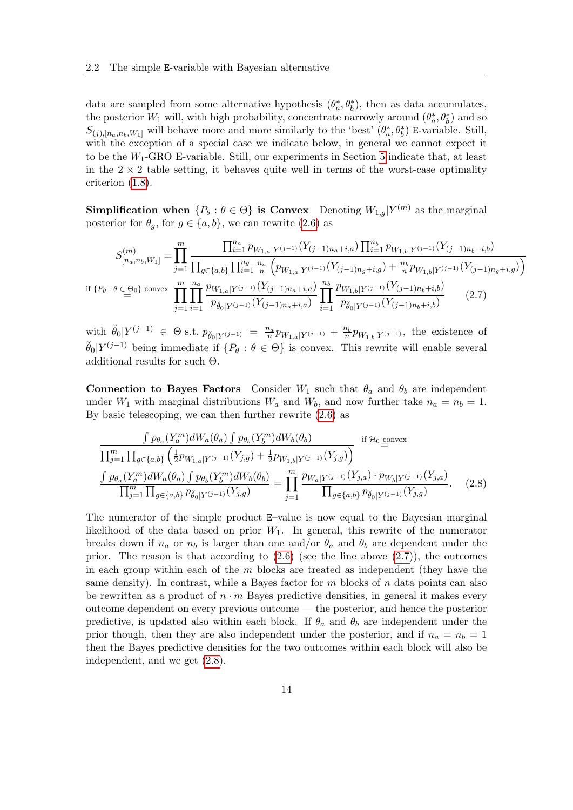data are sampled from some alternative hypothesis  $(\theta_a^*, \theta_b^*)$ , then as data accumulates, the posterior  $W_1$  will, with high probability, concentrate narrowly around  $(\theta_a^*, \theta_b^*)$  and so  $S_{(j),[n_a,n_b,W_1]}$  will behave more and more similarly to the 'best'  $(\theta_a^*, \theta_b^*)$  E-variable. Still, with the exception of a special case we indicate below, in general we cannot expect it to be the  $W_1$ -GRO E-variable. Still, our experiments in Section [5](#page-18-0) indicate that, at least in the  $2 \times 2$  table setting, it behaves quite well in terms of the worst-case optimality criterion [\(1.8\)](#page-8-0).

Simplification when  $\{P_\theta : \theta \in \Theta\}$  is Convex Denoting  $W_{1,g}|Y^{(m)}$  as the marginal posterior for  $\theta_q$ , for  $g \in \{a, b\}$ , we can rewrite [\(2.6\)](#page-12-0) as

<span id="page-13-0"></span>
$$
S_{[n_a,n_b,W_1]}^{(m)} = \prod_{j=1}^m \frac{\prod_{i=1}^{n_a} p_{W_{1,a}|Y^{(j-1)}}(Y_{(j-1)n_a+i,a}) \prod_{i=1}^{n_b} p_{W_{1,b}|Y^{(j-1)}}(Y_{(j-1)n_b+i,b})}{\prod_{g=1}^{n_a} \prod_{j=1}^{n_a} \prod_{j=1}^{n_a} \frac{p_{W_{1,a}|Y^{(j-1)}}(Y_{(j-1)n_a+i,a}) \prod_{j=1}^{n_b} p_{W_{1,b}|Y^{(j-1)}}(Y_{(j-1)n_b+i,b})}{\prod_{j=1}^m \prod_{i=1}^{n_a} \frac{p_{W_{1,a}|Y^{(j-1)}}(Y_{(j-1)n_a+i,a}) \prod_{i=1}^{n_b} \frac{p_{W_{1,b}|Y^{(j-1)}}(Y_{(j-1)n_b+i,b})}{p_{\check{\theta}_0|Y^{(j-1)}}(Y_{(j-1)n_b+i,b})}
$$
(2.7)

with  $\ddot{\theta}_0|Y^{(j-1)} \in \Theta$  s.t.  $p_{\ddot{\theta}_0|Y^{(j-1)}} = \frac{n_a}{n} p_{W_{1,a}|Y^{(j-1)}} + \frac{n_b}{n} p_{W_{1,b}|Y^{(j-1)}},$  the existence of  $\check{\theta}_0|Y^{(j-1)}$  being immediate if  $\{P_\theta: \theta \in \Theta\}$  is convex. This rewrite will enable several additional results for such Θ.

Connection to Bayes Factors Consider  $W_1$  such that  $\theta_a$  and  $\theta_b$  are independent under  $W_1$  with marginal distributions  $W_a$  and  $W_b$ , and now further take  $n_a = n_b = 1$ . By basic telescoping, we can then further rewrite [\(2.6\)](#page-12-0) as

<span id="page-13-1"></span>
$$
\frac{\int p_{\theta_a}(Y_a^m) dW_a(\theta_a) \int p_{\theta_b}(Y_b^m) dW_b(\theta_b)}{\prod_{j=1}^m \prod_{g \in \{a,b\}} \left(\frac{1}{2} p_{W_{1,a}|Y^{(j-1)}}(Y_{j,g}) + \frac{1}{2} p_{W_{1,b}|Y^{(j-1)}}(Y_{j,g})\right)} \text{ if } \mathcal{H}_0 \text{ convex}
$$
\n
$$
\frac{\int p_{\theta_a}(Y_a^m) dW_a(\theta_a) \int p_{\theta_b}(Y_b^m) dW_b(\theta_b)}{\prod_{j=1}^m \prod_{g \in \{a,b\}} p_{\theta_0|Y^{(j-1)}}(Y_{j,g})} = \prod_{j=1}^m \frac{p_{W_a|Y^{(j-1)}}(Y_{j,a}) \cdot p_{W_b|Y^{(j-1)}}(Y_{j,a})}{\prod_{g \in \{a,b\}} p_{\theta_0|Y^{(j-1)}}(Y_{j,g})}. \quad (2.8)
$$

The numerator of the simple product E–value is now equal to the Bayesian marginal likelihood of the data based on prior  $W_1$ . In general, this rewrite of the numerator breaks down if  $n_a$  or  $n_b$  is larger than one and/or  $\theta_a$  and  $\theta_b$  are dependent under the prior. The reason is that according to  $(2.6)$  (see the line above  $(2.7)$ ), the outcomes in each group within each of the  $m$  blocks are treated as independent (they have the same density). In contrast, while a Bayes factor for  $m$  blocks of  $n$  data points can also be rewritten as a product of  $n \cdot m$  Bayes predictive densities, in general it makes every outcome dependent on every previous outcome — the posterior, and hence the posterior predictive, is updated also within each block. If  $\theta_a$  and  $\theta_b$  are independent under the prior though, then they are also independent under the posterior, and if  $n_a = n_b = 1$ then the Bayes predictive densities for the two outcomes within each block will also be independent, and we get [\(2.8\)](#page-13-1).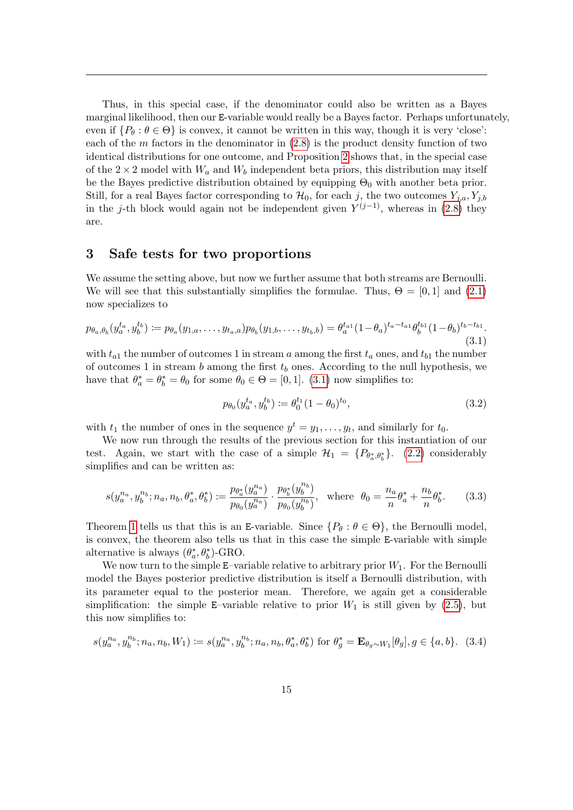Thus, in this special case, if the denominator could also be written as a Bayes marginal likelihood, then our E-variable would really be a Bayes factor. Perhaps unfortunately, even if  $\{P_\theta : \theta \in \Theta\}$  is convex, it cannot be written in this way, though it is very 'close': each of the  $m$  factors in the denominator in  $(2.8)$  is the product density function of two identical distributions for one outcome, and Proposition [2](#page-15-1) shows that, in the special case of the  $2 \times 2$  model with  $W_a$  and  $W_b$  independent beta priors, this distribution may itself be the Bayes predictive distribution obtained by equipping  $\Theta_0$  with another beta prior. Still, for a real Bayes factor corresponding to  $\mathcal{H}_0$ , for each j, the two outcomes  $Y_{j,a}, Y_{j,b}$ in the j-th block would again not be independent given  $Y^{(j-1)}$ , whereas in [\(2.8\)](#page-13-1) they are.

### <span id="page-14-0"></span>3 Safe tests for two proportions

We assume the setting above, but now we further assume that both streams are Bernoulli. We will see that this substantially simplifies the formulae. Thus,  $\Theta = [0, 1]$  and  $(2.1)$ now specializes to

<span id="page-14-1"></span>
$$
p_{\theta_a,\theta_b}(y_a^{t_a}, y_b^{t_b}) \coloneqq p_{\theta_a}(y_{1,a}, \dots, y_{t_a,a}) p_{\theta_b}(y_{1,b}, \dots, y_{t_b,b}) = \theta_a^{t_{a1}} (1 - \theta_a)^{t_a - t_{a1}} \theta_b^{t_{b1}} (1 - \theta_b)^{t_b - t_{b1}}.
$$
\n(3.1)

with  $t_{a1}$  the number of outcomes 1 in stream a among the first  $t_a$  ones, and  $t_{b1}$  the number of outcomes 1 in stream b among the first  $t<sub>b</sub>$  ones. According to the null hypothesis, we have that  $\theta_a^* = \theta_b^* = \theta_0$  for some  $\theta_0 \in \Theta = [0, 1]$ . [\(3.1\)](#page-14-1) now simplifies to:

$$
p_{\theta_0}(y_a^{t_a}, y_b^{t_b}) \coloneqq \theta_0^{t_1} (1 - \theta_0)^{t_0}, \tag{3.2}
$$

with  $t_1$  the number of ones in the sequence  $y^t = y_1, \ldots, y_t$ , and similarly for  $t_0$ .

We now run through the results of the previous section for this instantiation of our test. Again, we start with the case of a simple  $\mathcal{H}_1 = \{P_{\theta_a^*, \theta_b^*}\}\$ . [\(2.2\)](#page-10-3) considerably simplifies and can be written as:

$$
s(y_a^{n_a}, y_b^{n_b}; n_a, n_b, \theta_a^*, \theta_b^*) \coloneqq \frac{p_{\theta_a^*}(y_a^{n_a})}{p_{\theta_0}(y_a^{n_a})} \cdot \frac{p_{\theta_b^*}(y_b^{n_b})}{p_{\theta_0}(y_b^{n_b})}, \text{ where } \theta_0 = \frac{n_a}{n} \theta_a^* + \frac{n_b}{n} \theta_b^*.
$$
 (3.3)

Theorem [1](#page-10-1) tells us that this is an E-variable. Since  $\{P_\theta : \theta \in \Theta\}$ , the Bernoulli model, is convex, the theorem also tells us that in this case the simple E-variable with simple alternative is always  $(\theta_a^*, \theta_b^*)$ -GRO.

We now turn to the simple E–variable relative to arbitrary prior  $W_1$ . For the Bernoulli model the Bayes posterior predictive distribution is itself a Bernoulli distribution, with its parameter equal to the posterior mean. Therefore, we again get a considerable simplification: the simple E–variable relative to prior  $W_1$  is still given by [\(2.5\)](#page-12-1), but this now simplifies to:

<span id="page-14-2"></span>
$$
s(y_a^{n_a}, y_b^{n_b}; n_a, n_b, W_1) := s(y_a^{n_a}, y_b^{n_b}; n_a, n_b, \theta_a^*, \theta_b^*) \text{ for } \theta_g^* = \mathbf{E}_{\theta_g \sim W_1}[\theta_g], g \in \{a, b\}. \tag{3.4}
$$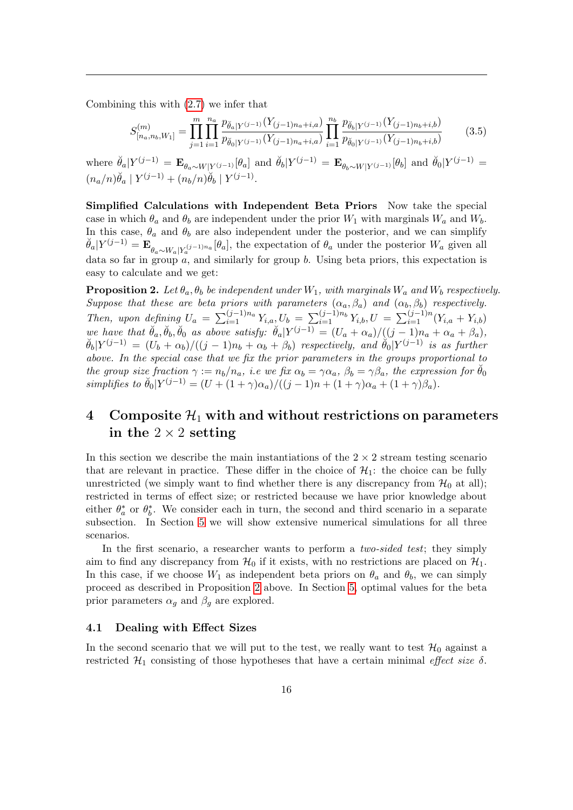Combining this with [\(2.7\)](#page-13-0) we infer that

<span id="page-15-2"></span>
$$
S_{[n_a,n_b,W_1]}^{(m)} = \prod_{j=1}^m \prod_{i=1}^{n_a} \frac{p_{\breve{\theta}_a|Y^{(j-1)}}(Y_{(j-1)n_a+i,a})}{p_{\breve{\theta}_0|Y^{(j-1)}}(Y_{(j-1)n_a+i,a})} \prod_{i=1}^{n_b} \frac{p_{\breve{\theta}_b|Y^{(j-1)}}(Y_{(j-1)n_b+i,b})}{p_{\breve{\theta}_0|Y^{(j-1)}}(Y_{(j-1)n_b+i,b})}
$$
(3.5)

where  $\ddot{\theta}_a|Y^{(j-1)} = \mathbf{E}_{\theta_a \sim W|Y^{(j-1)}}[\theta_a]$  and  $\ddot{\theta}_b|Y^{(j-1)} = \mathbf{E}_{\theta_b \sim W|Y^{(j-1)}}[\theta_b]$  and  $\ddot{\theta}_0|Y^{(j-1)} =$  $(n_a/n)\breve{\theta}_a \mid Y^{(j-1)} + (n_b/n)\breve{\theta}_b \mid Y^{(j-1)}.$ 

Simplified Calculations with Independent Beta Priors Now take the special case in which  $\theta_a$  and  $\theta_b$  are independent under the prior  $W_1$  with marginals  $W_a$  and  $W_b$ . In this case,  $\theta_a$  and  $\theta_b$  are also independent under the posterior, and we can simplify  $\check{\theta}_a|Y^{(j-1)} = \mathbf{E}_{\theta_a \sim W_a|Y_a^{(j-1)n_a}}[\theta_a]$ , the expectation of  $\theta_a$  under the posterior  $W_a$  given all data so far in group  $a$ , and similarly for group  $b$ . Using beta priors, this expectation is easy to calculate and we get:

<span id="page-15-1"></span>**Proposition 2.** Let  $\theta_a$ ,  $\theta_b$  be independent under  $W_1$ , with marginals  $W_a$  and  $W_b$  respectively. Suppose that these are beta priors with parameters  $(\alpha_a, \beta_a)$  and  $(\alpha_b, \beta_b)$  respectively. Then, upon defining  $U_a = \sum_{i=1}^{(j-1)n_a} Y_{i,a}$ ,  $U_b = \sum_{i=1}^{(j-1)n_b} Y_{i,b}$ ,  $U = \sum_{i=1}^{(j-1)n} (Y_{i,a} + Y_{i,b})$ we have that  $\check{\theta}_a, \check{\theta}_b, \check{\theta}_0$  as above satisfy:  $\check{\theta}_a | Y^{(j-1)} = (U_a + \alpha_a) / ((j-1)n_a + \alpha_a + \beta_a)$ ,  $\ddot{\theta}_b|Y^{(j-1)} = (U_b + \alpha_b)/((j-1)n_b + \alpha_b + \beta_b)$  respectively, and  $\ddot{\theta}_0|Y^{(j-1)}$  is as further above. In the special case that we fix the prior parameters in the groups proportional to the group size fraction  $\gamma := n_b/n_a$ , i.e we fix  $\alpha_b = \gamma \alpha_a$ ,  $\beta_b = \gamma \beta_a$ , the expression for  $\check{\theta}_0$ simplifies to  $\check{\theta}_0|Y^{(j-1)} = (U + (1+\gamma)\alpha_a)/((j-1)n + (1+\gamma)\alpha_a + (1+\gamma)\beta_a).$ 

## <span id="page-15-0"></span>4 Composite  $\mathcal{H}_1$  with and without restrictions on parameters in the  $2 \times 2$  setting

In this section we describe the main instantiations of the  $2 \times 2$  stream testing scenario that are relevant in practice. These differ in the choice of  $\mathcal{H}_1$ : the choice can be fully unrestricted (we simply want to find whether there is any discrepancy from  $H_0$  at all); restricted in terms of effect size; or restricted because we have prior knowledge about either  $\theta_a^*$  or  $\theta_b^*$ . We consider each in turn, the second and third scenario in a separate subsection. In Section [5](#page-18-0) we will show extensive numerical simulations for all three scenarios.

In the first scenario, a researcher wants to perform a two-sided test; they simply aim to find any discrepancy from  $\mathcal{H}_0$  if it exists, with no restrictions are placed on  $\mathcal{H}_1$ . In this case, if we choose  $W_1$  as independent beta priors on  $\theta_a$  and  $\theta_b$ , we can simply proceed as described in Proposition [2](#page-15-1) above. In Section [5,](#page-18-0) optimal values for the beta prior parameters  $\alpha_g$  and  $\beta_g$  are explored.

#### 4.1 Dealing with Effect Sizes

In the second scenario that we will put to the test, we really want to test  $\mathcal{H}_0$  against a restricted  $\mathcal{H}_1$  consisting of those hypotheses that have a certain minimal effect size  $\delta$ .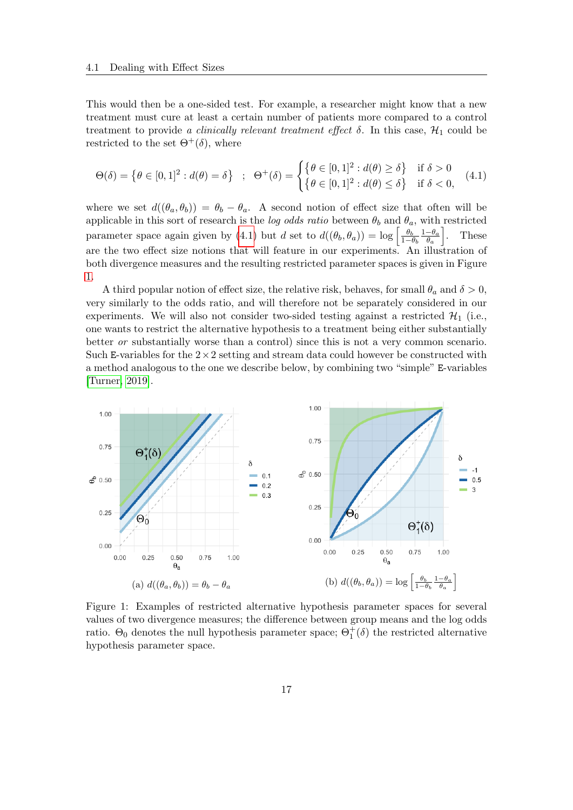This would then be a one-sided test. For example, a researcher might know that a new treatment must cure at least a certain number of patients more compared to a control treatment to provide a clinically relevant treatment effect  $\delta$ . In this case,  $\mathcal{H}_1$  could be restricted to the set  $\Theta^+(\delta)$ , where

<span id="page-16-0"></span>
$$
\Theta(\delta) = \left\{ \theta \in [0, 1]^2 : d(\theta) = \delta \right\} ; \quad \Theta^+(\delta) = \begin{cases} \left\{ \theta \in [0, 1]^2 : d(\theta) \ge \delta \right\} & \text{if } \delta > 0 \\ \left\{ \theta \in [0, 1]^2 : d(\theta) \le \delta \right\} & \text{if } \delta < 0, \end{cases} (4.1)
$$

where we set  $d((\theta_a, \theta_b)) = \theta_b - \theta_a$ . A second notion of effect size that often will be applicable in this sort of research is the *log odds ratio* between  $\theta_b$  and  $\theta_a$ , with restricted parameter space again given by [\(4.1\)](#page-16-0) but d set to  $d((\theta_b, \theta_a)) = \log \left[\frac{\theta_b}{1-d}\right]$  $1-\theta_b$  $1-\theta_a$  $\left[\frac{\theta_a}{\theta_a}\right]$ . These are the two effect size notions that will feature in our experiments. An illustration of both divergence measures and the resulting restricted parameter spaces is given in Figure [1.](#page-16-1)

A third popular notion of effect size, the relative risk, behaves, for small  $\theta_a$  and  $\delta > 0$ , very similarly to the odds ratio, and will therefore not be separately considered in our experiments. We will also not consider two-sided testing against a restricted  $\mathcal{H}_1$  (i.e., one wants to restrict the alternative hypothesis to a treatment being either substantially better or substantially worse than a control) since this is not a very common scenario. Such E-variables for the  $2 \times 2$  setting and stream data could however be constructed with a method analogous to the one we describe below, by combining two "simple" E-variables [\[Turner, 2019\]](#page-33-8).

<span id="page-16-1"></span>

Figure 1: Examples of restricted alternative hypothesis parameter spaces for several values of two divergence measures; the difference between group means and the log odds ratio.  $\Theta_0$  denotes the null hypothesis parameter space;  $\Theta_1^+(\delta)$  the restricted alternative hypothesis parameter space.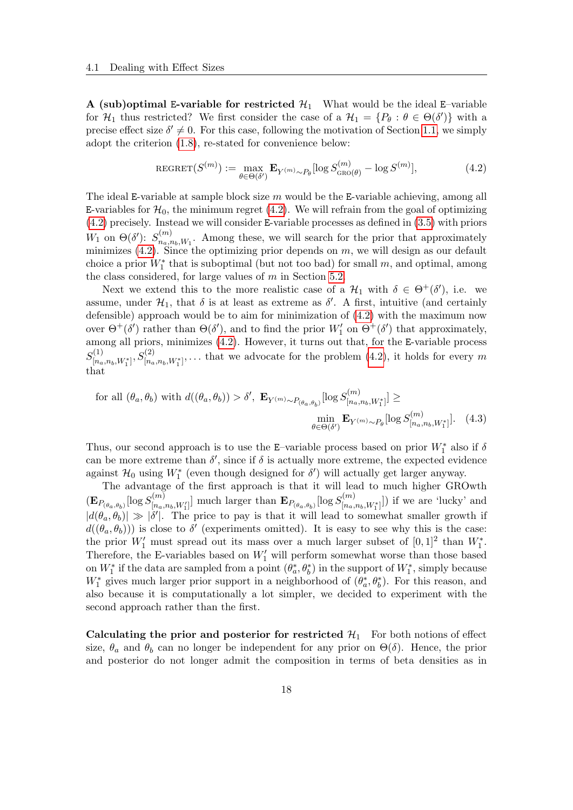A (sub)optimal E-variable for restricted  $\mathcal{H}_1$  What would be the ideal E-variable for  $\mathcal{H}_1$  thus restricted? We first consider the case of a  $\mathcal{H}_1 = \{P_\theta : \theta \in \Theta(\delta')\}$  with a precise effect size  $\delta' \neq 0$ . For this case, following the motivation of Section [1.1,](#page-4-0) we simply adopt the criterion [\(1.8\)](#page-8-0), re-stated for convenience below:

<span id="page-17-0"></span>
$$
REGRET(S^{(m)}) := \max_{\theta \in \Theta(\delta')} \mathbf{E}_{Y^{(m)} \sim P_{\theta}} [\log S^{(m)}_{\text{GRO}(\theta)} - \log S^{(m)}],\tag{4.2}
$$

The ideal E-variable at sample block size m would be the E-variable achieving, among all E-variables for  $\mathcal{H}_0$ , the minimum regret [\(4.2\)](#page-17-0). We will refrain from the goal of optimizing [\(4.2\)](#page-17-0) precisely. Instead we will consider E-variable processes as defined in [\(3.5\)](#page-15-2) with priors  $W_1$  on  $\Theta(\delta')$ :  $S_{n_o,j}^{(m)}$  $n_{a,n_b,W_1}$ . Among these, we will search for the prior that approximately minimizes  $(4.2)$ . Since the optimizing prior depends on m, we will design as our default choice a prior  $W_1^*$  that is suboptimal (but not too bad) for small  $m$ , and optimal, among the class considered, for large values of  $m$  in Section [5.2.](#page-19-1)

Next we extend this to the more realistic case of a  $\mathcal{H}_1$  with  $\delta \in \Theta^+(\delta')$ , i.e. we assume, under  $\mathcal{H}_1$ , that  $\delta$  is at least as extreme as  $\delta'$ . A first, intuitive (and certainly defensible) approach would be to aim for minimization of [\(4.2\)](#page-17-0) with the maximum now over  $\Theta^+(\delta')$  rather than  $\Theta(\delta')$ , and to find the prior  $W'_1$  on  $\Theta^+(\delta')$  that approximately, among all priors, minimizes [\(4.2\)](#page-17-0). However, it turns out that, for the E-variable process  $S^{(1)}_{\lceil n\rceil}$  $S_{[n_a,n_b,W_1^*]}^{(1)}, S_{[n_a,n_b,W_1^*]}^{(2)}, \ldots$  that we advocate for the problem  $(4.2)$ , it holds for every m that

for all 
$$
(\theta_a, \theta_b)
$$
 with  $d((\theta_a, \theta_b)) > \delta'$ ,  $\mathbf{E}_{Y^{(m)} \sim P_{(\theta_a, \theta_b)}}[\log S^{(m)}_{[n_a, n_b, W_1^*]}] \ge$   

$$
\min_{\theta \in \Theta(\delta')} \mathbf{E}_{Y^{(m)} \sim P_{\theta}}[\log S^{(m)}_{[n_a, n_b, W_1^*]}].
$$
 (4.3)

Thus, our second approach is to use the E–variable process based on prior  $W_1^*$  also if  $\delta$ can be more extreme than  $\delta'$ , since if  $\delta$  is actually more extreme, the expected evidence against  $\mathcal{H}_0$  using  $W_1^*$  (even though designed for  $\delta'$ ) will actually get larger anyway.

The advantage of the first approach is that it will lead to much higher GROwth  $(\mathbf{E}_{P_{(\theta_a,\theta_b)}}[\log S_{[n_a,\theta_b]}^{(m)}]$  $\mathbb{E}_{[n_a,n_b,W_1']}]$  much larger than  $\mathbf{E}_{P_{(\theta_a,\theta_b)}}$ [log  $S_{[n_a,m_b]}^{(m)}$  $\lim_{[n_a,n_b,W_1^*]}]$ ) if we are 'lucky' and  $|d(\theta_a, \theta_b)| \gg |\delta'|$ . The price to pay is that it will lead to somewhat smaller growth if  $d((\theta_a, \theta_b))$  is close to  $\delta'$  (experiments omitted). It is easy to see why this is the case: the prior  $W'_1$  must spread out its mass over a much larger subset of  $[0,1]^2$  than  $W_1^*$ . Therefore, the E-variables based on  $W'_1$  will perform somewhat worse than those based on  $W_1^*$  if the data are sampled from a point  $(\theta_a^*, \theta_b^*)$  in the support of  $W_1^*$ , simply because  $W_1^*$  gives much larger prior support in a neighborhood of  $(\theta_a^*, \theta_b^*)$ . For this reason, and also because it is computationally a lot simpler, we decided to experiment with the second approach rather than the first.

Calculating the prior and posterior for restricted  $\mathcal{H}_1$  For both notions of effect size,  $\theta_a$  and  $\theta_b$  can no longer be independent for any prior on  $\Theta(\delta)$ . Hence, the prior and posterior do not longer admit the composition in terms of beta densities as in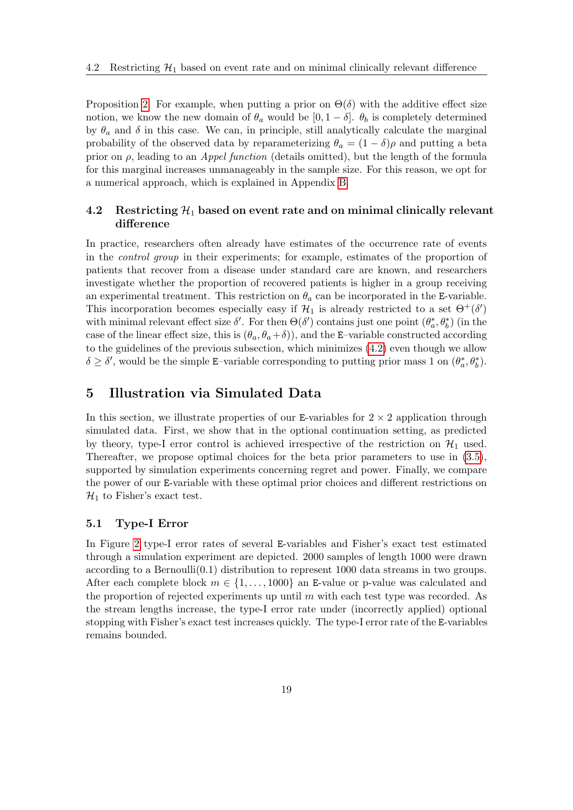Proposition [2.](#page-15-1) For example, when putting a prior on  $\Theta(\delta)$  with the additive effect size notion, we know the new domain of  $\theta_a$  would be  $[0, 1 - \delta]$ .  $\theta_b$  is completely determined by  $\theta_a$  and  $\delta$  in this case. We can, in principle, still analytically calculate the marginal probability of the observed data by reparameterizing  $\theta_a = (1 - \delta)\rho$  and putting a beta prior on  $\rho$ , leading to an *Appel function* (details omitted), but the length of the formula for this marginal increases unmanageably in the sample size. For this reason, we opt for a numerical approach, which is explained in Appendix [B.](#page-37-0)

### 4.2 Restricting  $\mathcal{H}_1$  based on event rate and on minimal clinically relevant difference

In practice, researchers often already have estimates of the occurrence rate of events in the control group in their experiments; for example, estimates of the proportion of patients that recover from a disease under standard care are known, and researchers investigate whether the proportion of recovered patients is higher in a group receiving an experimental treatment. This restriction on  $\theta_a$  can be incorporated in the E-variable. This incorporation becomes especially easy if  $\mathcal{H}_1$  is already restricted to a set  $\Theta^+(\delta')$ with minimal relevant effect size  $\delta'$ . For then  $\Theta(\delta')$  contains just one point  $(\theta_a^*, \theta_b^*)$  (in the case of the linear effect size, this is  $(\theta_a, \theta_a+\delta)$ , and the E–variable constructed according to the guidelines of the previous subsection, which minimizes [\(4.2\)](#page-17-0) even though we allow  $\delta \geq \delta'$ , would be the simple E-variable corresponding to putting prior mass 1 on  $(\theta_a^*, \theta_b^*)$ .

### <span id="page-18-0"></span>5 Illustration via Simulated Data

In this section, we illustrate properties of our E-variables for  $2 \times 2$  application through simulated data. First, we show that in the optional continuation setting, as predicted by theory, type-I error control is achieved irrespective of the restriction on  $\mathcal{H}_1$  used. Thereafter, we propose optimal choices for the beta prior parameters to use in [\(3.5\)](#page-15-2), supported by simulation experiments concerning regret and power. Finally, we compare the power of our E-variable with these optimal prior choices and different restrictions on  $\mathcal{H}_1$  to Fisher's exact test.

### 5.1 Type-I Error

In Figure [2](#page-19-0) type-I error rates of several E-variables and Fisher's exact test estimated through a simulation experiment are depicted. 2000 samples of length 1000 were drawn according to a Bernoulli $(0.1)$  distribution to represent 1000 data streams in two groups. After each complete block  $m \in \{1, \ldots, 1000\}$  an E-value or p-value was calculated and the proportion of rejected experiments up until  $m$  with each test type was recorded. As the stream lengths increase, the type-I error rate under (incorrectly applied) optional stopping with Fisher's exact test increases quickly. The type-I error rate of the E-variables remains bounded.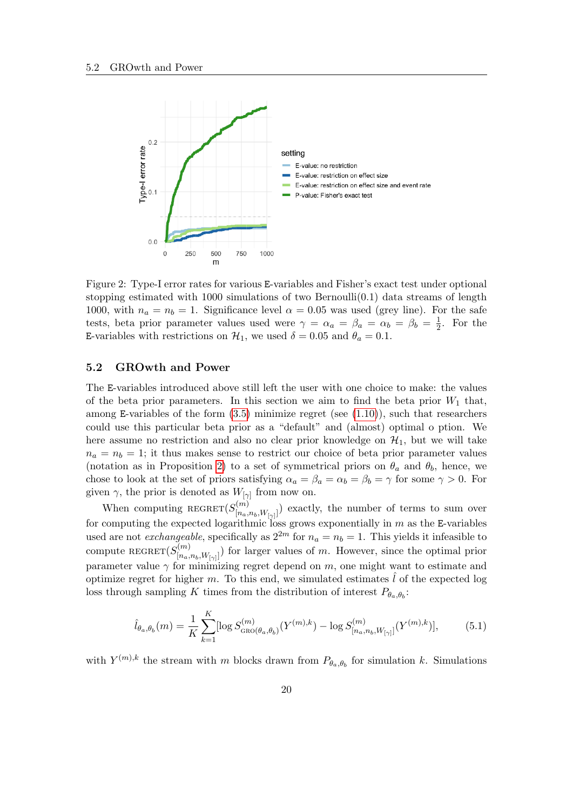<span id="page-19-0"></span>

Figure 2: Type-I error rates for various E-variables and Fisher's exact test under optional stopping estimated with 1000 simulations of two Bernoulli $(0.1)$  data streams of length 1000, with  $n_a = n_b = 1$ . Significance level  $\alpha = 0.05$  was used (grey line). For the safe tests, beta prior parameter values used were  $\gamma = \alpha_a = \beta_a = \alpha_b = \beta_b = \frac{1}{2}$  $\frac{1}{2}$ . For the E-variables with restrictions on  $\mathcal{H}_1$ , we used  $\delta = 0.05$  and  $\theta_a = 0.1$ .

#### <span id="page-19-1"></span>5.2 GROwth and Power

The E-variables introduced above still left the user with one choice to make: the values of the beta prior parameters. In this section we aim to find the beta prior  $W_1$  that, among E-variables of the form  $(3.5)$  minimize regret (see  $(1.10)$ ), such that researchers could use this particular beta prior as a "default" and (almost) optimal o ption. We here assume no restriction and also no clear prior knowledge on  $\mathcal{H}_1$ , but we will take  $n_a = n_b = 1$ ; it thus makes sense to restrict our choice of beta prior parameter values (notation as in Proposition [2\)](#page-15-1) to a set of symmetrical priors on  $\theta_a$  and  $\theta_b$ , hence, we chose to look at the set of priors satisfying  $\alpha_a = \beta_a = \alpha_b = \beta_b = \gamma$  for some  $\gamma > 0$ . For given  $\gamma$ , the prior is denoted as  $W_{[\gamma]}$  from now on.

When computing REGRET $(S_{\text{In}}^{(m)})$  $\binom{m}{[n_a,n_b,W_{[\gamma]}]}$  exactly, the number of terms to sum over for computing the expected logarithmic loss grows exponentially in  $m$  as the E-variables used are not *exchangeable*, specifically as  $2^{2m}$  for  $n_a = n_b = 1$ . This yields it infeasible to compute REGRET $(S_{\text{In}}^{(m)}$  $\binom{m}{[n_a,n_b,W_{[\gamma]}]}$  for larger values of m. However, since the optimal prior parameter value  $\gamma$  for minimizing regret depend on m, one might want to estimate and optimize regret for higher m. To this end, we simulated estimates  $\hat{l}$  of the expected log loss through sampling K times from the distribution of interest  $P_{\theta_a, \theta_b}$ :

$$
\hat{l}_{\theta_a,\theta_b}(m) = \frac{1}{K} \sum_{k=1}^K [\log S^{(m)}_{\text{GRO}(\theta_a,\theta_b)}(Y^{(m),k}) - \log S^{(m)}_{[n_a,n_b,W_{[\gamma]}]}(Y^{(m),k})],\tag{5.1}
$$

with  $Y^{(m),k}$  the stream with m blocks drawn from  $P_{\theta_a,\theta_b}$  for simulation k. Simulations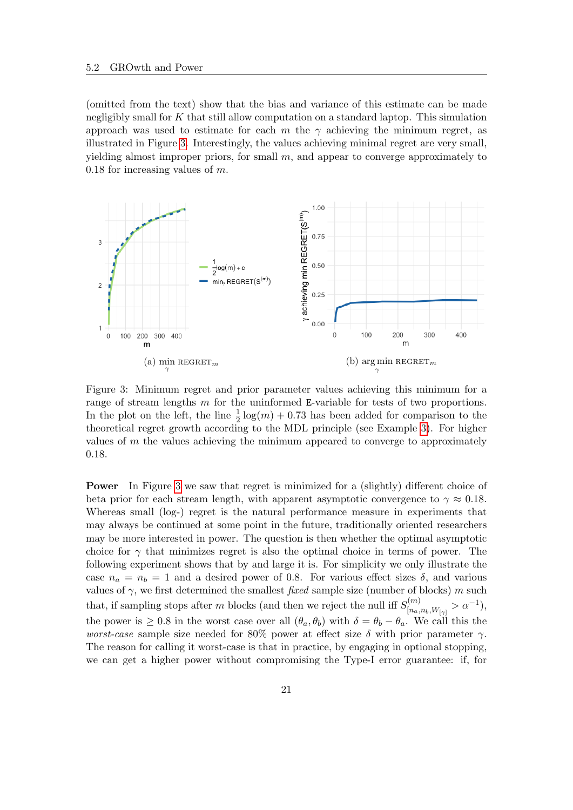(omitted from the text) show that the bias and variance of this estimate can be made negligibly small for  $K$  that still allow computation on a standard laptop. This simulation approach was used to estimate for each m the  $\gamma$  achieving the minimum regret, as illustrated in Figure [3.](#page-20-0) Interestingly, the values achieving minimal regret are very small, yielding almost improper priors, for small  $m$ , and appear to converge approximately to 0.18 for increasing values of  $m$ .

<span id="page-20-0"></span>

Figure 3: Minimum regret and prior parameter values achieving this minimum for a range of stream lengths  $m$  for the uninformed E-variable for tests of two proportions. In the plot on the left, the line  $\frac{1}{2}\log(m) + 0.73$  has been added for comparison to the theoretical regret growth according to the MDL principle (see Example [3\)](#page-9-3). For higher values of  $m$  the values achieving the minimum appeared to converge to approximately 0.18.

**Power** In Figure [3](#page-20-0) we saw that regret is minimized for a (slightly) different choice of beta prior for each stream length, with apparent asymptotic convergence to  $\gamma \approx 0.18$ . Whereas small (log-) regret is the natural performance measure in experiments that may always be continued at some point in the future, traditionally oriented researchers may be more interested in power. The question is then whether the optimal asymptotic choice for  $\gamma$  that minimizes regret is also the optimal choice in terms of power. The following experiment shows that by and large it is. For simplicity we only illustrate the case  $n_a = n_b = 1$  and a desired power of 0.8. For various effect sizes  $\delta$ , and various values of  $\gamma$ , we first determined the smallest *fixed* sample size (number of blocks) m such that, if sampling stops after m blocks (and then we reject the null iff  $S_{\text{in}}^{(m)}$  $\frac{m(m)}{[n_a,n_b,W_{[\gamma]}} > \alpha^{-1}),$ the power is  $\geq 0.8$  in the worst case over all  $(\theta_a, \theta_b)$  with  $\delta = \theta_b - \theta_a$ . We call this the worst-case sample size needed for 80% power at effect size  $\delta$  with prior parameter  $\gamma$ . The reason for calling it worst-case is that in practice, by engaging in optional stopping, we can get a higher power without compromising the Type-I error guarantee: if, for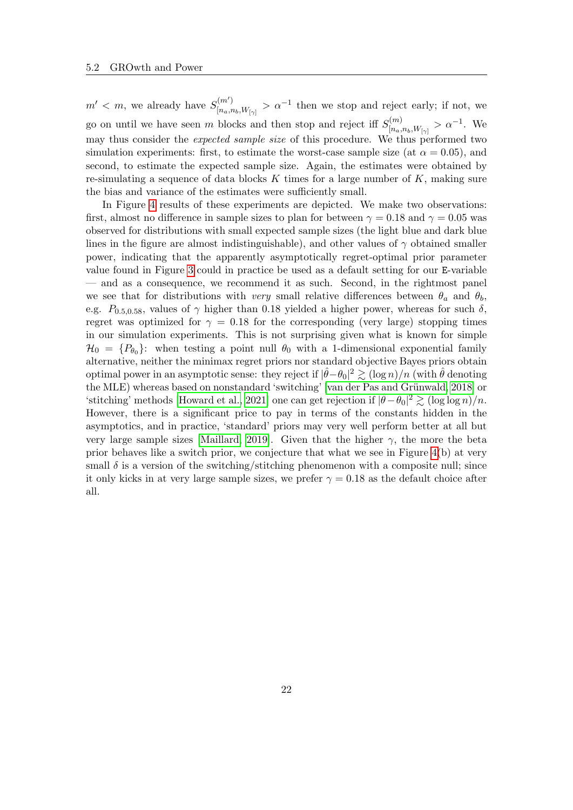$m' < m$ , we already have  $S_{\text{lin}}^{(m')}$  $\sum_{[n_a,n_b,W_{[\gamma]}}^{(m')} > \alpha^{-1}$  then we stop and reject early; if not, we go on until we have seen m blocks and then stop and reject iff  $S_{n}^{(m)}$  $\frac{N^{(m)}}{[n_a,n_b,W_{[\gamma]}} > \alpha^{-1}$ . We may thus consider the expected sample size of this procedure. We thus performed two simulation experiments: first, to estimate the worst-case sample size (at  $\alpha = 0.05$ ), and second, to estimate the expected sample size. Again, the estimates were obtained by re-simulating a sequence of data blocks  $K$  times for a large number of  $K$ , making sure the bias and variance of the estimates were sufficiently small.

In Figure [4](#page-22-0) results of these experiments are depicted. We make two observations: first, almost no difference in sample sizes to plan for between  $\gamma = 0.18$  and  $\gamma = 0.05$  was observed for distributions with small expected sample sizes (the light blue and dark blue lines in the figure are almost indistinguishable), and other values of  $\gamma$  obtained smaller power, indicating that the apparently asymptotically regret-optimal prior parameter value found in Figure [3](#page-20-0) could in practice be used as a default setting for our E-variable — and as a consequence, we recommend it as such. Second, in the rightmost panel we see that for distributions with very small relative differences between  $\theta_a$  and  $\theta_b$ , e.g.  $P_{0.5,0.58}$ , values of  $\gamma$  higher than 0.18 yielded a higher power, whereas for such  $\delta$ , regret was optimized for  $\gamma = 0.18$  for the corresponding (very large) stopping times in our simulation experiments. This is not surprising given what is known for simple  $\mathcal{H}_0 = \{P_{\theta_0}\}\$ : when testing a point null  $\theta_0$  with a 1-dimensional exponential family alternative, neither the minimax regret priors nor standard objective Bayes priors obtain optimal power in an asymptotic sense: they reject if  $|\hat{\theta}-\theta_0|^2 \gtrsim (\log n)/n$  (with  $\hat{\theta}$  denoting the MLE) whereas based on nonstandard 'switching' [van der Pas and Grünwald, 2018] or 'stitching' methods [\[Howard et al., 2021\]](#page-32-1) one can get rejection if  $|\hat{\theta} - \theta_0|^2 \gtrsim (\log \log n)/n$ . However, there is a significant price to pay in terms of the constants hidden in the asymptotics, and in practice, 'standard' priors may very well perform better at all but very large sample sizes [\[Maillard, 2019\]](#page-33-10). Given that the higher  $\gamma$ , the more the beta prior behaves like a switch prior, we conjecture that what we see in Figure [4\(](#page-22-0)b) at very small  $\delta$  is a version of the switching/stitching phenomenon with a composite null; since it only kicks in at very large sample sizes, we prefer  $\gamma = 0.18$  as the default choice after all.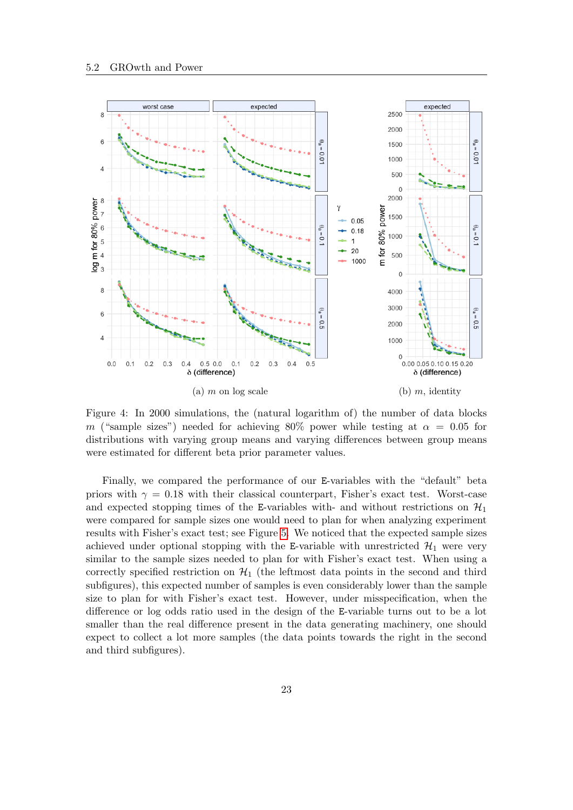<span id="page-22-0"></span>

Figure 4: In 2000 simulations, the (natural logarithm of) the number of data blocks m ("sample sizes") needed for achieving 80% power while testing at  $\alpha = 0.05$  for distributions with varying group means and varying differences between group means were estimated for different beta prior parameter values.

Finally, we compared the performance of our E-variables with the "default" beta priors with  $\gamma = 0.18$  with their classical counterpart, Fisher's exact test. Worst-case and expected stopping times of the E-variables with- and without restrictions on  $\mathcal{H}_1$ were compared for sample sizes one would need to plan for when analyzing experiment results with Fisher's exact test; see Figure [5.](#page-23-1) We noticed that the expected sample sizes achieved under optional stopping with the E-variable with unrestricted  $\mathcal{H}_1$  were very similar to the sample sizes needed to plan for with Fisher's exact test. When using a correctly specified restriction on  $H_1$  (the leftmost data points in the second and third subfigures), this expected number of samples is even considerably lower than the sample size to plan for with Fisher's exact test. However, under misspecification, when the difference or log odds ratio used in the design of the E-variable turns out to be a lot smaller than the real difference present in the data generating machinery, one should expect to collect a lot more samples (the data points towards the right in the second and third subfigures).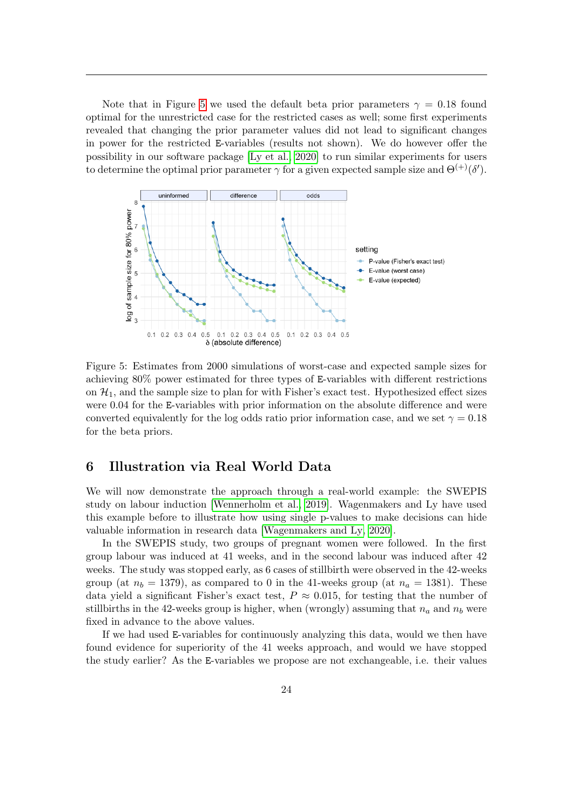Note that in Figure [5](#page-23-1) we used the default beta prior parameters  $\gamma = 0.18$  found optimal for the unrestricted case for the restricted cases as well; some first experiments revealed that changing the prior parameter values did not lead to significant changes in power for the restricted E-variables (results not shown). We do however offer the possibility in our software package [\[Ly et al., 2020\]](#page-33-4) to run similar experiments for users to determine the optimal prior parameter  $\gamma$  for a given expected sample size and  $\Theta^{(+)}(\delta')$ .

<span id="page-23-1"></span>

Figure 5: Estimates from 2000 simulations of worst-case and expected sample sizes for achieving 80% power estimated for three types of E-variables with different restrictions on  $\mathcal{H}_1$ , and the sample size to plan for with Fisher's exact test. Hypothesized effect sizes were 0.04 for the E-variables with prior information on the absolute difference and were converted equivalently for the log odds ratio prior information case, and we set  $\gamma = 0.18$ for the beta priors.

### <span id="page-23-0"></span>6 Illustration via Real World Data

We will now demonstrate the approach through a real-world example: the SWEPIS study on labour induction [\[Wennerholm et al., 2019\]](#page-34-1). Wagenmakers and Ly have used this example before to illustrate how using single p-values to make decisions can hide valuable information in research data [\[Wagenmakers and Ly, 2020\]](#page-34-3).

In the SWEPIS study, two groups of pregnant women were followed. In the first group labour was induced at 41 weeks, and in the second labour was induced after 42 weeks. The study was stopped early, as 6 cases of stillbirth were observed in the 42-weeks group (at  $n_b = 1379$ ), as compared to 0 in the 41-weeks group (at  $n_a = 1381$ ). These data yield a significant Fisher's exact test,  $P \approx 0.015$ , for testing that the number of stillbirths in the 42-weeks group is higher, when (wrongly) assuming that  $n_a$  and  $n_b$  were fixed in advance to the above values.

If we had used E-variables for continuously analyzing this data, would we then have found evidence for superiority of the 41 weeks approach, and would we have stopped the study earlier? As the E-variables we propose are not exchangeable, i.e. their values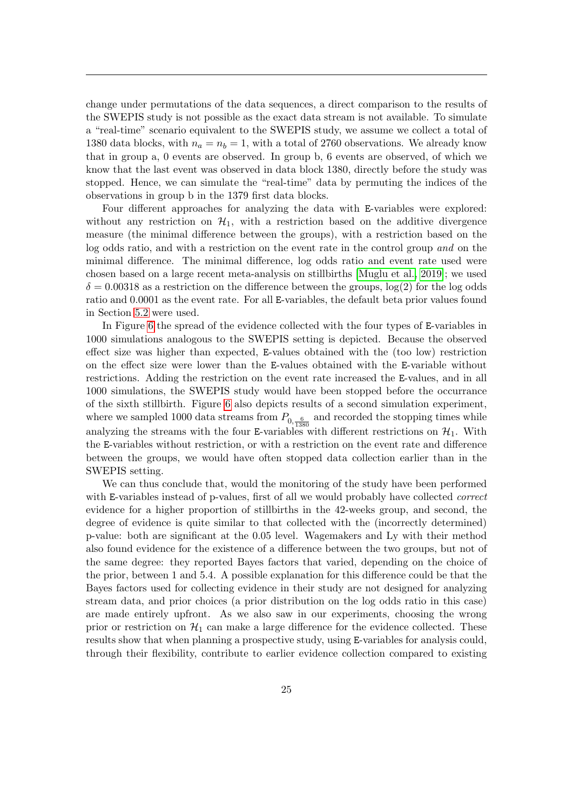change under permutations of the data sequences, a direct comparison to the results of the SWEPIS study is not possible as the exact data stream is not available. To simulate a "real-time" scenario equivalent to the SWEPIS study, we assume we collect a total of 1380 data blocks, with  $n_a = n_b = 1$ , with a total of 2760 observations. We already know that in group a, 0 events are observed. In group b, 6 events are observed, of which we know that the last event was observed in data block 1380, directly before the study was stopped. Hence, we can simulate the "real-time" data by permuting the indices of the observations in group b in the 1379 first data blocks.

Four different approaches for analyzing the data with E-variables were explored: without any restriction on  $\mathcal{H}_1$ , with a restriction based on the additive divergence measure (the minimal difference between the groups), with a restriction based on the log odds ratio, and with a restriction on the event rate in the control group and on the minimal difference. The minimal difference, log odds ratio and event rate used were chosen based on a large recent meta-analysis on stillbirths [\[Muglu et al., 2019\]](#page-33-11); we used  $\delta = 0.00318$  as a restriction on the difference between the groups,  $log(2)$  for the log odds ratio and 0.0001 as the event rate. For all E-variables, the default beta prior values found in Section [5.2](#page-19-1) were used.

In Figure [6](#page-25-1) the spread of the evidence collected with the four types of E-variables in 1000 simulations analogous to the SWEPIS setting is depicted. Because the observed effect size was higher than expected, E-values obtained with the (too low) restriction on the effect size were lower than the E-values obtained with the E-variable without restrictions. Adding the restriction on the event rate increased the E-values, and in all 1000 simulations, the SWEPIS study would have been stopped before the occurrance of the sixth stillbirth. Figure [6](#page-25-1) also depicts results of a second simulation experiment, where we sampled 1000 data streams from  $P_{0, \frac{6}{1380}}$  and recorded the stopping times while analyzing the streams with the four E-variables with different restrictions on  $\mathcal{H}_1$ . With the E-variables without restriction, or with a restriction on the event rate and difference between the groups, we would have often stopped data collection earlier than in the SWEPIS setting.

We can thus conclude that, would the monitoring of the study have been performed with E-variables instead of p-values, first of all we would probably have collected *correct* evidence for a higher proportion of stillbirths in the 42-weeks group, and second, the degree of evidence is quite similar to that collected with the (incorrectly determined) p-value: both are significant at the 0.05 level. Wagemakers and Ly with their method also found evidence for the existence of a difference between the two groups, but not of the same degree: they reported Bayes factors that varied, depending on the choice of the prior, between 1 and 5.4. A possible explanation for this difference could be that the Bayes factors used for collecting evidence in their study are not designed for analyzing stream data, and prior choices (a prior distribution on the log odds ratio in this case) are made entirely upfront. As we also saw in our experiments, choosing the wrong prior or restriction on  $\mathcal{H}_1$  can make a large difference for the evidence collected. These results show that when planning a prospective study, using E-variables for analysis could, through their flexibility, contribute to earlier evidence collection compared to existing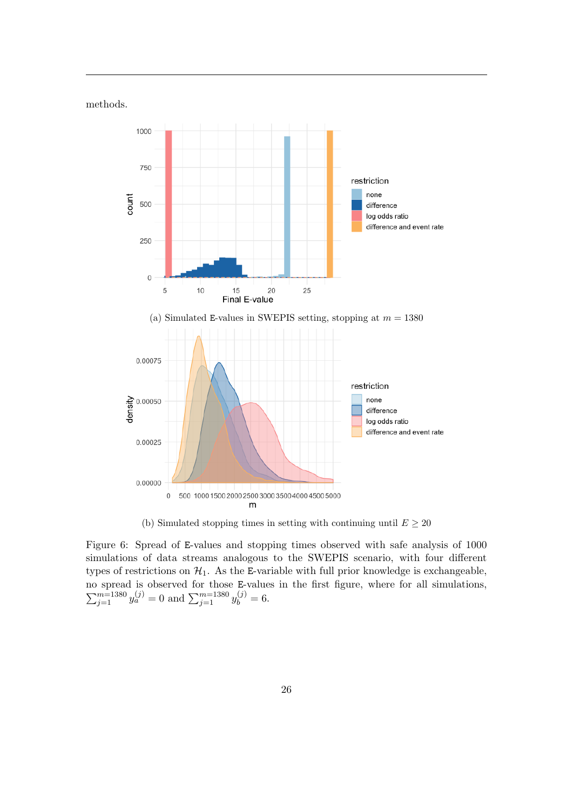<span id="page-25-1"></span>methods.



(b) Simulated stopping times in setting with continuing until  $E \geq 20$ 

<span id="page-25-0"></span>Figure 6: Spread of E-values and stopping times observed with safe analysis of 1000 simulations of data streams analogous to the SWEPIS scenario, with four different types of restrictions on  $\mathcal{H}_1$ . As the E-variable with full prior knowledge is exchangeable, no spread is observed for those E-values in the first figure, where for all simulations,  $\sum_{j=1}^{m=1380} y_a^{(j)} = 0$  and  $\sum_{j=1}^{m=1380} y_b^{(j)} = 6$ .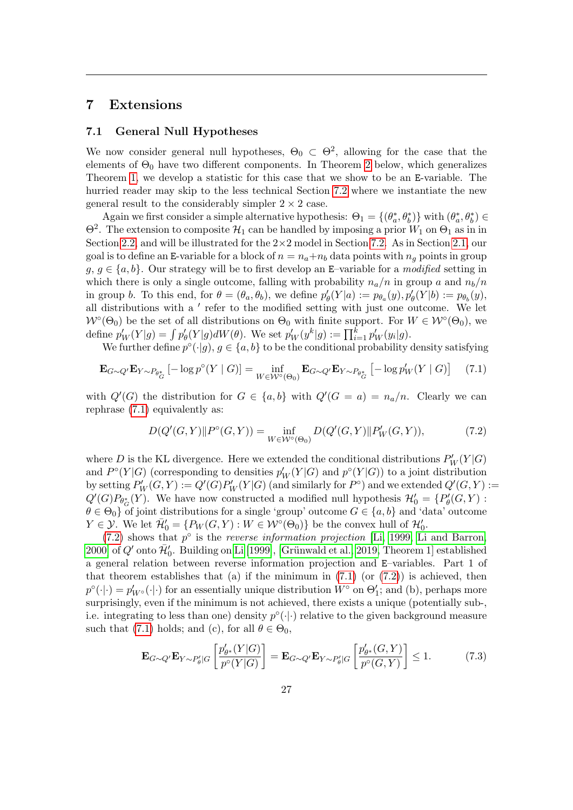### 7 Extensions

#### 7.1 General Null Hypotheses

We now consider general null hypotheses,  $\Theta_0 \subset \Theta^2$ , allowing for the case that the elements of  $\Theta_0$  have two different components. In Theorem [2](#page-27-0) below, which generalizes Theorem [1,](#page-10-1) we develop a statistic for this case that we show to be an E-variable. The hurried reader may skip to the less technical Section [7.2](#page-27-1) where we instantiate the new general result to the considerably simpler  $2 \times 2$  case.

Again we first consider a simple alternative hypothesis:  $\Theta_1 = \{(\theta_a^*, \theta_b^*)\}$  with  $(\theta_a^*, \theta_b^*) \in$  $\Theta^2$ . The extension to composite  $\mathcal{H}_1$  can be handled by imposing a prior  $W_1$  on  $\Theta_1$  as in in Section [2.2,](#page-12-2) and will be illustrated for the  $2\times 2$  model in Section [7.2.](#page-27-1) As in Section [2.1,](#page-10-0) our goal is to define an E-variable for a block of  $n = n_a + n_b$  data points with  $n_g$  points in group  $g, g \in \{a, b\}$ . Our strategy will be to first develop an E–variable for a modified setting in which there is only a single outcome, falling with probability  $n_a/n$  in group a and  $n_b/n$ in group b. To this end, for  $\theta = (\theta_a, \theta_b)$ , we define  $p'_\theta(Y|a) := p_{\theta_a}(y), p'_\theta(Y|b) := p_{\theta_b}(y)$ , all distributions with a ' refer to the modified setting with just one outcome. We let  $W^{\circ}(\Theta_0)$  be the set of all distributions on  $\Theta_0$  with finite support. For  $W \in W^{\circ}(\Theta_0)$ , we define  $p'_{W}(Y|g) = \int p'_{\theta}(Y|g)dW(\theta)$ . We set  $p'_{W}(y^{k}|g) := \prod_{i=1}^{k} p'_{W}(y_{i}|g)$ .

We further define  $p^{\circ}(\cdot|g), g \in \{a, b\}$  to be the conditional probability density satisfying

<span id="page-26-0"></span>
$$
\mathbf{E}_{G \sim Q'} \mathbf{E}_{Y \sim P_{\theta_G^*}} [-\log p^{\circ}(Y \mid G)] = \inf_{W \in \mathcal{W}^{\circ}(\Theta_0)} \mathbf{E}_{G \sim Q'} \mathbf{E}_{Y \sim P_{\theta_G^*}} [-\log p_W'(Y \mid G)] \tag{7.1}
$$

with  $Q'(G)$  the distribution for  $G \in \{a, b\}$  with  $Q'(G = a) = n_a/n$ . Clearly we can rephrase [\(7.1\)](#page-26-0) equivalently as:

<span id="page-26-1"></span>
$$
D(Q'(G,Y)||P^{\circ}(G,Y)) = \inf_{W \in \mathcal{W}^{\circ}(\Theta_0)} D(Q'(G,Y)||P'_{W}(G,Y)), \tag{7.2}
$$

where D is the KL divergence. Here we extended the conditional distributions  $P'_{W}(Y|G)$ and  $P^{\circ}(Y|G)$  (corresponding to densities  $p'_{W}(Y|G)$  and  $p^{\circ}(Y|G)$ ) to a joint distribution by setting  $P'_W(G,Y) := Q'(G)P'_W(Y|G)$  (and similarly for  $P^{\circ}$ ) and we extended  $Q'(G,Y) :=$  $Q'(G)P_{\theta_{G}^*}(Y)$ . We have now constructed a modified null hypothesis  $\mathcal{H}'_0 = \{P'_{\theta}(G,Y):$  $\theta \in \Theta_0$  of joint distributions for a single 'group' outcome  $G \in \{a, b\}$  and 'data' outcome  $Y \in \mathcal{Y}$ . We let  $\bar{\mathcal{H}}'_0 = \{P_W(G, Y) : W \in \mathcal{W}^\circ(\Theta_0)\}\$ be the convex hull of  $\mathcal{H}'_0$ .

[\(7.2\)](#page-26-1) shows that  $p^{\circ}$  is the *reverse information projection* [\[Li, 1999,](#page-32-13) [Li and Barron,](#page-33-12) [2000\]](#page-33-12) of  $Q'$  onto  $\bar{\mathcal{H}}'_0$ . Building on [Li \[1999\]](#page-32-13), [Grünwald et al., 2019, Theorem 1] established a general relation between reverse information projection and E–variables. Part 1 of that theorem establishes that (a) if the minimum in  $(7.1)$  (or  $(7.2)$ ) is achieved, then  $p^{\circ}(\cdot|\cdot) = p'_{W^{\circ}}(\cdot|\cdot)$  for an essentially unique distribution  $W^{\circ}$  on  $\Theta'_{1}$ ; and (b), perhaps more surprisingly, even if the minimum is not achieved, there exists a unique (potentially sub-, i.e. integrating to less than one) density  $p^{\circ}(\cdot|\cdot)$  relative to the given background measure such that [\(7.1\)](#page-26-0) holds; and (c), for all  $\theta \in \Theta_0$ ,

<span id="page-26-2"></span>
$$
\mathbf{E}_{G \sim Q'} \mathbf{E}_{Y \sim P'_{\theta}|G} \left[ \frac{p'_{\theta^*}(Y|G)}{p^{\circ}(Y|G)} \right] = \mathbf{E}_{G \sim Q'} \mathbf{E}_{Y \sim P'_{\theta}|G} \left[ \frac{p'_{\theta^*}(G, Y)}{p^{\circ}(G, Y)} \right] \le 1.
$$
 (7.3)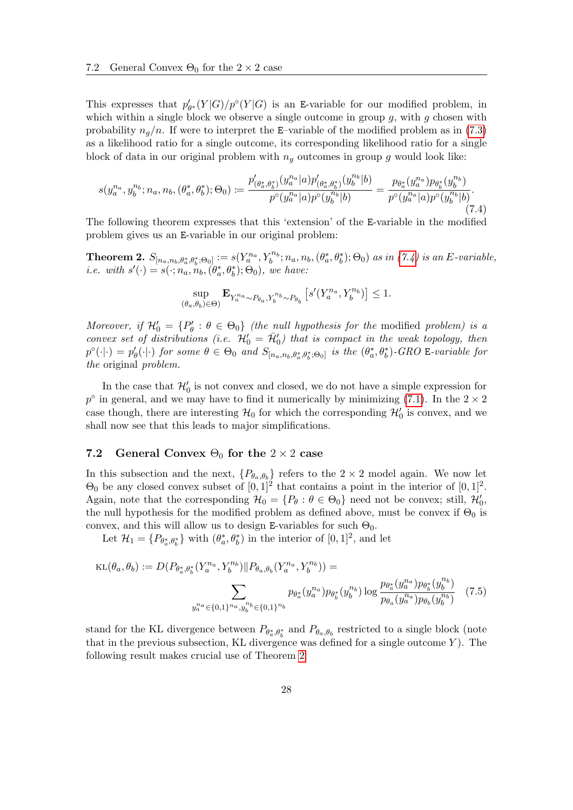This expresses that  $p'_{\theta^*}(Y|G)/p^{\circ}(Y|G)$  is an E-variable for our modified problem, in which within a single block we observe a single outcome in group  $g$ , with  $g$  chosen with probability  $n_q/n$ . If were to interpret the E–variable of the modified problem as in [\(7.3\)](#page-26-2) as a likelihood ratio for a single outcome, its corresponding likelihood ratio for a single block of data in our original problem with  $n_q$  outcomes in group g would look like:

<span id="page-27-2"></span>
$$
s(y_a^{n_a}, y_b^{n_b}; n_a, n_b, (\theta_a^*, \theta_b^*); \Theta_0) := \frac{p'_{(\theta_a^*, \theta_b^*)}(y_a^{n_a} | a) p'_{(\theta_a^*, \theta_b^*)}(y_b^{n_b} | b)}{p^{\circ}(y_a^{n_a} | a) p^{\circ}(y_b^{n_b} | b)} = \frac{p_{\theta_a^*}(y_a^{n_a}) p_{\theta_b^*}(y_b^{n_b})}{p^{\circ}(y_a^{n_a} | a) p^{\circ}(y_b^{n_b} | b)}.
$$
\n(7.4)

The following theorem expresses that this 'extension' of the E-variable in the modified problem gives us an E-variable in our original problem:

<span id="page-27-0"></span>**Theorem 2.**  $S_{[n_a,n_b,\theta_a^*,\theta_b^*;\Theta_0]} := s(Y_a^{n_a}, Y_b^{n_b};n_a,n_b,(\theta_a^*,\theta_b^*);\Theta_0)$  as in [\(7.4\)](#page-27-2) is an E-variable, *i.e.* with  $s'(\cdot) = s(\cdot; n_a, n_b, (\theta_a^*, \theta_b^*); \Theta_0)$ , we have:

$$
\sup_{(\theta_a,\theta_b)\in \Theta)}\mathbf{E}_{Y_a^{n_a}\sim P_{\theta_a},Y_b^{n_b}\sim P_{\theta_b}}\left[s'(Y_a^{n_a},Y_b^{n_b})\right]\leq 1.
$$

Moreover, if  $\mathcal{H}'_0 = \{P'_\theta : \theta \in \Theta_0\}$  (the null hypothesis for the modified problem) is a convex set of distributions (i.e.  $\mathcal{H}'_0 = \bar{\mathcal{H}}'_0$ ) that is compact in the weak topology, then  $p^{\circ}(\cdot|\cdot) = p'_{\theta}(\cdot|\cdot)$  for some  $\theta \in \Theta_0$  and  $S_{[n_a,n_b,\theta_a^*,\Theta_0]}$  is the  $(\theta_a^*,\theta_b^*)$ -GRO E-variable for the original problem.

In the case that  $\mathcal{H}'_0$  is not convex and closed, we do not have a simple expression for  $p^{\circ}$  in general, and we may have to find it numerically by minimizing [\(7.1\)](#page-26-0). In the  $2 \times 2$ case though, there are interesting  $\mathcal{H}_0$  for which the corresponding  $\mathcal{H}'_0$  is convex, and we shall now see that this leads to major simplifications.

#### <span id="page-27-1"></span>7.2 General Convex  $\Theta_0$  for the  $2 \times 2$  case

In this subsection and the next,  $\{P_{\theta_a,\theta_b}\}\)$  refers to the  $2 \times 2$  model again. We now let  $\Theta_0$  be any closed convex subset of  $[0,1]^2$  that contains a point in the interior of  $[0,1]^2$ . Again, note that the corresponding  $\mathcal{H}_0 = \{P_\theta : \theta \in \Theta_0\}$  need not be convex; still,  $\mathcal{H}'_0$ , the null hypothesis for the modified problem as defined above, must be convex if  $\Theta_0$  is convex, and this will allow us to design E-variables for such  $\Theta_0$ .

<span id="page-27-3"></span>Let  $\mathcal{H}_1 = \{P_{\theta_a^*, \theta_b^*}\}\$  with  $(\theta_a^*, \theta_b^*)$  in the interior of  $[0, 1]^2$ , and let

$$
\text{KL}(\theta_a, \theta_b) := D(P_{\theta_a^*, \theta_b^*}(Y_a^{n_a}, Y_b^{n_b}) \| P_{\theta_a, \theta_b}(Y_a^{n_a}, Y_b^{n_b})) = \sum_{y_a^{n_a} \in \{0, 1\}^{n_a}, y_b^{n_b} \in \{0, 1\}^{n_b}} p_{\theta_a^*}(y_a^{n_a}) p_{\theta_b^*}(y_b^{n_b}) \log \frac{p_{\theta_a^*}(y_a^{n_a}) p_{\theta_b^*}(y_b^{n_b})}{p_{\theta_a}(y_a^{n_a}) p_{\theta_b}(y_b^{n_b})}
$$
(7.5)

stand for the KL divergence between  $P_{\theta_a^*, \theta_b^*}$  and  $P_{\theta_a, \theta_b}$  restricted to a single block (note that in the previous subsection, KL divergence was defined for a single outcome  $Y$ ). The following result makes crucial use of Theorem [2:](#page-27-0)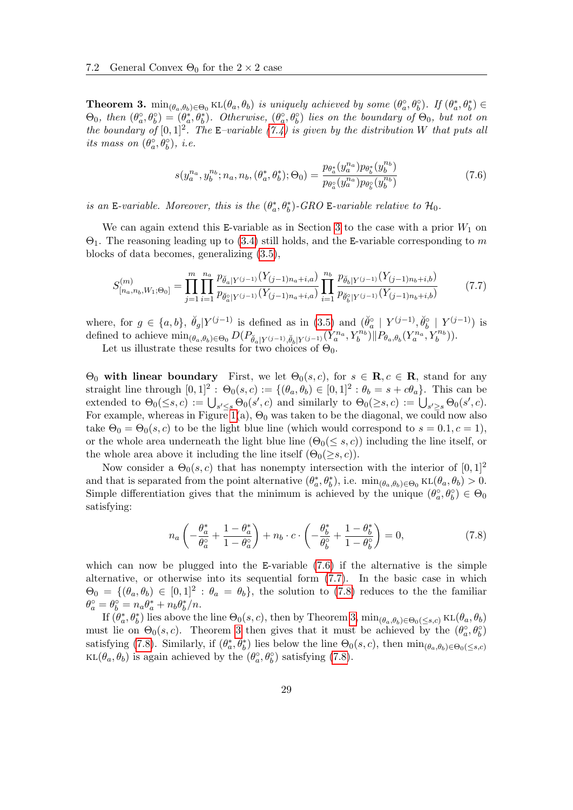<span id="page-28-3"></span>**Theorem 3.**  $\min_{(\theta_a,\theta_b)\in\Theta_0} \text{KL}(\theta_a,\theta_b)$  is uniquely achieved by some  $(\theta_a^{\circ},\theta_b^{\circ})$ . If  $(\theta_a^*,\theta_b^*) \in$  $\Theta_0$ , then  $(\theta_a^{\circ}, \theta_b^{\circ}) = (\theta_a^*, \theta_b^*)$ . Otherwise,  $(\theta_a^{\circ}, \theta_b^{\circ})$  lies on the boundary of  $\Theta_0$ , but not on the boundary of  $[0,1]^2$ . The E-variable [\(7.4\)](#page-27-2) is given by the distribution W that puts all its mass on  $(\theta_a^{\circ}, \theta_b^{\circ}), i.e.$ 

<span id="page-28-1"></span><span id="page-28-0"></span>
$$
s(y_a^{n_a}, y_b^{n_b}; n_a, n_b, (\theta_a^*, \theta_b^*); \Theta_0) = \frac{p_{\theta_a^*}(y_a^{n_a}) p_{\theta_b^*}(y_b^{n_b})}{p_{\theta_a^{\circ}}(y_a^{n_a}) p_{\theta_b^{\circ}}(y_b^{n_b})}
$$
(7.6)

is an E-variable. Moreover, this is the  $(\theta_a^*, \theta_b^*)$ -GRO E-variable relative to  $\mathcal{H}_0$ .

We can again extend this E-variable as in Section [3](#page-14-0) to the case with a prior  $W_1$  on  $\Theta_1$ . The reasoning leading up to [\(3.4\)](#page-14-2) still holds, and the E-variable corresponding to m blocks of data becomes, generalizing [\(3.5\)](#page-15-2),

$$
S_{[n_a,n_b,W_1;\Theta_0]}^{(m)} = \prod_{j=1}^m \prod_{i=1}^{n_a} \frac{p_{\check{\theta}_a|Y^{(j-1)}} (Y_{(j-1)n_a+i,a})}{p_{\check{\theta}_a|Y^{(j-1)}} (Y_{(j-1)n_a+i,a})} \prod_{i=1}^{n_b} \frac{p_{\check{\theta}_b|Y^{(j-1)}} (Y_{(j-1)n_b+i,b})}{p_{\check{\theta}_b^o|Y^{(j-1)}} (Y_{(j-1)n_b+i,b})}
$$
(7.7)

where, for  $g \in \{a, b\}$ ,  $\ddot{\theta}_g | Y^{(j-1)}$  is defined as in [\(3.5\)](#page-15-2) and  $(\ddot{\theta}_a^{\circ} | Y^{(j-1)}, \ddot{\theta}_b^{\circ} | Y^{(j-1)})$  is defined to achieve  $\min_{(\theta_a,\theta_b)\in\Theta_0} D(P_{\theta_a|Y^{(j-1)},\tilde{\theta}_b|Y^{(j-1)}}(Y_a^{n_a}, Y_b^{n_b})||P_{\theta_a,\theta_b}(Y_a^{n_a}, Y_b^{n_b}))$ .

Let us illustrate these results for two choices of  $\Theta_0$ .

 $Θ$ <sub>0</sub> with linear boundary First, we let  $Θ$ <sub>0</sub>(s, c), for  $s \in \mathbf{R}$ ,  $c \in \mathbf{R}$ , stand for any straight line through  $[0,1]^2$ :  $\Theta_0(s,c) := \{(\theta_a, \theta_b) \in [0,1]^2 : \theta_b = s + c\theta_a\}$ . This can be extended to  $\Theta_0(\leq s,c) := \bigcup_{s' \leq s} \Theta_0(s',c)$  and similarly to  $\Theta_0(\geq s,c) := \bigcup_{s' \geq s} \Theta_0(s',c)$ . For example, whereas in Figure [1\(](#page-16-1)a),  $\Theta_0$  was taken to be the diagonal, we could now also take  $\Theta_0 = \Theta_0(s, c)$  to be the light blue line (which would correspond to  $s = 0.1, c = 1$ ), or the whole area underneath the light blue line  $(\Theta_0(\leq s,c))$  including the line itself, or the whole area above it including the line itself  $(\Theta_0(\geq s, c))$ .

Now consider a  $\Theta_0(s, c)$  that has nonempty intersection with the interior of  $[0, 1]^2$ and that is separated from the point alternative  $(\theta_a^*, \theta_b^*),$  i.e.  $\min_{(\theta_a, \theta_b) \in \Theta_0} \text{KL}(\theta_a, \theta_b) > 0.$ Simple differentiation gives that the minimum is achieved by the unique  $(\theta_a^{\circ}, \theta_b^{\circ}) \in \Theta_0$ satisfying:

<span id="page-28-2"></span>
$$
n_a \left( -\frac{\theta_a^*}{\theta_a^{\circ}} + \frac{1 - \theta_a^*}{1 - \theta_a^{\circ}} \right) + n_b \cdot c \cdot \left( -\frac{\theta_b^*}{\theta_b^{\circ}} + \frac{1 - \theta_b^*}{1 - \theta_b^{\circ}} \right) = 0, \tag{7.8}
$$

which can now be plugged into the E-variable  $(7.6)$  if the alternative is the simple alternative, or otherwise into its sequential form [\(7.7\)](#page-28-1). In the basic case in which  $\Theta_0 = \{(\theta_a, \theta_b) \in [0, 1]^2 : \theta_a = \theta_b\},\$  the solution to [\(7.8\)](#page-28-2) reduces to the the familiar  $\theta_a^{\circ} = \theta_b^{\circ} = n_a \theta_a^* + n_b \theta_b^* / n.$ 

If  $(\theta_a^*, \theta_b^*)$  lies above the line  $\Theta_0(s, c)$ , then by Theorem [3,](#page-28-3)  $\min_{(\theta_a, \theta_b) \in \Theta_0(\leq s, c)} \text{KL}(\theta_a, \theta_b)$ must lie on  $\Theta_0(s, c)$ . Theorem [3](#page-28-3) then gives that it must be achieved by the  $(\theta_a^{\circ}, \theta_b^{\circ})$ satisfying [\(7.8\)](#page-28-2). Similarly, if  $(\theta_a^*, \theta_b^*)$  lies below the line  $\Theta_0(s, c)$ , then  $\min_{(\theta_a, \theta_b) \in \Theta_0(\leq s, c)}$  $KL(\theta_a, \theta_b)$  is again achieved by the  $(\theta_a^{\circ}, \theta_b^{\circ})$  satisfying [\(7.8\)](#page-28-2).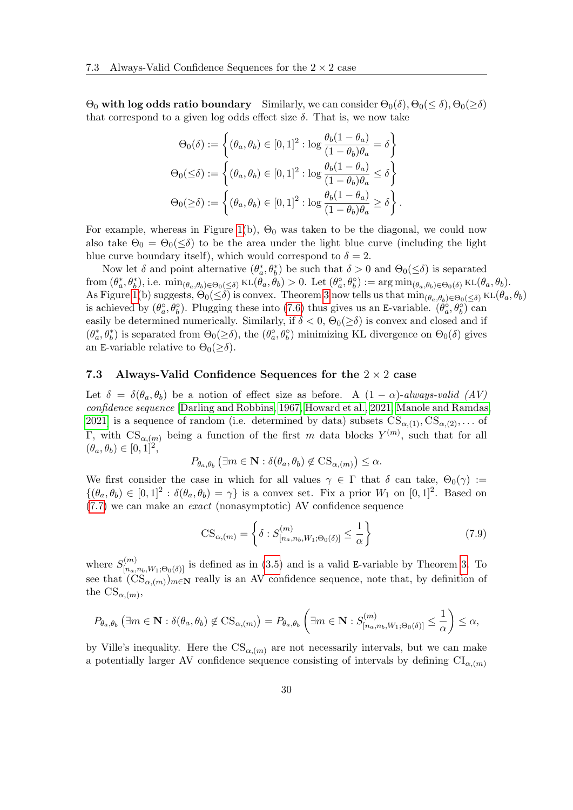$\Theta_0$  with log odds ratio boundary Similarly, we can consider  $\Theta_0(\delta)$ ,  $\Theta_0(\leq \delta)$ ,  $\Theta_0(\geq \delta)$ that correspond to a given log odds effect size  $\delta$ . That is, we now take

$$
\Theta_0(\delta) := \left\{ (\theta_a, \theta_b) \in [0, 1]^2 : \log \frac{\theta_b(1 - \theta_a)}{(1 - \theta_b)\theta_a} = \delta \right\}
$$

$$
\Theta_0(\leq \delta) := \left\{ (\theta_a, \theta_b) \in [0, 1]^2 : \log \frac{\theta_b(1 - \theta_a)}{(1 - \theta_b)\theta_a} \leq \delta \right\}
$$

$$
\Theta_0(\geq \delta) := \left\{ (\theta_a, \theta_b) \in [0, 1]^2 : \log \frac{\theta_b(1 - \theta_a)}{(1 - \theta_b)\theta_a} \geq \delta \right\}.
$$

For example, whereas in Figure [1\(](#page-16-1)b),  $\Theta_0$  was taken to be the diagonal, we could now also take  $\Theta_0 = \Theta_0 (\leq \delta)$  to be the area under the light blue curve (including the light blue curve boundary itself), which would correspond to  $\delta = 2$ .

Now let  $\delta$  and point alternative  $(\theta_a^*, \theta_b^*)$  be such that  $\delta > 0$  and  $\Theta_0(\leq \delta)$  is separated from  $(\theta_a^*, \theta_b^*),$  i.e.  $\min_{(\theta_a, \theta_b) \in \Theta_0(\leq \delta)} \text{KL}(\theta_a, \theta_b) > 0$ . Let  $(\theta_a^*, \theta_b^*) := \arg \min_{(\theta_a, \theta_b) \in \Theta_0(\delta)} \text{KL}(\theta_a, \theta_b)$ . As Figure [1\(](#page-16-1)b) suggests,  $\Theta_0(\leq \delta)$  is convex. Theorem [3](#page-28-3) now tells us that  $\min_{(\theta_a,\theta_b)\in\Theta_0(\leq \delta)} \text{KL}(\theta_a,\theta_b)$ is achieved by  $(\theta_a^{\circ}, \theta_b^{\circ})$ . Plugging these into [\(7.6\)](#page-28-0) thus gives us an E-variable.  $(\theta_a^{\circ}, \theta_b^{\circ})$  can easily be determined numerically. Similarly, if  $\delta < 0$ ,  $\Theta_0(\geq \delta)$  is convex and closed and if  $(\theta_a^*, \theta_b^*)$  is separated from  $\Theta_0(\geq \delta)$ , the  $(\theta_a^*, \theta_b^*)$  minimizing KL divergence on  $\Theta_0(\delta)$  gives an E-variable relative to  $\Theta_0(\geq \delta)$ .

#### 7.3 Always-Valid Confidence Sequences for the  $2 \times 2$  case

Let  $\delta = \delta(\theta_a, \theta_b)$  be a notion of effect size as before. A  $(1 - \alpha)$ -always-valid  $(AV)$ confidence sequence [\[Darling and Robbins, 1967,](#page-32-0) [Howard et al., 2021,](#page-32-1) [Manole and Ramdas,](#page-33-3) [2021\]](#page-33-3) is a sequence of random (i.e. determined by data) subsets  $CS_{\alpha,(1)}, CS_{\alpha,(2)},...$  of Γ, with  $\text{CS}_{\alpha,(m)}$  being a function of the first m data blocks  $Y^{(m)}$ , such that for all  $(\theta_a, \theta_b) \in [0, 1]^2$ ,

$$
P_{\theta_a, \theta_b} (\exists m \in \mathbf{N} : \delta(\theta_a, \theta_b) \notin \text{CS}_{\alpha, (m)}) \le \alpha.
$$

We first consider the case in which for all values  $\gamma \in \Gamma$  that  $\delta$  can take,  $\Theta_0(\gamma) :=$  $\{(\theta_a, \theta_b) \in [0,1]^2 : \delta(\theta_a, \theta_b) = \gamma\}$  is a convex set. Fix a prior  $W_1$  on  $[0,1]^2$ . Based on [\(7.7\)](#page-28-1) we can make an exact (nonasymptotic) AV confidence sequence

$$
\text{CS}_{\alpha,(m)} = \left\{ \delta : S_{[n_a, n_b, W_1; \Theta_0(\delta)]}^{(m)} \le \frac{1}{\alpha} \right\} \tag{7.9}
$$

where  $S_{[n_a,n_b,W_1;\Theta_0(\delta)]}^{(m)}$  is defined as in [\(3.5\)](#page-15-2) and is a valid E-variable by Theorem [3.](#page-28-3) To see that  $(\text{CS}_{\alpha,(m)})_{m\in\mathbb{N}}$  really is an AV confidence sequence, note that, by definition of the  $\text{CS}_{\alpha,(m)},$ 

$$
P_{\theta_a,\theta_b}(\exists m \in \mathbf{N}: \delta(\theta_a,\theta_b) \notin \mathrm{CS}_{\alpha,(m)}) = P_{\theta_a,\theta_b}(\exists m \in \mathbf{N}: S_{[n_a,n_b,W_1;\Theta_0(\delta)]}^{(m)} \leq \frac{1}{\alpha}) \leq \alpha,
$$

by Ville's inequality. Here the  $CS_{\alpha,(m)}$  are not necessarily intervals, but we can make a potentially larger AV confidence sequence consisting of intervals by defining  $CI_{\alpha,(m)}$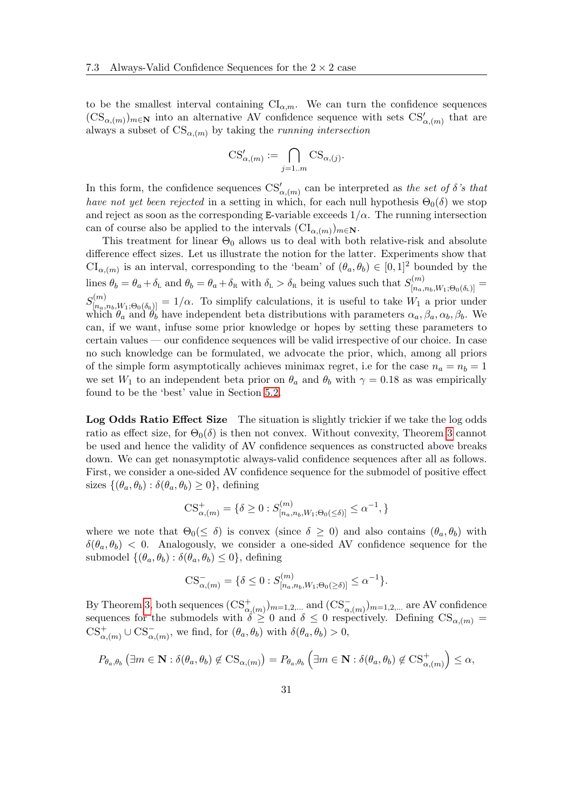to be the smallest interval containing  $CI_{\alpha,m}$ . We can turn the confidence sequences  $(\text{CS}_{\alpha,(m)})_{m\in\mathbb{N}}$  into an alternative AV confidence sequence with sets  $\text{CS}'_{\alpha,(m)}$  that are always a subset of  $CS_{\alpha,(m)}$  by taking the *running intersection* 

$$
\text{CS}'_{\alpha,(m)} := \bigcap_{j=1\ldots m} \text{CS}_{\alpha,(j)}.
$$

In this form, the confidence sequences  $\text{CS}'_{\alpha,(m)}$  can be interpreted as the set of  $\delta$ 's that have not yet been rejected in a setting in which, for each null hypothesis  $\Theta_0(\delta)$  we stop and reject as soon as the corresponding E-variable exceeds  $1/\alpha$ . The running intersection can of course also be applied to the intervals  $(\text{CI}_{\alpha,(m)})_{m\in\mathbb{N}}$ .

This treatment for linear  $\Theta_0$  allows us to deal with both relative-risk and absolute difference effect sizes. Let us illustrate the notion for the latter. Experiments show that  $CI_{\alpha,(m)}$  is an interval, corresponding to the 'beam' of  $(\theta_a, \theta_b) \in [0,1]^2$  bounded by the  $\lim_{\delta} \theta_b = \theta_a + \delta_{\text{L}}$  and  $\theta_b = \theta_a + \delta_{\text{R}}$  with  $\delta_{\text{L}} > \delta_{\text{R}}$  being values such that  $S_{[n_a,n_b,W_1;\Theta_0(\delta_{\text{L}})]}^{(m)}$  $S_{[n_a,n_b,W_1;\Theta_0(\delta_{\rm R})]}^{(m)}=1/\alpha$ . To simplify calculations, it is useful to take  $W_1$  a prior under which  $\theta_a$  and  $\theta_b$  have independent beta distributions with parameters  $\alpha_a, \beta_a, \alpha_b, \beta_b$ . We can, if we want, infuse some prior knowledge or hopes by setting these parameters to certain values — our confidence sequences will be valid irrespective of our choice. In case no such knowledge can be formulated, we advocate the prior, which, among all priors of the simple form asymptotically achieves minimax regret, i.e for the case  $n_a = n_b = 1$ we set  $W_1$  to an independent beta prior on  $\theta_a$  and  $\theta_b$  with  $\gamma = 0.18$  as was empirically found to be the 'best' value in Section [5.2.](#page-19-1)

Log Odds Ratio Effect Size The situation is slightly trickier if we take the log odds ratio as effect size, for  $\Theta_0(\delta)$  is then not convex. Without convexity, Theorem [3](#page-28-3) cannot be used and hence the validity of AV confidence sequences as constructed above breaks down. We can get nonasymptotic always-valid confidence sequences after all as follows. First, we consider a one-sided AV confidence sequence for the submodel of positive effect sizes  $\{(\theta_a, \theta_b) : \delta(\theta_a, \theta_b) \geq 0\}$ , defining

$$
\text{CS}^+_{\alpha,(m)} = \{ \delta \ge 0 : S^{(m)}_{[n_a,n_b,W_1;\Theta_0(\leq \delta)]} \leq \alpha^{-1}, \}
$$

where we note that  $\Theta_0(\leq \delta)$  is convex (since  $\delta \geq 0$ ) and also contains  $(\theta_a, \theta_b)$  with  $\delta(\theta_a, \theta_b)$  < 0. Analogously, we consider a one-sided AV confidence sequence for the submodel  $\{(\theta_a, \theta_b) : \delta(\theta_a, \theta_b) \leq 0\}$ , defining

$$
CS_{\alpha,(m)}^{-} = \{\delta \leq 0 : S_{[n_a,n_b,W_1;\Theta_0(\geq \delta)]}^{(m)} \leq \alpha^{-1}\}.
$$

By Theorem [3,](#page-28-3) both sequences  $(\text{CS}^+_{\alpha,(m)})_{m=1,2,...}$  and  $(\text{CS}^-_{\alpha,(m)})_{m=1,2,...}$  are AV confidence sequences for the submodels with  $\delta \geq 0$  and  $\delta \leq 0$  respectively. Defining  $CS_{\alpha,(m)} =$  $\text{CS}_{\alpha,(m)}^+ \cup \text{CS}_{\alpha,(m)}^-$ , we find, for  $(\theta_a, \theta_b)$  with  $\delta(\theta_a, \theta_b) > 0$ ,

$$
P_{\theta_a,\theta_b}(\exists m \in \mathbf{N}: \delta(\theta_a,\theta_b) \notin \mathrm{CS}_{\alpha,(m)}) = P_{\theta_a,\theta_b}(\exists m \in \mathbf{N}: \delta(\theta_a,\theta_b) \notin \mathrm{CS}_{\alpha,(m)}^+) \le \alpha,
$$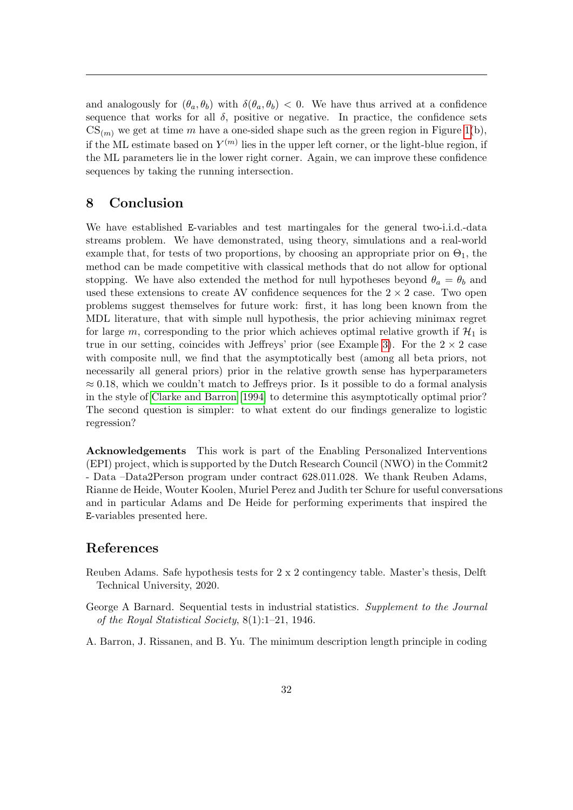and analogously for  $(\theta_a, \theta_b)$  with  $\delta(\theta_a, \theta_b) < 0$ . We have thus arrived at a confidence sequence that works for all  $\delta$ , positive or negative. In practice, the confidence sets  $CS_{(m)}$  we get at time m have a one-sided shape such as the green region in Figure [1\(](#page-16-1)b), if the ML estimate based on  $Y^{(m)}$  lies in the upper left corner, or the light-blue region, if the ML parameters lie in the lower right corner. Again, we can improve these confidence sequences by taking the running intersection.

### 8 Conclusion

We have established E-variables and test martingales for the general two-i.i.d.-data streams problem. We have demonstrated, using theory, simulations and a real-world example that, for tests of two proportions, by choosing an appropriate prior on  $\Theta_1$ , the method can be made competitive with classical methods that do not allow for optional stopping. We have also extended the method for null hypotheses beyond  $\theta_a = \theta_b$  and used these extensions to create AV confidence sequences for the  $2 \times 2$  case. Two open problems suggest themselves for future work: first, it has long been known from the MDL literature, that with simple null hypothesis, the prior achieving minimax regret for large m, corresponding to the prior which achieves optimal relative growth if  $\mathcal{H}_1$  is true in our setting, coincides with Jeffreys' prior (see Example [3\)](#page-9-3). For the  $2 \times 2$  case with composite null, we find that the asymptotically best (among all beta priors, not necessarily all general priors) prior in the relative growth sense has hyperparameters  $\approx 0.18$ , which we couldn't match to Jeffreys prior. Is it possible to do a formal analysis in the style of [Clarke and Barron \[1994\]](#page-32-12) to determine this asymptotically optimal prior? The second question is simpler: to what extent do our findings generalize to logistic regression?

Acknowledgements This work is part of the Enabling Personalized Interventions (EPI) project, which is supported by the Dutch Research Council (NWO) in the Commit2 - Data –Data2Person program under contract 628.011.028. We thank Reuben Adams, Rianne de Heide, Wouter Koolen, Muriel Perez and Judith ter Schure for useful conversations and in particular Adams and De Heide for performing experiments that inspired the E-variables presented here.

### References

- <span id="page-31-1"></span>Reuben Adams. Safe hypothesis tests for 2 x 2 contingency table. Master's thesis, Delft Technical University, 2020.
- <span id="page-31-0"></span>George A Barnard. Sequential tests in industrial statistics. Supplement to the Journal of the Royal Statistical Society, 8(1):1–21, 1946.
- <span id="page-31-2"></span>A. Barron, J. Rissanen, and B. Yu. The minimum description length principle in coding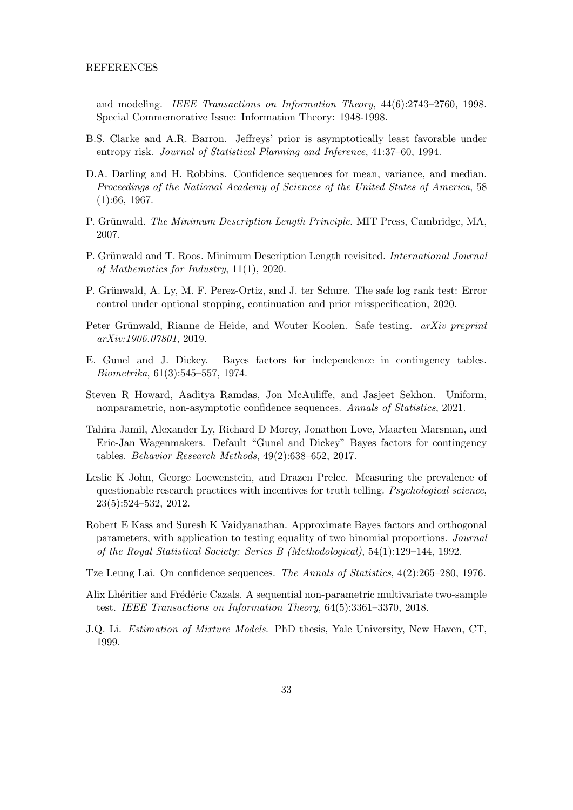and modeling. IEEE Transactions on Information Theory, 44(6):2743–2760, 1998. Special Commemorative Issue: Information Theory: 1948-1998.

- <span id="page-32-12"></span>B.S. Clarke and A.R. Barron. Jeffreys' prior is asymptotically least favorable under entropy risk. Journal of Statistical Planning and Inference, 41:37–60, 1994.
- <span id="page-32-0"></span>D.A. Darling and H. Robbins. Confidence sequences for mean, variance, and median. Proceedings of the National Academy of Sciences of the United States of America, 58 (1):66, 1967.
- <span id="page-32-10"></span>P. Grünwald. The Minimum Description Length Principle. MIT Press, Cambridge, MA, 2007.
- <span id="page-32-11"></span>P. Grünwald and T. Roos. Minimum Description Length revisited. *International Journal* of Mathematics for Industry, 11(1), 2020.
- <span id="page-32-9"></span>P. Grünwald, A. Ly, M. F. Perez-Ortiz, and J. ter Schure. The safe log rank test: Error control under optional stopping, continuation and prior misspecification, 2020.
- <span id="page-32-2"></span>Peter Grünwald, Rianne de Heide, and Wouter Koolen. Safe testing. arXiv preprint arXiv:1906.07801, 2019.
- <span id="page-32-7"></span>E. Gunel and J. Dickey. Bayes factors for independence in contingency tables. Biometrika, 61(3):545–557, 1974.
- <span id="page-32-1"></span>Steven R Howard, Aaditya Ramdas, Jon McAuliffe, and Jasjeet Sekhon. Uniform, nonparametric, non-asymptotic confidence sequences. Annals of Statistics, 2021.
- <span id="page-32-6"></span>Tahira Jamil, Alexander Ly, Richard D Morey, Jonathon Love, Maarten Marsman, and Eric-Jan Wagenmakers. Default "Gunel and Dickey" Bayes factors for contingency tables. Behavior Research Methods, 49(2):638–652, 2017.
- <span id="page-32-3"></span>Leslie K John, George Loewenstein, and Drazen Prelec. Measuring the prevalence of questionable research practices with incentives for truth telling. Psychological science, 23(5):524–532, 2012.
- <span id="page-32-5"></span>Robert E Kass and Suresh K Vaidyanathan. Approximate Bayes factors and orthogonal parameters, with application to testing equality of two binomial proportions. Journal of the Royal Statistical Society: Series B (Methodological), 54(1):129–144, 1992.
- <span id="page-32-4"></span>Tze Leung Lai. On confidence sequences. The Annals of Statistics, 4(2):265–280, 1976.
- <span id="page-32-8"></span>Alix Lhéritier and Frédéric Cazals. A sequential non-parametric multivariate two-sample test. IEEE Transactions on Information Theory, 64(5):3361–3370, 2018.
- <span id="page-32-13"></span>J.Q. Li. Estimation of Mixture Models. PhD thesis, Yale University, New Haven, CT, 1999.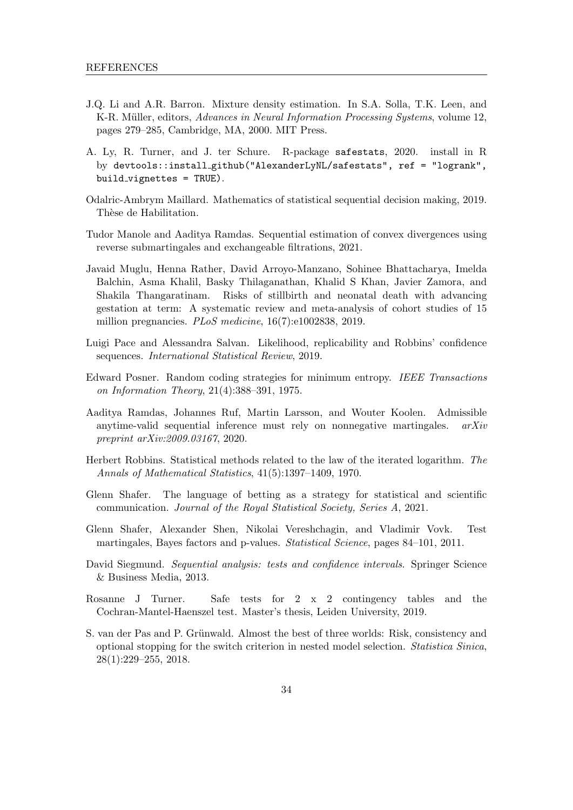- <span id="page-33-12"></span>J.Q. Li and A.R. Barron. Mixture density estimation. In S.A. Solla, T.K. Leen, and K-R. Müller, editors, Advances in Neural Information Processing Systems, volume 12, pages 279–285, Cambridge, MA, 2000. MIT Press.
- <span id="page-33-4"></span>A. Ly, R. Turner, and J. ter Schure. R-package safestats, 2020. install in R by devtools::install github("AlexanderLyNL/safestats", ref = "logrank",  $build_v$ <sup>ignettes = TRUE).</sup>
- <span id="page-33-10"></span>Odalric-Ambrym Maillard. Mathematics of statistical sequential decision making, 2019. Thèse de Habilitation.
- <span id="page-33-3"></span>Tudor Manole and Aaditya Ramdas. Sequential estimation of convex divergences using reverse submartingales and exchangeable filtrations, 2021.
- <span id="page-33-11"></span>Javaid Muglu, Henna Rather, David Arroyo-Manzano, Sohinee Bhattacharya, Imelda Balchin, Asma Khalil, Basky Thilaganathan, Khalid S Khan, Javier Zamora, and Shakila Thangaratinam. Risks of stillbirth and neonatal death with advancing gestation at term: A systematic review and meta-analysis of cohort studies of 15 million pregnancies. PLoS medicine, 16(7):e1002838, 2019.
- <span id="page-33-2"></span>Luigi Pace and Alessandra Salvan. Likelihood, replicability and Robbins' confidence sequences. International Statistical Review, 2019.
- <span id="page-33-13"></span>Edward Posner. Random coding strategies for minimum entropy. IEEE Transactions on Information Theory, 21(4):388–391, 1975.
- <span id="page-33-0"></span>Aaditya Ramdas, Johannes Ruf, Martin Larsson, and Wouter Koolen. Admissible anytime-valid sequential inference must rely on nonnegative martingales.  $arXiv$ preprint arXiv:2009.03167, 2020.
- <span id="page-33-5"></span>Herbert Robbins. Statistical methods related to the law of the iterated logarithm. The Annals of Mathematical Statistics, 41(5):1397–1409, 1970.
- <span id="page-33-1"></span>Glenn Shafer. The language of betting as a strategy for statistical and scientific communication. Journal of the Royal Statistical Society, Series A, 2021.
- <span id="page-33-7"></span>Glenn Shafer, Alexander Shen, Nikolai Vereshchagin, and Vladimir Vovk. Test martingales, Bayes factors and p-values. Statistical Science, pages 84–101, 2011.
- <span id="page-33-6"></span>David Siegmund. Sequential analysis: tests and confidence intervals. Springer Science & Business Media, 2013.
- <span id="page-33-8"></span>Rosanne J Turner. Safe tests for 2 x 2 contingency tables and the Cochran-Mantel-Haenszel test. Master's thesis, Leiden University, 2019.
- <span id="page-33-9"></span>S. van der Pas and P. Grünwald. Almost the best of three worlds: Risk, consistency and optional stopping for the switch criterion in nested model selection. Statistica Sinica, 28(1):229–255, 2018.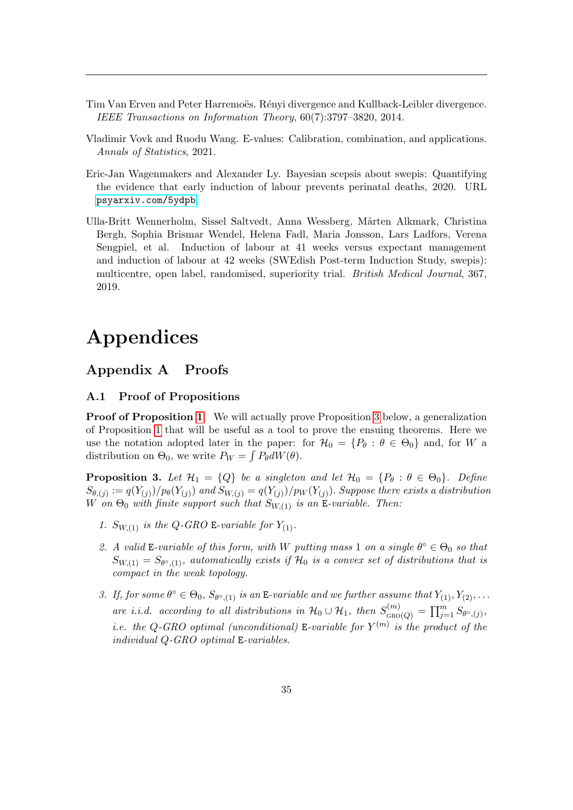- <span id="page-34-5"></span>Tim Van Erven and Peter Harremoës. Rényi divergence and Kullback-Leibler divergence. IEEE Transactions on Information Theory, 60(7):3797–3820, 2014.
- <span id="page-34-0"></span>Vladimir Vovk and Ruodu Wang. E-values: Calibration, combination, and applications. Annals of Statistics, 2021.
- <span id="page-34-3"></span>Eric-Jan Wagenmakers and Alexander Ly. Bayesian scepsis about swepis: Quantifying the evidence that early induction of labour prevents perinatal deaths, 2020. URL <psyarxiv.com/5ydpb>.
- <span id="page-34-1"></span>Ulla-Britt Wennerholm, Sissel Saltvedt, Anna Wessberg, Mårten Alkmark, Christina Bergh, Sophia Brismar Wendel, Helena Fadl, Maria Jonsson, Lars Ladfors, Verena Sengpiel, et al. Induction of labour at 41 weeks versus expectant management and induction of labour at 42 weeks (SWEdish Post-term Induction Study, swepis): multicentre, open label, randomised, superiority trial. British Medical Journal, 367, 2019.

# Appendices

### <span id="page-34-2"></span>Appendix A Proofs

### A.1 Proof of Propositions

Proof of Proposition [1](#page-6-2) We will actually prove Proposition [3](#page-34-4) below, a generalization of Proposition [1](#page-6-2) that will be useful as a tool to prove the ensuing theorems. Here we use the notation adopted later in the paper: for  $\mathcal{H}_0 = \{P_\theta : \theta \in \Theta_0\}$  and, for W a distribution on  $\Theta_0$ , we write  $P_W = \int P_\theta dW(\theta)$ .

<span id="page-34-4"></span>**Proposition 3.** Let  $\mathcal{H}_1 = \{Q\}$  be a singleton and let  $\mathcal{H}_0 = \{P_\theta : \theta \in \Theta_0\}$ . Define  $S_{\theta,(j)} := q(Y_{(j)})/p_{\theta}(Y_{(j)})$  and  $S_{W,(j)} = q(Y_{(j)})/p_W(Y_{(j)})$ . Suppose there exists a distribution W on  $\Theta_0$  with finite support such that  $S_{W,(1)}$  is an E-variable. Then:

- 1.  $S_{W,(1)}$  is the Q-GRO E-variable for  $Y_{(1)}$ .
- 2. A valid E-variable of this form, with W putting mass 1 on a single  $\theta^{\circ} \in \Theta_0$  so that  $S_{W,(1)} = S_{\theta^{\circ}, (1)}$ , automatically exists if  $\mathcal{H}_0$  is a convex set of distributions that is compact in the weak topology.
- 3. If, for some  $\theta^{\circ} \in \Theta_0$ ,  $S_{\theta^{\circ},(1)}$  is an E-variable and we further assume that  $Y_{(1)}, Y_{(2)}, \ldots$ are i.i.d. according to all distributions in  $\mathcal{H}_0 \cup \mathcal{H}_1$ , then  $S_{\text{GRO}(Q)}^{(m)} = \prod_{j=1}^m S_{\theta^{\circ},(j)},$ *i.e.* the Q-GRO optimal (unconditional) E-variable for  $Y^{(m)}$  is the product of the individual Q-GRO optimal E-variables.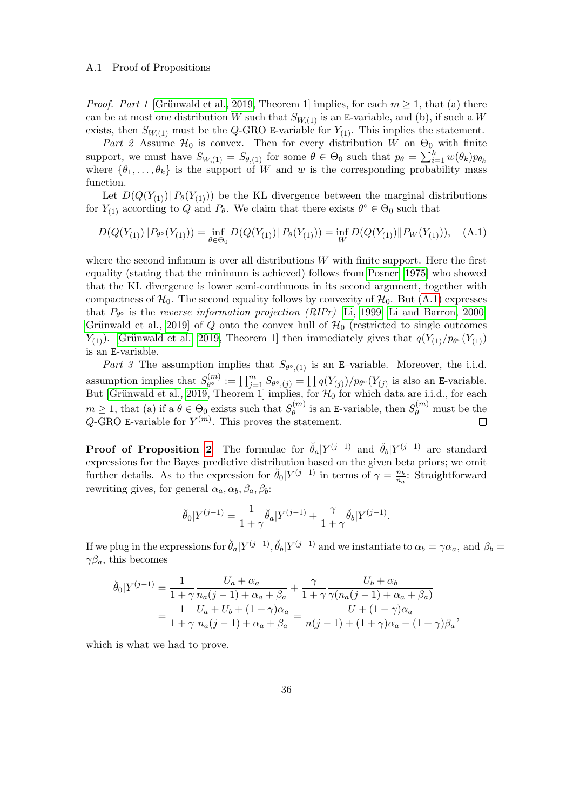*Proof.* Part 1 [Grünwald et al., 2019, Theorem 1] implies, for each  $m > 1$ , that (a) there can be at most one distribution W such that  $S_{W,(1)}$  is an E-variable, and (b), if such a W exists, then  $S_{W,(1)}$  must be the Q-GRO E-variable for  $Y_{(1)}$ . This implies the statement.

Part 2 Assume  $\mathcal{H}_0$  is convex. Then for every distribution W on  $\Theta_0$  with finite support, we must have  $S_{W,(1)} = S_{\theta,(1)}$  for some  $\theta \in \Theta_0$  such that  $p_{\theta} = \sum_{i=1}^{k} w(\theta_k) p_{\theta_k}$ where  $\{\theta_1, \ldots, \theta_k\}$  is the support of W and w is the corresponding probability mass function.

Let  $D(Q(Y_{(1)})||P_{\theta}(Y_{(1)}))$  be the KL divergence between the marginal distributions for  $Y_{(1)}$  according to Q and  $P_{\theta}$ . We claim that there exists  $\theta^{\circ} \in \Theta_0$  such that

<span id="page-35-0"></span>
$$
D(Q(Y_{(1)})||P_{\theta^{\circ}}(Y_{(1)})) = \inf_{\theta \in \Theta_0} D(Q(Y_{(1)})||P_{\theta}(Y_{(1)})) = \inf_W D(Q(Y_{(1)})||P_W(Y_{(1)})), \quad (A.1)
$$

where the second infimum is over all distributions  $W$  with finite support. Here the first equality (stating that the minimum is achieved) follows from [Posner \[1975\]](#page-33-13) who showed that the KL divergence is lower semi-continuous in its second argument, together with compactness of  $\mathcal{H}_0$ . The second equality follows by convexity of  $\mathcal{H}_0$ . But [\(A.1\)](#page-35-0) expresses that  $P_{\theta}$  is the reverse information projection (RIPr) [\[Li, 1999,](#page-32-13) [Li and Barron, 2000,](#page-33-12) Grünwald et al., 2019] of Q onto the convex hull of  $\mathcal{H}_0$  (restricted to single outcomes  $Y_{(1)}$ ). [Grünwald et al., 2019, Theorem 1] then immediately gives that  $q(Y_{(1)}/p_{\theta} (Y_{(1)})$ is an E-variable.

Part 3 The assumption implies that  $S_{\theta^{\circ},(1)}$  is an E-variable. Moreover, the i.i.d. assumption implies that  $S_{\theta\circ}^{(m)}$  $\mathcal{H}_{\theta^{\circ}}^{(m)} := \prod_{j=1}^{m} S_{\theta^{\circ},(j)} = \prod q(Y_{(j)})/p_{\theta^{\circ}}(Y_{(j)})$  is also an E-variable. But [Grünwald et al., 2019, Theorem 1] implies, for  $\mathcal{H}_0$  for which data are i.i.d., for each  $m \geq 1$ , that (a) if a  $\theta \in \Theta_0$  exists such that  $S_{\theta}^{(m)}$  $\theta_{\theta}^{(m)}$  is an E-variable, then  $S_{\theta}^{(m)}$  must be the  $Q$ -GRO E-variable for  $Y^{(m)}$ . This proves the statement.  $\Box$ 

**Proof of Proposition [2](#page-15-1)** The formulae for  $\ddot{\theta}_a Y^{(j-1)}$  and  $\ddot{\theta}_b Y^{(j-1)}$  are standard expressions for the Bayes predictive distribution based on the given beta priors; we omit further details. As to the expression for  $\ddot{\theta}_0 | Y^{(j-1)}$  in terms of  $\gamma = \frac{n_b}{n_a}$  $\frac{n_b}{n_a}$ : Straightforward rewriting gives, for general  $\alpha_a, \alpha_b, \beta_a, \beta_b$ :

$$
\breve{\theta}_0|Y^{(j-1)} = \frac{1}{1+\gamma}\breve{\theta}_a|Y^{(j-1)} + \frac{\gamma}{1+\gamma}\breve{\theta}_b|Y^{(j-1)}.
$$

If we plug in the expressions for  $\check{\theta}_a|Y^{(j-1)}, \check{\theta}_b|Y^{(j-1)}$  and we instantiate to  $\alpha_b = \gamma \alpha_a$ , and  $\beta_b =$  $\gamma \beta_a$ , this becomes

$$
\ddot{\theta}_{0}|Y^{(j-1)} = \frac{1}{1+\gamma} \frac{U_{a} + \alpha_{a}}{n_{a}(j-1) + \alpha_{a} + \beta_{a}} + \frac{\gamma}{1+\gamma} \frac{U_{b} + \alpha_{b}}{\gamma(n_{a}(j-1) + \alpha_{a} + \beta_{a})}
$$
  
= 
$$
\frac{1}{1+\gamma} \frac{U_{a} + U_{b} + (1+\gamma)\alpha_{a}}{n_{a}(j-1) + \alpha_{a} + \beta_{a}} = \frac{U + (1+\gamma)\alpha_{a}}{n(j-1) + (1+\gamma)\alpha_{a} + (1+\gamma)\beta_{a}},
$$

which is what we had to prove.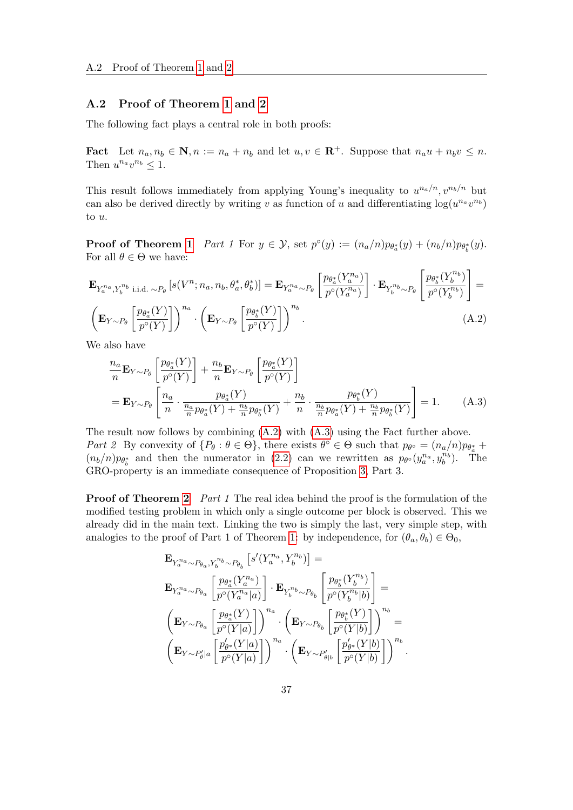#### A.2 Proof of Theorem [1](#page-10-1) and [2](#page-27-0)

The following fact plays a central role in both proofs:

**Fact** Let  $n_a, n_b \in \mathbb{N}, n := n_a + n_b$  and let  $u, v \in \mathbb{R}^+$ . Suppose that  $n_a u + n_b v \leq n$ . Then  $u^{n_a}v^{n_b} \leq 1$ .

This result follows immediately from applying Young's inequality to  $u^{n_a/n}, v^{n_b/n}$  but can also be derived directly by writing v as function of u and differentiating  $log(u^{n_a}v^{n_b})$ to u.

**Proof of Theorem [1](#page-10-1)** Part 1 For  $y \in \mathcal{Y}$ , set  $p^{\circ}(y) := (n_a/n)p_{\theta_a^*}(y) + (n_b/n)p_{\theta_b^*}(y)$ . For all  $\theta \in \Theta$  we have:

$$
\mathbf{E}_{Y_a^{n_a}, Y_b^{n_b} \text{ i.i.d. } \sim P_\theta} \left[ s(V^n; n_a, n_b, \theta_a^*, \theta_b^*) \right] = \mathbf{E}_{Y_a^{n_a} \sim P_\theta} \left[ \frac{p_{\theta_a^*}(Y_a^{n_a})}{p^\circ(Y_a^{n_a})} \right] \cdot \mathbf{E}_{Y_b^{n_b} \sim P_\theta} \left[ \frac{p_{\theta_b^*}(Y_b^{n_b})}{p^\circ(Y_b^{n_b})} \right] = \left( \mathbf{E}_{Y \sim P_\theta} \left[ \frac{p_{\theta_a^*}(Y)}{p^\circ(Y)} \right] \right)^{n_a} \cdot \left( \mathbf{E}_{Y \sim P_\theta} \left[ \frac{p_{\theta_b^*}(Y)}{p^\circ(Y)} \right] \right)^{n_b} . \tag{A.2}
$$

We also have

<span id="page-36-0"></span>
$$
\frac{n_a}{n} \mathbf{E}_{Y \sim P_\theta} \left[ \frac{p_{\theta_a^*}(Y)}{p^\circ(Y)} \right] + \frac{n_b}{n} \mathbf{E}_{Y \sim P_\theta} \left[ \frac{p_{\theta_a^*}(Y)}{p^\circ(Y)} \right] \n= \mathbf{E}_{Y \sim P_\theta} \left[ \frac{n_a}{n} \cdot \frac{p_{\theta_a^*}(Y)}{\frac{n_a}{n} p_{\theta_a^*}(Y) + \frac{n_b}{n} p_{\theta_b^*}(Y)} + \frac{n_b}{n} \cdot \frac{p_{\theta_b^*}(Y)}{\frac{n_b}{n} p_{\theta_a^*}(Y) + \frac{n_b}{n} p_{\theta_b^*}(Y)} \right] = 1.
$$
\n(A.3)

The result now follows by combining  $(A.2)$  with  $(A.3)$  using the Fact further above. Part 2 By convexity of  $\{P_{\theta} : \theta \in \Theta\}$ , there exists  $\theta^{\circ} \in \Theta$  such that  $p_{\theta^{\circ}} = (n_a/n)p_{\theta^*_a} +$  $(n_b/n)p_{\theta_b^*}$  and then the numerator in [\(2.2\)](#page-10-3) can we rewritten as  $p_{\theta^{\circ}}(y_a^{n_a}, y_b^{n_b})$ . The GRO-property is an immediate consequence of Proposition [3,](#page-34-4) Part 3.

**Proof of Theorem [2](#page-27-0)** Part 1 The real idea behind the proof is the formulation of the modified testing problem in which only a single outcome per block is observed. This we already did in the main text. Linking the two is simply the last, very simple step, with analogies to the proof of Part 1 of Theorem [1:](#page-10-1) by independence, for  $(\theta_a, \theta_b) \in \Theta_0$ ,

<span id="page-36-1"></span>
$$
\begin{split} &\mathbf{E}_{Y_a^{n_a}\sim P_{\theta_a},Y_b^{n_b}\sim P_{\theta_b}}\left[s'(Y_a^{n_a},Y_b^{n_b})\right]=\\ &\mathbf{E}_{Y_a^{n_a}\sim P_{\theta_a}}\left[\frac{p_{\theta_a^*}(Y_a^{n_a})}{p^\circ(Y_a^{n_a}|a)}\right]\cdot\mathbf{E}_{Y_b^{n_b}\sim P_{\theta_b}}\left[\frac{p_{\theta_b^*}(Y_b^{n_b})}{p^\circ(Y_b^{n_b}|b)}\right]=\\ &\left(\mathbf{E}_{Y\sim P_{\theta_a}}\left[\frac{p_{\theta_a^*}(Y)}{p^\circ(Y|a)}\right]\right)^{n_a}\cdot\left(\mathbf{E}_{Y\sim P_{\theta_b}}\left[\frac{p_{\theta_b^*}(Y)}{p^\circ(Y|b)}\right]\right)^{n_b}=\\ &\left(\mathbf{E}_{Y\sim P'_{\theta}|a}\left[\frac{p'_{\theta^*}(Y|a)}{p^\circ(Y|a)}\right]\right)^{n_a}\cdot\left(\mathbf{E}_{Y\sim P'_{\theta|b}}\left[\frac{p'_{\theta^*}(Y|b)}{p^\circ(Y|b)}\right]\right)^{n_b}. \end{split}
$$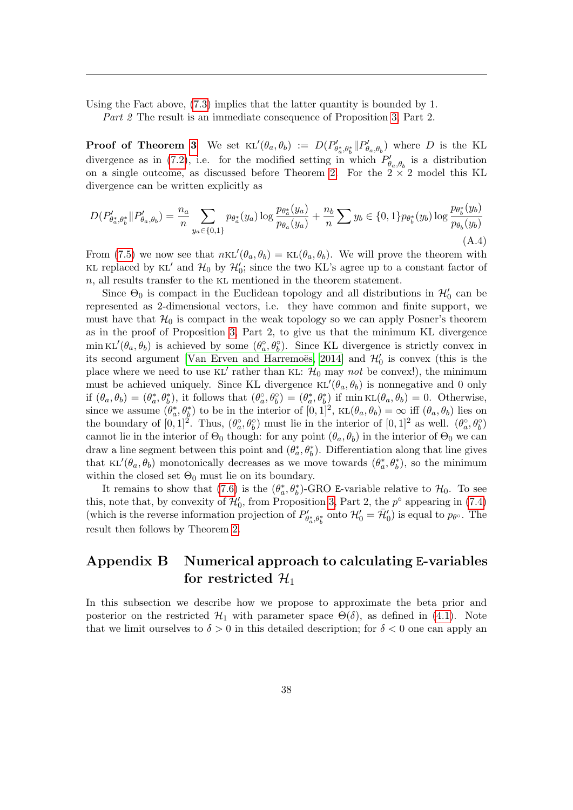Using the Fact above, [\(7.3\)](#page-26-2) implies that the latter quantity is bounded by 1.

Part 2 The result is an immediate consequence of Proposition [3,](#page-34-4) Part 2.

**Proof of Theorem [3](#page-28-3)** We set  $KL'(\theta_a, \theta_b) := D(P'_{\theta_a^*, \theta_b^*} || P'_{\theta_a, \theta_b})$  where D is the KL divergence as in [\(7.2\)](#page-26-1), i.e. for the modified setting in which  $P'_{\theta_a,\theta_b}$  is a distribution on a single outcome, as discussed before Theorem [2.](#page-27-0) For the  $2 \times 2$  model this KL divergence can be written explicitly as

$$
D(P'_{\theta^*_{a},\theta^*_{b}}||P'_{\theta_{a},\theta_{b}}) = \frac{n_a}{n} \sum_{y_a \in \{0,1\}} p_{\theta^*_{a}}(y_a) \log \frac{p_{\theta^*_{a}}(y_a)}{p_{\theta_{a}}(y_a)} + \frac{n_b}{n} \sum y_b \in \{0,1\} p_{\theta^*_{b}}(y_b) \log \frac{p_{\theta^*_{b}}(y_b)}{p_{\theta_{b}}(y_b)}
$$
(A.4)

From [\(7.5\)](#page-27-3) we now see that  $nKL'(\theta_a, \theta_b) = KL(\theta_a, \theta_b)$ . We will prove the theorem with KL replaced by KL' and  $\mathcal{H}_0$  by  $\mathcal{H}'_0$ ; since the two KL's agree up to a constant factor of  $n$ , all results transfer to the KL mentioned in the theorem statement.

Since  $\Theta_0$  is compact in the Euclidean topology and all distributions in  $\mathcal{H}'_0$  can be represented as 2-dimensional vectors, i.e. they have common and finite support, we must have that  $H_0$  is compact in the weak topology so we can apply Posner's theorem as in the proof of Proposition [3,](#page-34-4) Part 2, to give us that the minimum KL divergence  $\min \kappa L'(\theta_a, \theta_b)$  is achieved by some  $(\theta_a^{\circ}, \theta_b^{\circ})$ . Since KL divergence is strictly convex in its second argument [Van Erven and Harremoës, 2014] and  $\mathcal{H}'_0$  is convex (this is the place where we need to use KL' rather than KL:  $\mathcal{H}_0$  may not be convex!), the minimum must be achieved uniquely. Since KL divergence  $KL'(\theta_a, \theta_b)$  is nonnegative and 0 only if  $(\theta_a, \theta_b) = (\theta_a^*, \theta_b^*)$ , it follows that  $(\theta_a^{\circ}, \theta_b^{\circ}) = (\theta_a^*, \theta_b^*)$  if min  $KL(\theta_a, \theta_b) = 0$ . Otherwise, since we assume  $(\theta_a^*, \theta_b^*)$  to be in the interior of  $[0, 1]^2$ ,  $KL(\theta_a, \theta_b) = \infty$  iff  $(\theta_a, \theta_b)$  lies on the boundary of  $[0,1]^2$ . Thus,  $(\theta_a^{\circ}, \theta_b^{\circ})$  must lie in the interior of  $[0,1]^2$  as well.  $(\theta_a^{\circ}, \theta_b^{\circ})$ cannot lie in the interior of  $\Theta_0$  though: for any point  $(\theta_a, \theta_b)$  in the interior of  $\Theta_0$  we can draw a line segment between this point and  $(\theta_a^*, \theta_b^*)$ . Differentiation along that line gives that  $KL'(\theta_a, \theta_b)$  monotonically decreases as we move towards  $(\theta_a^*, \theta_b^*)$ , so the minimum within the closed set  $\Theta_0$  must lie on its boundary.

It remains to show that [\(7.6\)](#page-28-0) is the  $(\theta_a^*, \theta_b^*)$ -GRO E-variable relative to  $\mathcal{H}_0$ . To see this, note that, by convexity of  $\mathcal{H}'_0$ , from Proposition [3,](#page-34-4) Part 2, the  $p^{\circ}$  appearing in [\(7.4\)](#page-27-2) (which is the reverse information projection of  $P'_{\theta^*_a, \theta^*_b}$  onto  $\mathcal{H}'_0 = \bar{\mathcal{H}}'_0$ ) is equal to  $p_{\theta^{\circ}}$ . The result then follows by Theorem [2.](#page-27-0)

### <span id="page-37-0"></span>Appendix B Numerical approach to calculating E-variables for restricted  $\mathcal{H}_1$

In this subsection we describe how we propose to approximate the beta prior and posterior on the restricted  $\mathcal{H}_1$  with parameter space  $\Theta(\delta)$ , as defined in [\(4.1\)](#page-16-0). Note that we limit ourselves to  $\delta > 0$  in this detailed description; for  $\delta < 0$  one can apply an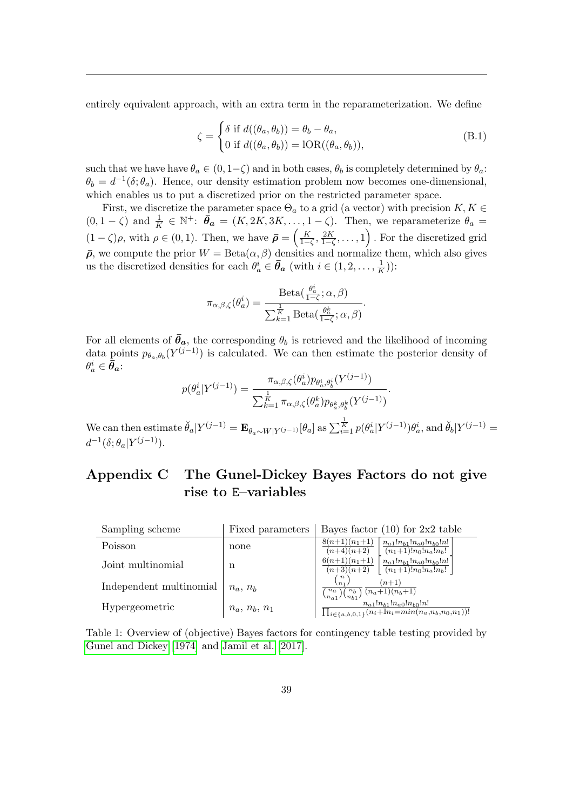entirely equivalent approach, with an extra term in the reparameterization. We define

$$
\zeta = \begin{cases} \delta \text{ if } d((\theta_a, \theta_b)) = \theta_b - \theta_a, \\ 0 \text{ if } d((\theta_a, \theta_b)) = \text{IOR}((\theta_a, \theta_b)), \end{cases}
$$
 (B.1)

such that we have have  $\theta_a \in (0, 1-\zeta)$  and in both cases,  $\theta_b$  is completely determined by  $\theta_a$ :  $\theta_b = d^{-1}(\delta; \theta_a)$ . Hence, our density estimation problem now becomes one-dimensional, which enables us to put a discretized prior on the restricted parameter space.

First, we discretize the parameter space  $\Theta_a$  to a grid (a vector) with precision  $K, K \in$  $(0, 1 - \zeta)$  and  $\frac{1}{K} \in \mathbb{N}^+$ :  $\bar{\theta}_a = (K, 2K, 3K, \ldots, 1 - \zeta)$ . Then, we reparameterize  $\theta_a =$  $(1-\zeta)\rho$ , with  $\rho \in (0,1)$ . Then, we have  $\bar{\rho} = \left(\frac{K}{1-\zeta}, \frac{2K}{1-\zeta}, \ldots, 1\right)$ . For the discretized grid  $\bar{\rho}$ , we compute the prior  $W = \text{Beta}(\alpha, \beta)$  densities and normalize them, which also gives us the discretized densities for each  $\theta_a^i \in \bar{\theta}_a$  (with  $i \in (1, 2, \ldots, \frac{1}{K})$  $(\frac{1}{K})$ :

$$
\pi_{\alpha,\beta,\zeta}(\theta_a^i) = \frac{\mathrm{Beta}(\frac{\theta_a^i}{1-\zeta}; \alpha, \beta)}{\sum_{k=1}^{\frac{1}{K}} \mathrm{Beta}(\frac{\theta_a^k}{1-\zeta}; \alpha, \beta)}.
$$

For all elements of  $\bar{\theta}_a$ , the corresponding  $\theta_b$  is retrieved and the likelihood of incoming data points  $p_{\theta_a,\theta_b}(Y^{(j-1)})$  is calculated. We can then estimate the posterior density of  $\theta^i_a \in \bar{\boldsymbol\theta}_{\boldsymbol{a}}$ :

$$
p(\theta_a^i | Y^{(j-1)}) = \frac{\pi_{\alpha,\beta,\zeta}(\theta_a^i) p_{\theta_a^i,\theta_b^i}(Y^{(j-1)})}{\sum_{k=1}^{\frac{1}{K}} \pi_{\alpha,\beta,\zeta}(\theta_a^k) p_{\theta_a^k,\theta_b^k}(Y^{(j-1)})}.
$$

We can then estimate  $\check{\theta}_a|Y^{(j-1)} = \mathbf{E}_{\theta_a \sim W|Y^{(j-1)}}[\theta_a]$  as  $\sum_{i=1}^{\overline{k}} p(\theta_a^i|Y^{(j-1)})\theta_a^i$ , and  $\check{\theta}_b|Y^{(j-1)} =$  $d^{-1}(\delta; \theta_a|Y^{(j-1)})$ .

## <span id="page-38-0"></span>Appendix C The Gunel-Dickey Bayes Factors do not give rise to E–variables

| Sampling scheme         | Fixed parameters      | Bayes factor $(10)$ for 2x2 table                                                                                                  |
|-------------------------|-----------------------|------------------------------------------------------------------------------------------------------------------------------------|
| Poisson                 | none                  | $8(n+1)(n_1+1)$<br>$n_{a1}!n_{b1}!n_{a0}!n_{b0}!n!$<br>$\frac{(n_1+1)!n_0!n_a!n_b!}{\cdots}$<br>$(n+4)(n+2)$                       |
| Joint multinomial       | n                     | $6(n+1)(n_1+1)$<br>$n_{a1}!n_{b1}!n_{a0}!n_{b0}!n!$<br>$(n_1+1)!n_0!n_a!n_b!$<br>$(n+3)(n+2)$                                      |
| Independent multinomial | $n_a$ , $n_b$         | $\boldsymbol{n}$<br>$(n+1)$<br>$\binom{n}{1}$<br>$\binom{n_a}{n_{a1}}\binom{n_b}{n_{b1}}$ $(n_a+1)\overline{\binom{n_b+1}{n_b+1}}$ |
| Hypergeometric          | $n_a$ , $n_b$ , $n_1$ | $n_{a1}!n_{b1}!n_{a0}!n_{b0}!n!$<br>$\prod_{i \in \{a,b,0,1\}} (n_i + \mathbb{I}n_i = min(n_a, n_b, n_0, n_1))!$                   |

Table 1: Overview of (objective) Bayes factors for contingency table testing provided by [Gunel and Dickey \[1974\]](#page-32-7) and [Jamil et al. \[2017\]](#page-32-6).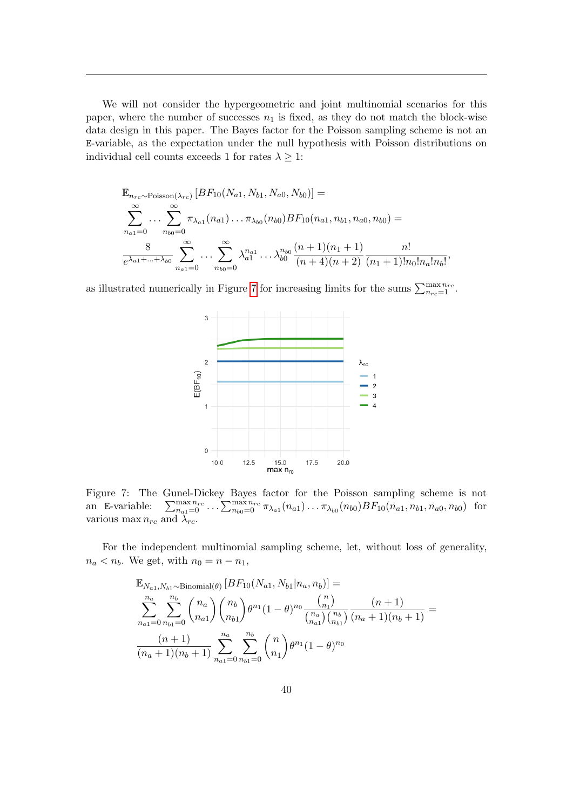We will not consider the hypergeometric and joint multinomial scenarios for this paper, where the number of successes  $n_1$  is fixed, as they do not match the block-wise data design in this paper. The Bayes factor for the Poisson sampling scheme is not an E-variable, as the expectation under the null hypothesis with Poisson distributions on individual cell counts exceeds 1 for rates  $\lambda \geq 1$ :

$$
\mathbb{E}_{n_{rc}\sim \text{Poisson}(\lambda_{rc})} [BF_{10}(N_{a1}, N_{b1}, N_{a0}, N_{b0})] =
$$
\n
$$
\sum_{n_{a1}=0}^{\infty} \cdots \sum_{n_{b0}=0}^{\infty} \pi_{\lambda_{a1}}(n_{a1}) \cdots \pi_{\lambda_{b0}}(n_{b0}) BF_{10}(n_{a1}, n_{b1}, n_{a0}, n_{b0}) =
$$
\n
$$
\frac{8}{e^{\lambda_{a1}+\cdots+\lambda_{b0}}} \sum_{n_{a1}=0}^{\infty} \cdots \sum_{n_{b0}=0}^{\infty} \lambda_{a1}^{n_{a1}} \cdots \lambda_{b0}^{n_{b0}} \frac{(n+1)(n_{1}+1)}{(n+4)(n+2)} \frac{n!}{(n_{1}+1)!n_{0}!n_{a}!n_{b}!},
$$

<span id="page-39-0"></span>as illustrated numerically in Figure [7](#page-39-0) for increasing limits for the sums  $\sum_{n_{rc}=1}^{\max n_{rc}}$ .



Figure 7: The Gunel-Dickey Bayes factor for the Poisson sampling scheme is not an E-variable:  $\max_{n_{a1}=0}^{max\,n_{rc}} \ldots \sum_{n_{b0}=0}^{max\,n_{rc}} \pi_{\lambda_{a1}}(n_{a1}) \ldots \pi_{\lambda_{b0}}(n_{b0}) BF_{10}(n_{a1}, n_{b1}, n_{a0}, n_{b0})$  for various max  $n_{rc}$  and  $\bar{\lambda}_{rc}$ .

For the independent multinomial sampling scheme, let, without loss of generality,  $n_a < n_b$ . We get, with  $n_0 = n - n_1$ ,

$$
\mathbb{E}_{N_{a1},N_{b1} \sim \text{Binomial}(\theta)} \left[ BF_{10}(N_{a1}, N_{b1}|n_a, n_b) \right] =
$$
\n
$$
\sum_{n_{a1}=0}^{n_a} \sum_{n_{b1}=0}^{n_b} {n_a \choose n_{a1}} {n_b \choose n_{b1}} \theta^{n_1} (1-\theta)^{n_0} \frac{{n \choose n_1}}{{n_a \choose n_{a1}} {n_b \choose n_{b1}}} \frac{(n+1)}{(n_a+1)(n_b+1)} =
$$
\n
$$
\frac{(n+1)}{(n_a+1)(n_b+1)} \sum_{n_{a1}=0}^{n_a} \sum_{n_{b1}=0}^{n_b} {n \choose n_1} \theta^{n_1} (1-\theta)^{n_0}
$$